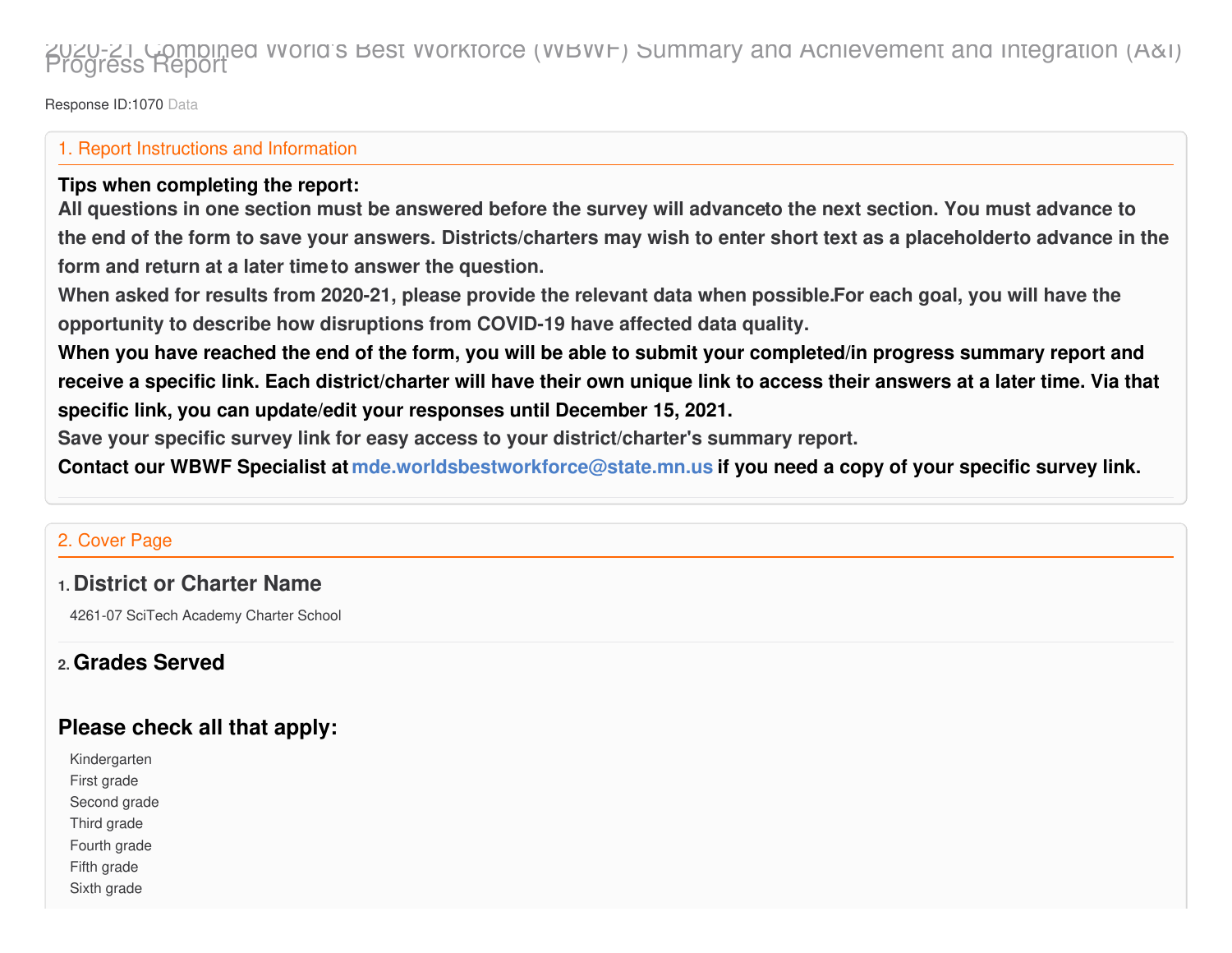# 2020-21 Combined World's Best Workforce (WBWF) Summary and Achievement and Integration (A&I) Progress Report

Response ID:1070 Data

#### 1. Report Instructions and Information

#### **Tips when completing the report:**

All questions in one section must be answered before the survey will advanceto the next section. You must advance to the end of the form to save your answers. Districts/charters may wish to enter short text as a placeholderto advance in the **form and return at a later timeto answer the question.**

When asked for results from 2020-21, please provide the relevant data when possible.For each goal, you will have the **opportunity to describe how disruptions from COVID-19 have affected data quality.**

When you have reached the end of the form, you will be able to submit your completed/in progress summary report and receive a specific link. Each district/charter will have their own unique link to access their answers at a later time. Via that **specific link, you can update/edit your responses until December 15, 2021.**

**Save your specific survey link for easy access to your district/charter's summary report.**

Contact our WBWF Specialist at [mde.worldsbestworkforce@state.mn.us](http://state.mn.us) if you need a copy of your specific survey link.

#### 2. Cover Page

#### **1. District or Charter Name**

4261-07 SciTech Academy Charter School

#### **2. Grades Served**

### **Please check all that apply:**

Kindergarten First grade Second grade Third grade Fourth grade Fifth grade

Sixth grade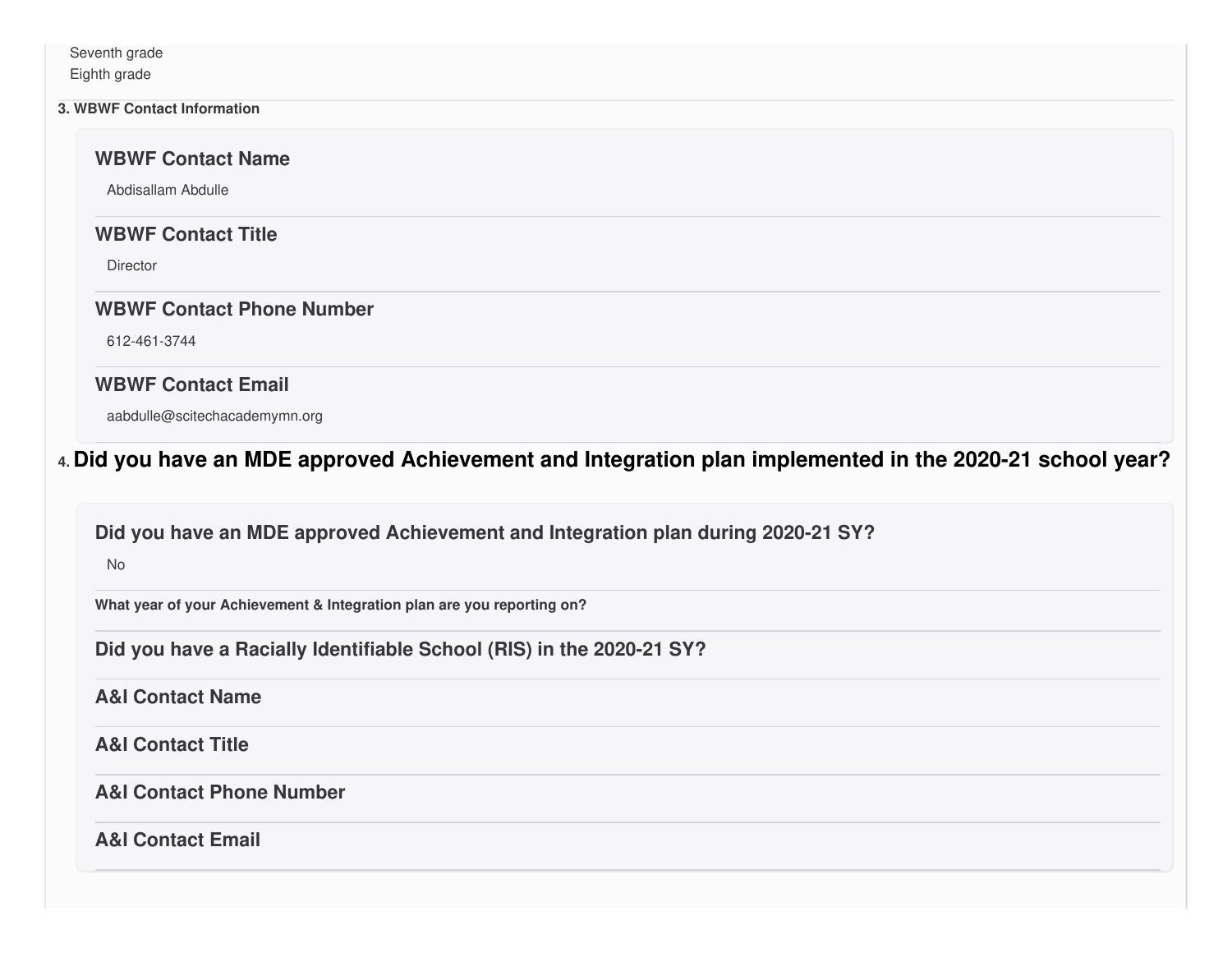Seventh grade Eighth grade

#### **3. WBWF Contact Information**

**WBWF Contact Name**

Abdisallam Abdulle

#### **WBWF Contact Title**

**Director** 

#### **WBWF Contact Phone Number**

612-461-3744

#### **WBWF Contact Email**

aabdulle@scitechacademymn.org

### **4. Did you have an MDE approved Achievement and Integration plan implemented in the 2020-21 school year?**

#### **Did you have an MDE approved Achievement and Integration plan during 2020-21 SY?**

No

**What year of your Achievement & Integration plan are you reporting on?**

**Did you have a Racially Identifiable School (RIS) in the 2020-21 SY?**

#### **A&I Contact Name**

**A&I Contact Title**

#### **A&I Contact Phone Number**

**A&I Contact Email**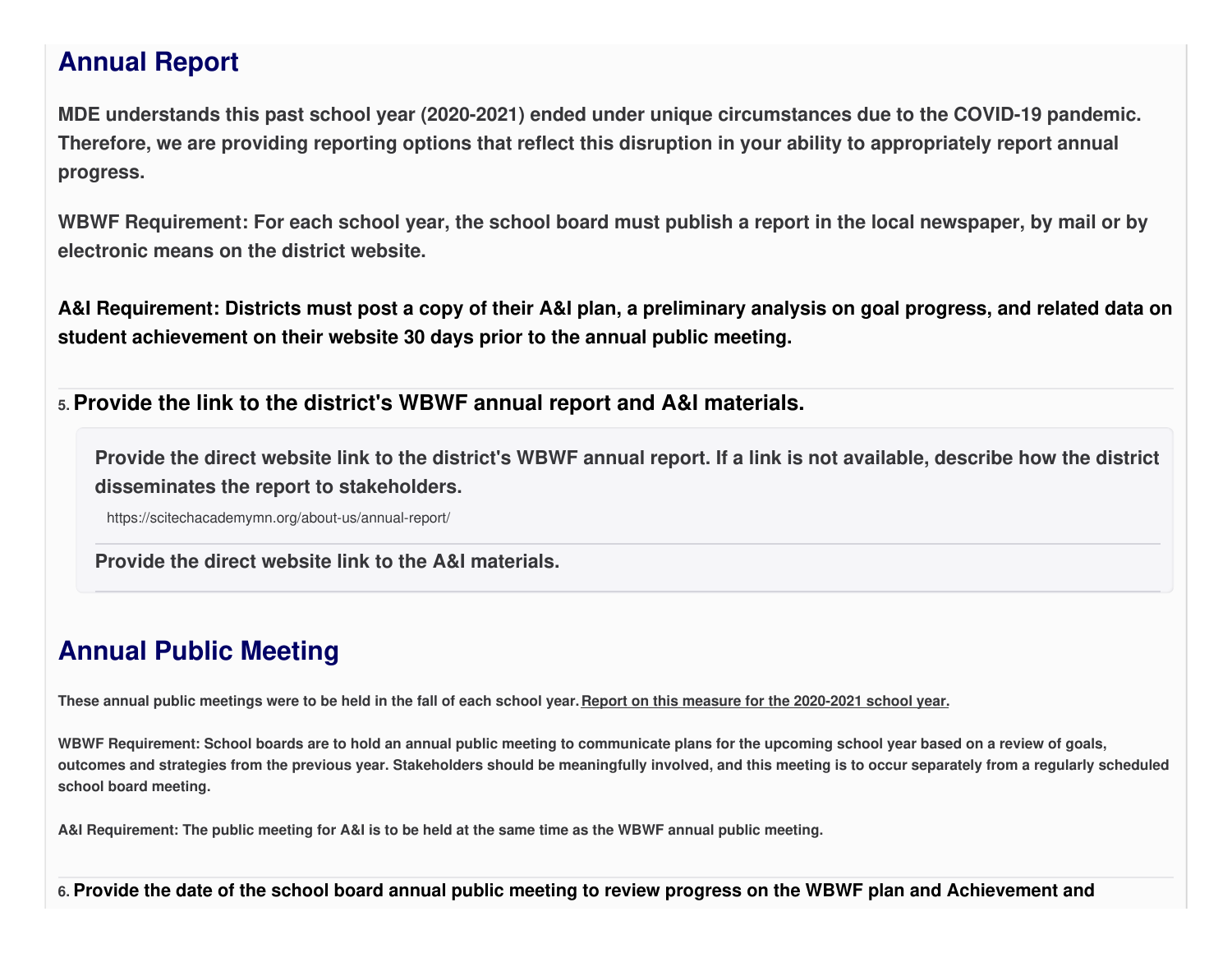# **Annual Report**

**MDE understands this past school year (2020-2021) ended under unique circumstances due to the COVID-19 pandemic.** Therefore, we are providing reporting options that reflect this disruption in your ability to appropriately report annual **progress.**

WBWF Requirement: For each school year, the school board must publish a report in the local newspaper, by mail or by **electronic means on the district website.**

A&I Requirement: Districts must post a copy of their A&I plan, a preliminary analysis on goal progress, and related data on **student achievement on their website 30 days prior to the annual public meeting.**

**5. Provide the link to the district's WBWF annual report and A&I materials.**

Provide the direct website link to the district's WBWF annual report. If a link is not available, describe how the district **disseminates the report to stakeholders.**

https://scitechacademymn.org/about-us/annual-report/

**Provide the direct website link to the A&I materials.**

# **Annual Public Meeting**

These annual public meetings were to be held in the fall of each school year. Report on this measure for the 2020-2021 school year.

WBWF Requirement: School boards are to hold an annual public meeting to communicate plans for the upcoming school year based on a review of goals, outcomes and strategies from the previous year. Stakeholders should be meaningfully involved, and this meeting is to occur separately from a regularly scheduled **school board meeting.**

A&I Requirement: The public meeting for A&I is to be held at the same time as the WBWF annual public meeting.

6. Provide the date of the school board annual public meeting to review progress on the WBWF plan and Achievement and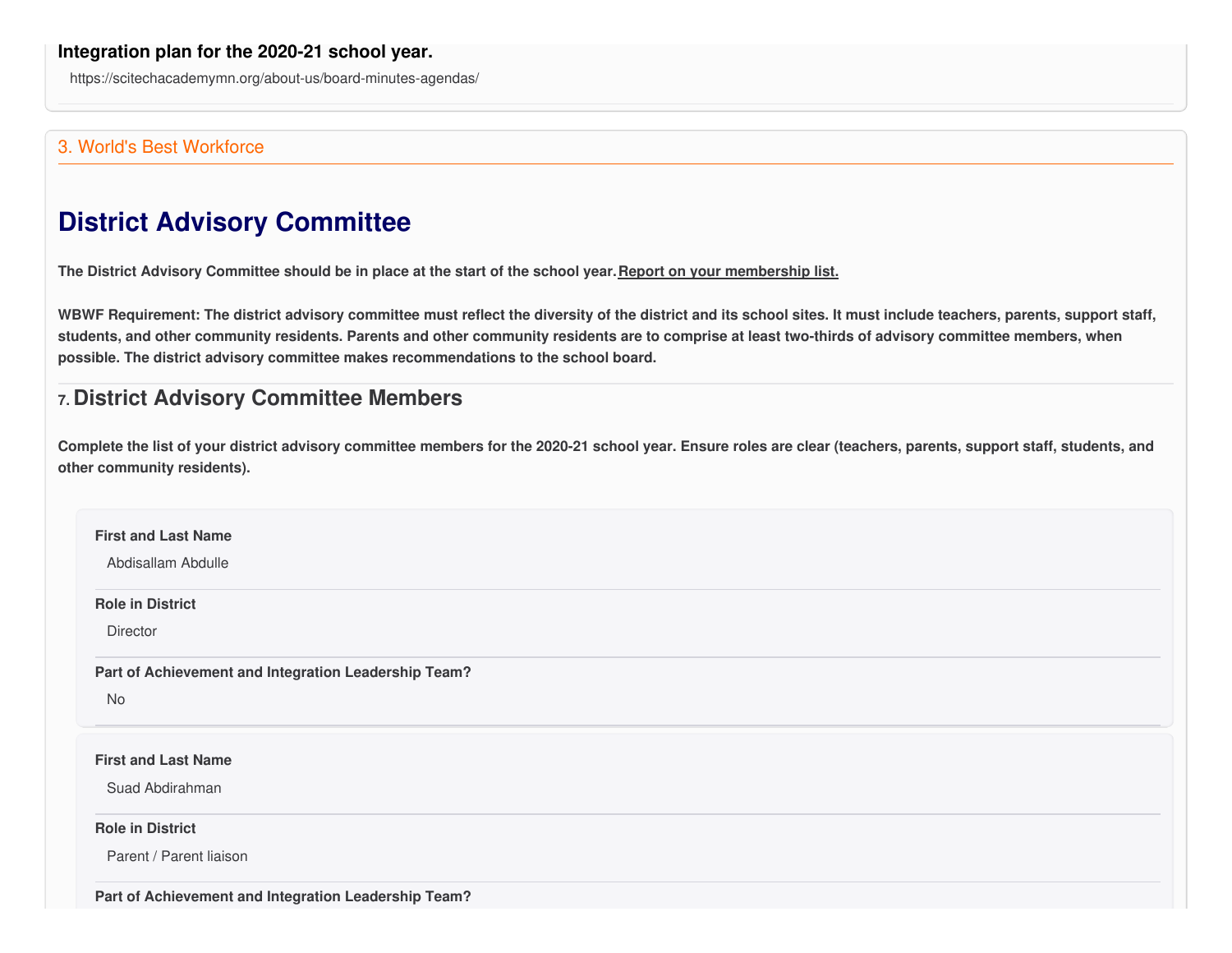https://scitechacademymn.org/about-us/board-minutes-agendas/

#### 3. World's Best Workforce

# **District Advisory Committee**

The District Advisory Committee should be in place at the start of the school year. Report on your membership list.

WBWF Requirement: The district advisory committee must reflect the diversity of the district and its school sites. It must include teachers, parents, support staff, students, and other community residents. Parents and other community residents are to comprise at least two-thirds of advisory committee members, when **possible. The district advisory committee makes recommendations to the school board.**

### **7. District Advisory Committee Members**

Complete the list of your district advisory committee members for the 2020-21 school year. Ensure roles are clear (teachers, parents, support staff, students, and **other community residents).**

| <b>First and Last Name</b><br>Abdisallam Abdulle           |
|------------------------------------------------------------|
| <b>Role in District</b>                                    |
| Director                                                   |
| Part of Achievement and Integration Leadership Team?<br>No |
|                                                            |
| <b>First and Last Name</b>                                 |
| Suad Abdirahman                                            |
| <b>Role in District</b>                                    |
| Parent / Parent liaison                                    |

**Part of Achievement and Integration Leadership Team?**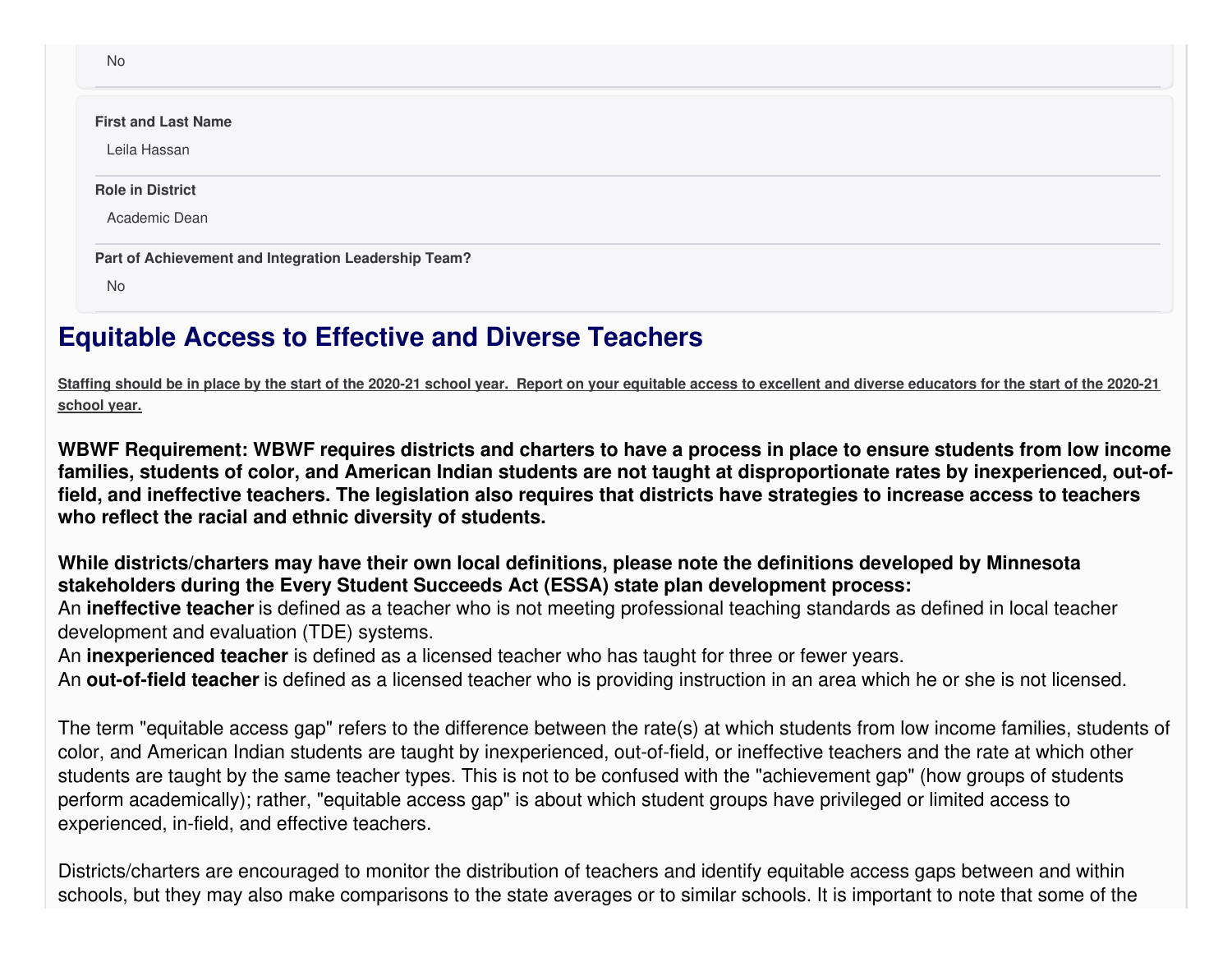| No                                                   |  |
|------------------------------------------------------|--|
| <b>First and Last Name</b>                           |  |
| Leila Hassan                                         |  |
| <b>Role in District</b>                              |  |
| Academic Dean                                        |  |
| Part of Achievement and Integration Leadership Team? |  |
| No                                                   |  |

# **Equitable Access to Effective and Diverse Teachers**

Staffing should be in place by the start of the 2020-21 school year. Report on your equitable access to excellent and diverse educators for the start of the 2020-21 **school year.**

WBWF Requirement: WBWF requires districts and charters to have a process in place to ensure students from low income families, students of color, and American Indian students are not taught at disproportionate rates by inexperienced, out-offield, and ineffective teachers. The legislation also requires that districts have strategies to increase access to teachers **who reflect the racial and ethnic diversity of students.**

**While districts/charters may have their own local definitions, please note the definitions developed by Minnesota stakeholders during the Every Student Succeeds Act (ESSA) state plan development process:**

An **ineffective teacher** is defined as a teacher who is not meeting professional teaching standards as defined in local teacher development and evaluation (TDE) systems.

An **inexperienced teacher** is defined as a licensed teacher who has taught for three or fewer years.

An **out-of-field teacher** is defined as a licensed teacher who is providing instruction in an area which he or she is not licensed.

The term "equitable access gap" refers to the difference between the rate(s) at which students from low income families, students of color, and American Indian students are taught by inexperienced, out-of-field, or ineffective teachers and the rate at which other students are taught by the same teacher types. This is not to be confused with the "achievement gap" (how groups of students perform academically); rather, "equitable access gap" is about which student groups have privileged or limited access to experienced, in-field, and effective teachers.

Districts/charters are encouraged to monitor the distribution of teachers and identify equitable access gaps between and within schools, but they may also make comparisons to the state averages or to similar schools. It is important to note that some of the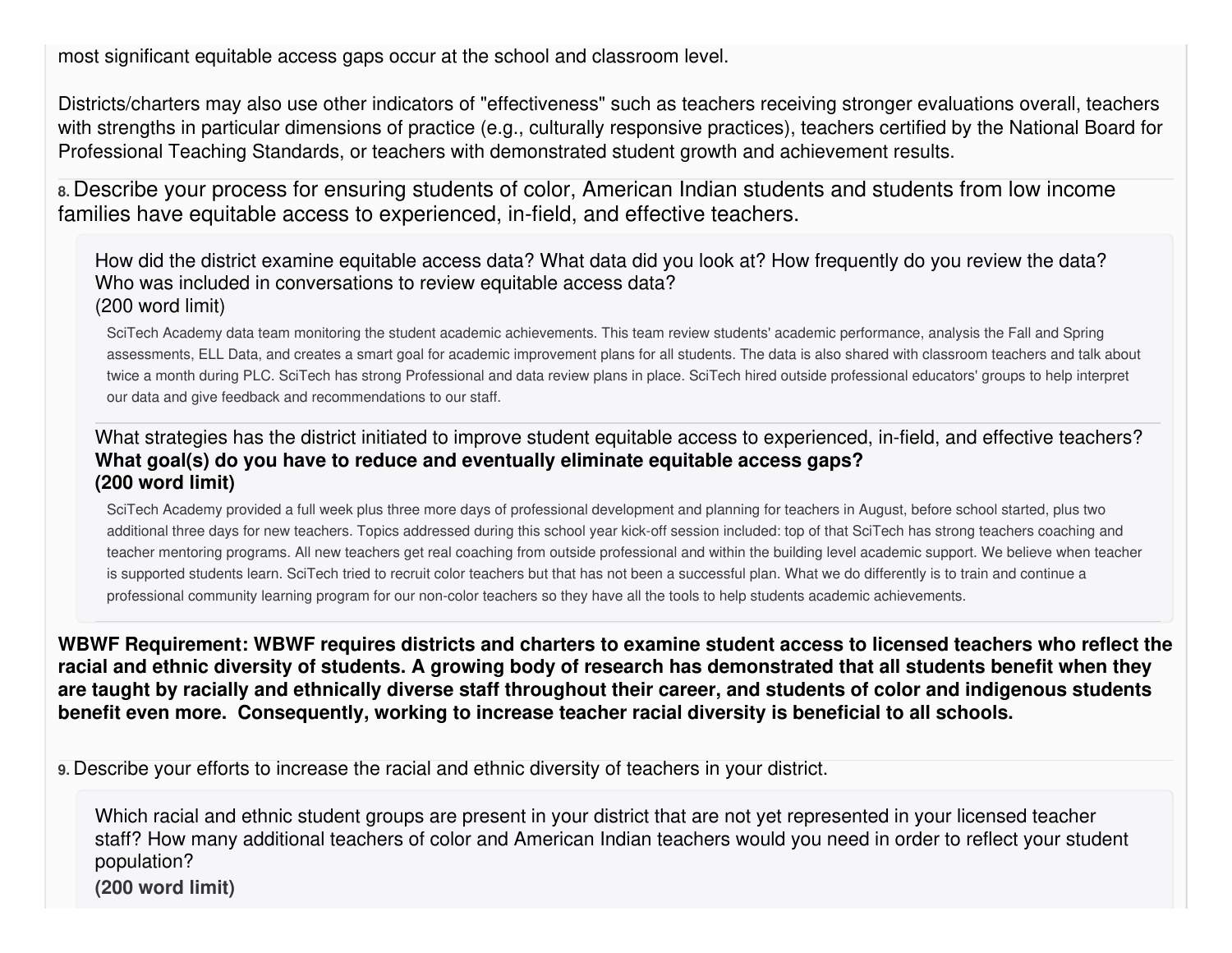most significant equitable access gaps occur at the school and classroom level.

Districts/charters may also use other indicators of "effectiveness" such as teachers receiving stronger evaluations overall, teachers with strengths in particular dimensions of practice (e.g., culturally responsive practices), teachers certified by the National Board for Professional Teaching Standards, or teachers with demonstrated student growth and achievement results.

**8.** Describe your process for ensuring students of color, American Indian students and students from low income families have equitable access to experienced, in-field, and effective teachers.

How did the district examine equitable access data? What data did you look at? How frequently do you review the data? Who was included in conversations to review equitable access data? (200 word limit)

SciTech Academy data team monitoring the student academic achievements. This team review students' academic performance, analysis the Fall and Spring assessments, ELL Data, and creates a smart goal for academic improvement plans for all students. The data is also shared with classroom teachers and talk about twice a month during PLC. SciTech has strong Professional and data review plans in place. SciTech hired outside professional educators' groups to help interpret our data and give feedback and recommendations to our staff.

#### What strategies has the district initiated to improve student equitable access to experienced, in-field, and effective teachers? **What goal(s) do you have to reduce and eventually eliminate equitable access gaps? (200 word limit)**

SciTech Academy provided a full week plus three more days of professional development and planning for teachers in August, before school started, plus two additional three days for new teachers. Topics addressed during this school year kick-off session included: top of that SciTech has strong teachers coaching and teacher mentoring programs. All new teachers get real coaching from outside professional and within the building level academic support. We believe when teacher is supported students learn. SciTech tried to recruit color teachers but that has not been a successful plan. What we do differently is to train and continue a professional community learning program for our non-color teachers so they have all the tools to help students academic achievements.

WBWF Requirement: WBWF requires districts and charters to examine student access to licensed teachers who reflect the racial and ethnic diversity of students. A growing body of research has demonstrated that all students benefit when they are taught by racially and ethnically diverse staff throughout their career, and students of color and indigenous students **benefit even more. Consequently, working to increase teacher racial diversity is beneficial to all schools.**

**9.** Describe your efforts to increase the racial and ethnic diversity of teachers in your district.

Which racial and ethnic student groups are present in your district that are not yet represented in your licensed teacher staff? How many additional teachers of color and American Indian teachers would you need in order to reflect your student population? **(200 word limit)**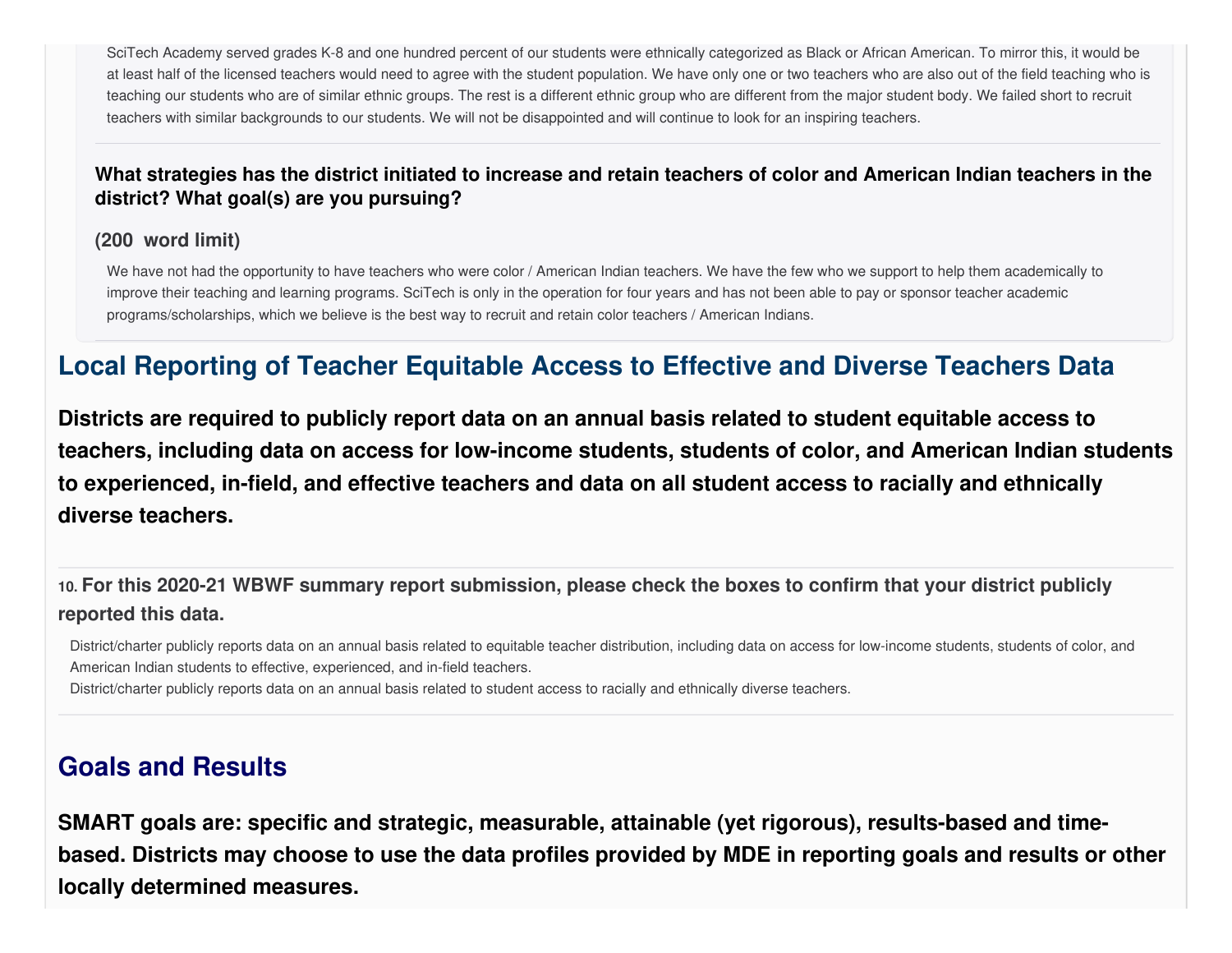SciTech Academy served grades K-8 and one hundred percent of our students were ethnically categorized as Black or African American. To mirror this, it would be at least half of the licensed teachers would need to agree with the student population. We have only one or two teachers who are also out of the field teaching who is teaching our students who are of similar ethnic groups. The rest is a different ethnic group who are different from the major student body. We failed short to recruit teachers with similar backgrounds to our students. We will not be disappointed and will continue to look for an inspiring teachers.

#### What strategies has the district initiated to increase and retain teachers of color and American Indian teachers in the **district? What goal(s) are you pursuing?**

#### **(200 word limit)**

We have not had the opportunity to have teachers who were color / American Indian teachers. We have the few who we support to help them academically to improve their teaching and learning programs. SciTech is only in the operation for four years and has not been able to pay or sponsor teacher academic programs/scholarships, which we believe is the best way to recruit and retain color teachers / American Indians.

# **Local Reporting of Teacher Equitable Access to Effective and Diverse Teachers Data**

**Districts are required to publicly report data on an annual basis related to student equitable access to teachers, including data on access for low-income students, students of color, and American Indian students to experienced, in-field, and effective teachers and data on all student access to racially and ethnically diverse teachers.**

10. For this 2020-21 WBWF summary report submission, please check the boxes to confirm that your district publicly **reported this data.**

District/charter publicly reports data on an annual basis related to equitable teacher distribution, including data on access for low-income students, students of color, and American Indian students to effective, experienced, and in-field teachers.

District/charter publicly reports data on an annual basis related to student access to racially and ethnically diverse teachers.

# **Goals and Results**

**SMART goals are: specific and strategic, measurable, attainable (yet rigorous), results-based and time**based. Districts may choose to use the data profiles provided by MDE in reporting goals and results or other **locally determined measures.**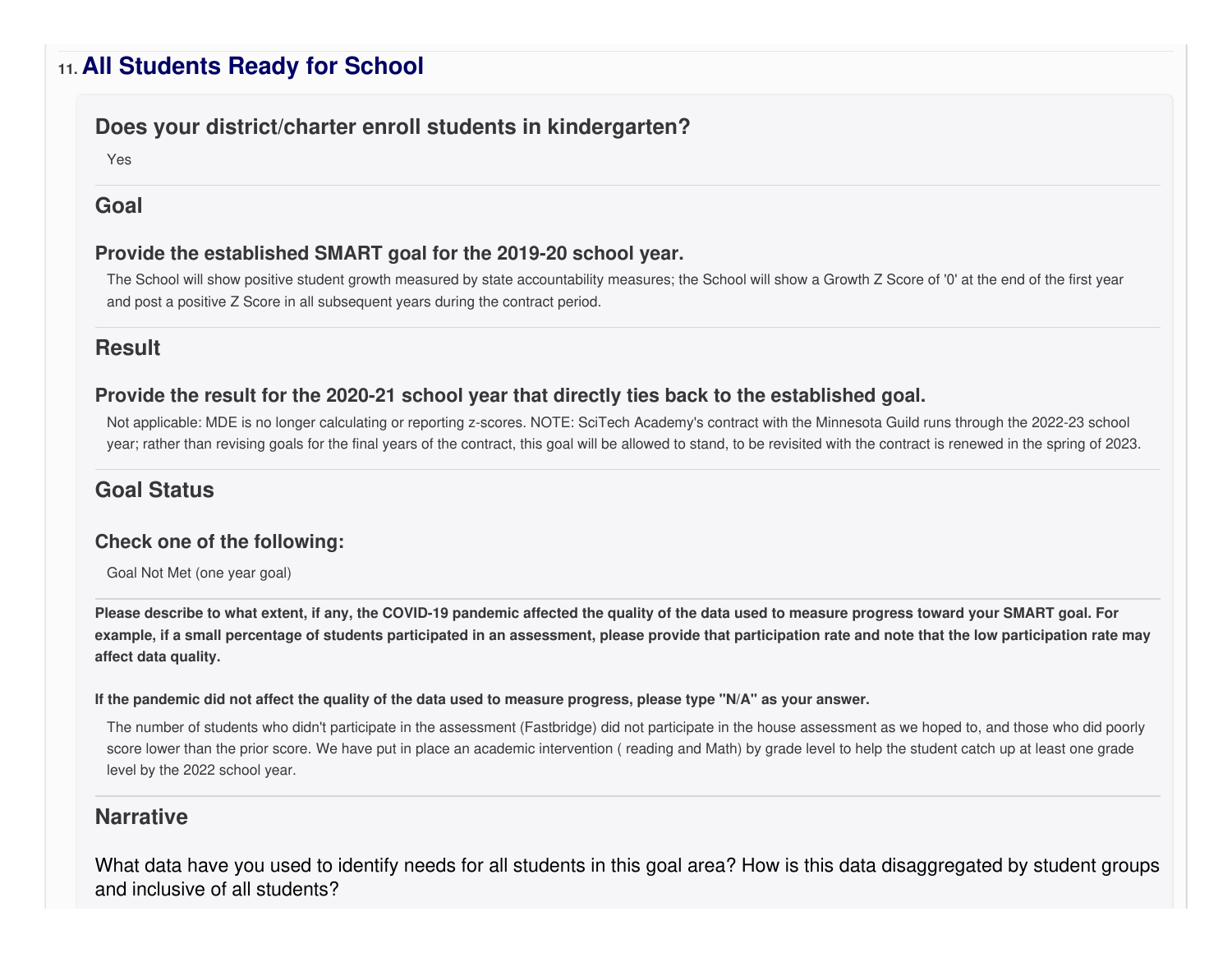## **11. All Students Ready for School**

#### **Does your district/charter enroll students in kindergarten?**

Yes

#### **Goal**

#### **Provide the established SMART goal for the 2019-20 school year.**

The School will show positive student growth measured by state accountability measures; the School will show a Growth Z Score of '0' at the end of the first year and post a positive Z Score in all subsequent years during the contract period.

#### **Result**

#### **Provide the result for the 2020-21 school year that directly ties back to the established goal.**

Not applicable: MDE is no longer calculating or reporting z-scores. NOTE: SciTech Academy's contract with the Minnesota Guild runs through the 2022-23 school year; rather than revising goals for the final years of the contract, this goal will be allowed to stand, to be revisited with the contract is renewed in the spring of 2023.

### **Goal Status**

#### **Check one of the following:**

Goal Not Met (one year goal)

Please describe to what extent, if any, the COVID-19 pandemic affected the quality of the data used to measure progress toward your SMART goal. For example, if a small percentage of students participated in an assessment, please provide that participation rate and note that the low participation rate may **affect data quality.**

#### If the pandemic did not affect the quality of the data used to measure progress, please type "N/A" as your answer.

The number of students who didn't participate in the assessment (Fastbridge) did not participate in the house assessment as we hoped to, and those who did poorly score lower than the prior score. We have put in place an academic intervention ( reading and Math) by grade level to help the student catch up at least one grade level by the 2022 school year.

#### **Narrative**

What data have you used to identify needs for all students in this goal area? How is this data disaggregated by student groups and inclusive of all students?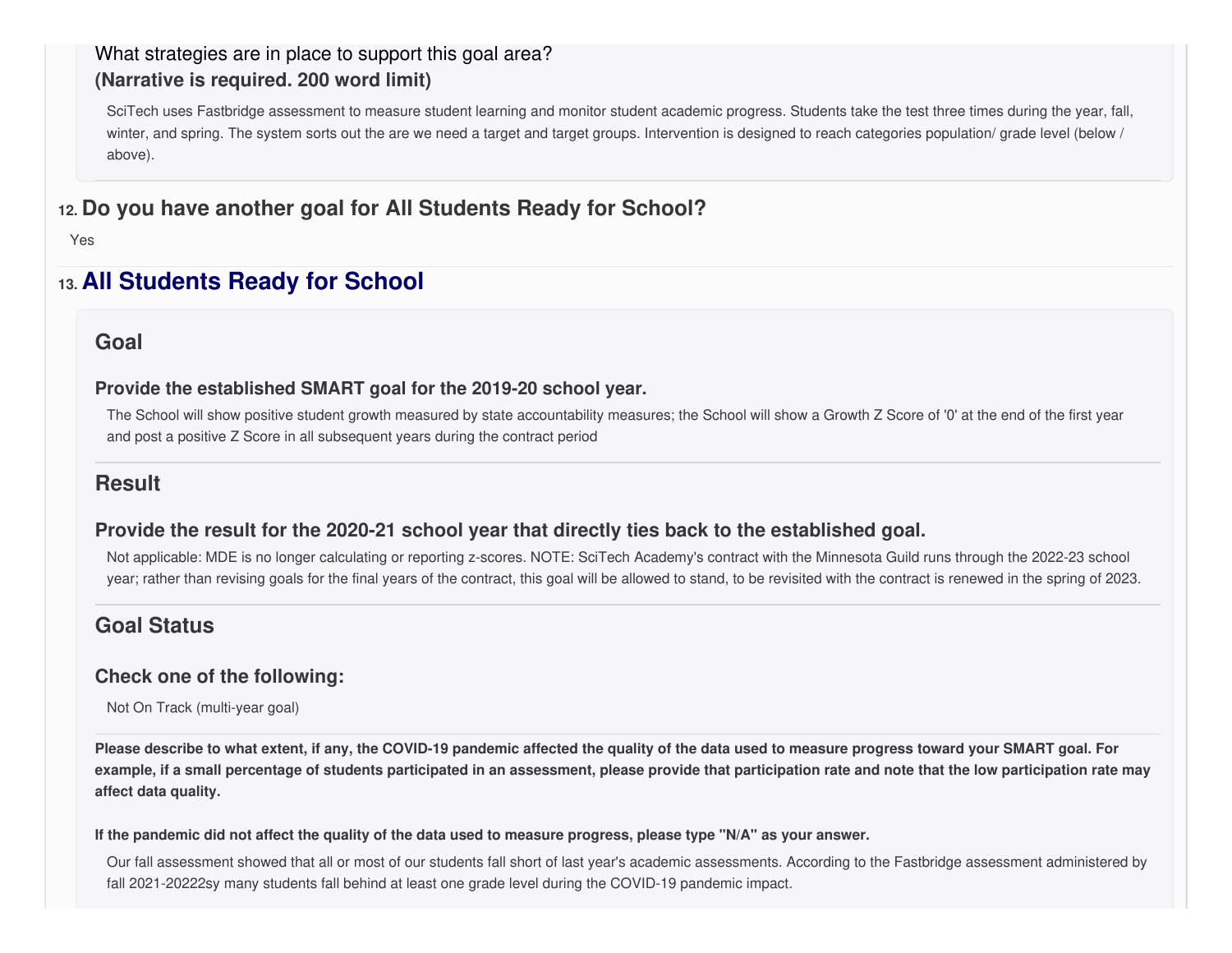### What strategies are in place to support this goal area? **(Narrative is required. 200 word limit)**

SciTech uses Fastbridge assessment to measure student learning and monitor student academic progress. Students take the test three times during the year, fall, winter, and spring. The system sorts out the are we need a target and target groups. Intervention is designed to reach categories population/ grade level (below / above).

### **12. Do you have another goal for All Students Ready for School?**

Yes

## **13. All Students Ready for School**

#### **Goal**

#### **Provide the established SMART goal for the 2019-20 school year.**

The School will show positive student growth measured by state accountability measures; the School will show a Growth Z Score of '0' at the end of the first year and post a positive Z Score in all subsequent years during the contract period

### **Result**

#### **Provide the result for the 2020-21 school year that directly ties back to the established goal.**

Not applicable: MDE is no longer calculating or reporting z-scores. NOTE: SciTech Academy's contract with the Minnesota Guild runs through the 2022-23 school year; rather than revising goals for the final years of the contract, this goal will be allowed to stand, to be revisited with the contract is renewed in the spring of 2023.

### **Goal Status**

#### **Check one of the following:**

Not On Track (multi-year goal)

Please describe to what extent, if any, the COVID-19 pandemic affected the quality of the data used to measure progress toward your SMART goal. For example, if a small percentage of students participated in an assessment, please provide that participation rate and note that the low participation rate may **affect data quality.**

#### If the pandemic did not affect the quality of the data used to measure progress, please type "N/A" as your answer.

Our fall assessment showed that all or most of our students fall short of last year's academic assessments. According to the Fastbridge assessment administered by fall 2021-20222sy many students fall behind at least one grade level during the COVID-19 pandemic impact.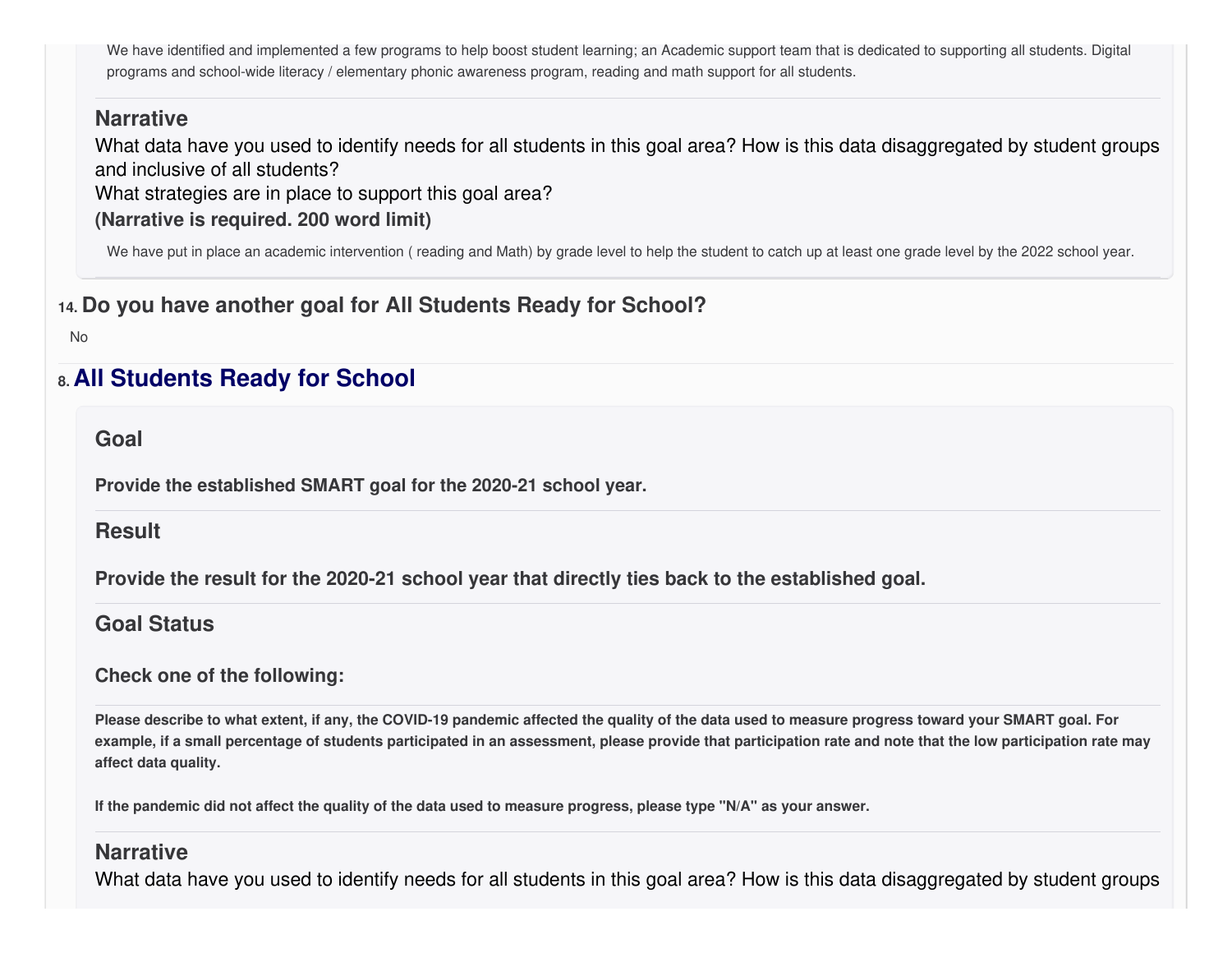We have identified and implemented a few programs to help boost student learning; an Academic support team that is dedicated to supporting all students. Digital programs and school-wide literacy / elementary phonic awareness program, reading and math support for all students.

#### **Narrative**

What data have you used to identify needs for all students in this goal area? How is this data disaggregated by student groups and inclusive of all students?

What strategies are in place to support this goal area?

#### **(Narrative is required. 200 word limit)**

We have put in place an academic intervention ( reading and Math) by grade level to help the student to catch up at least one grade level by the 2022 school year.

### **14. Do you have another goal for All Students Ready for School?**

No

# **8. All Students Ready for School**

**Goal**

**Provide the established SMART goal for the 2020-21 school year.**

#### **Result**

**Provide the result for the 2020-21 school year that directly ties back to the established goal.**

### **Goal Status**

#### **Check one of the following:**

Please describe to what extent, if any, the COVID-19 pandemic affected the quality of the data used to measure progress toward your SMART goal. For example, if a small percentage of students participated in an assessment, please provide that participation rate and note that the low participation rate may **affect data quality.**

If the pandemic did not affect the quality of the data used to measure progress, please type "N/A" as your answer.

### **Narrative**

What data have you used to identify needs for all students in this goal area? How is this data disaggregated by student groups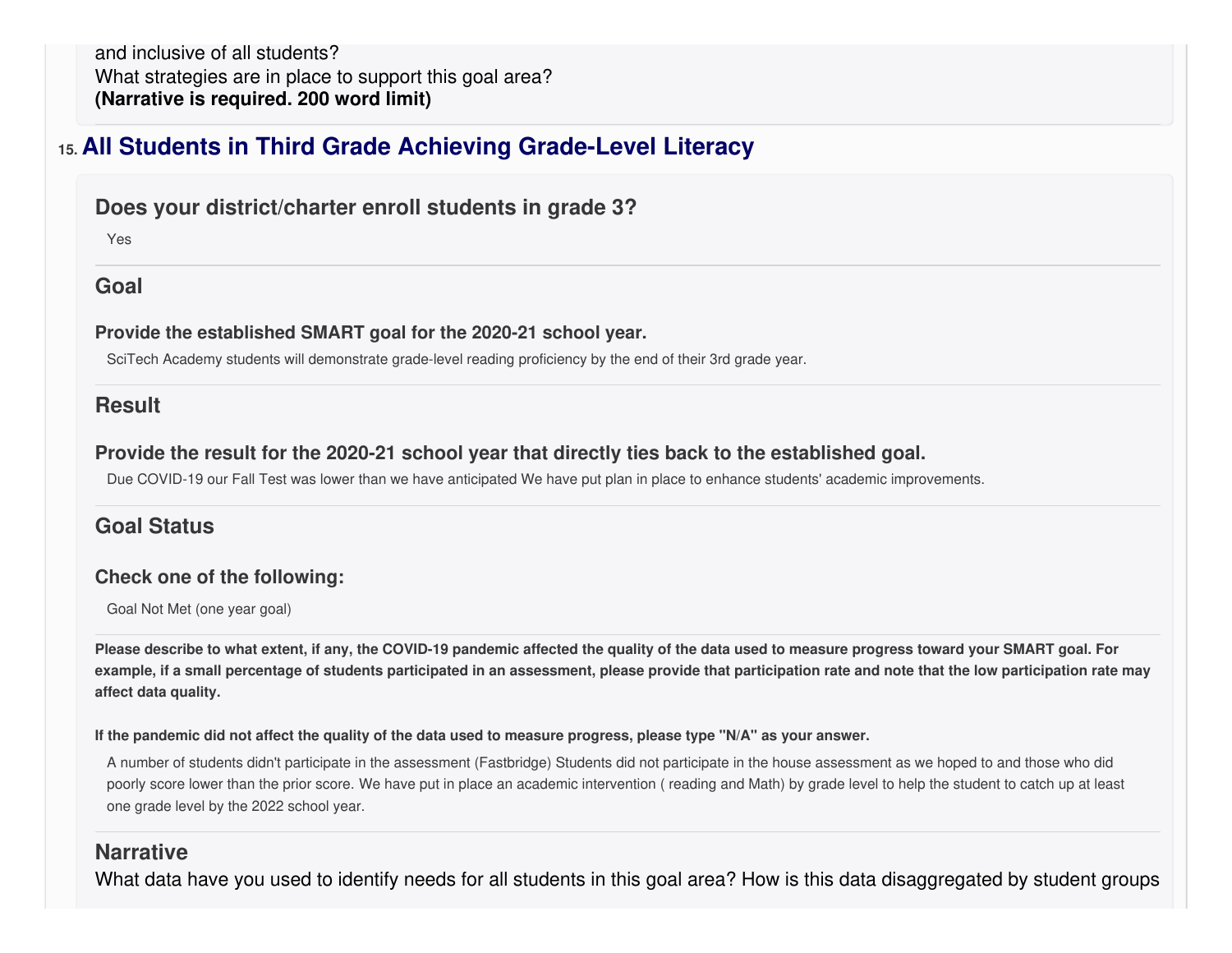and inclusive of all students? What strategies are in place to support this goal area? **(Narrative is required. 200 word limit)**

## **15. All Students in Third Grade Achieving Grade-Level Literacy**

#### **Does your district/charter enroll students in grade 3?**

Yes

#### **Goal**

#### **Provide the established SMART goal for the 2020-21 school year.**

SciTech Academy students will demonstrate grade-level reading proficiency by the end of their 3rd grade year.

#### **Result**

#### **Provide the result for the 2020-21 school year that directly ties back to the established goal.**

Due COVID-19 our Fall Test was lower than we have anticipated We have put plan in place to enhance students' academic improvements.

### **Goal Status**

#### **Check one of the following:**

Goal Not Met (one year goal)

Please describe to what extent, if any, the COVID-19 pandemic affected the quality of the data used to measure progress toward your SMART goal. For example, if a small percentage of students participated in an assessment, please provide that participation rate and note that the low participation rate may **affect data quality.**

#### If the pandemic did not affect the quality of the data used to measure progress, please type "N/A" as your answer.

A number of students didn't participate in the assessment (Fastbridge) Students did not participate in the house assessment as we hoped to and those who did poorly score lower than the prior score. We have put in place an academic intervention ( reading and Math) by grade level to help the student to catch up at least one grade level by the 2022 school year.

#### **Narrative**

What data have you used to identify needs for all students in this goal area? How is this data disaggregated by student groups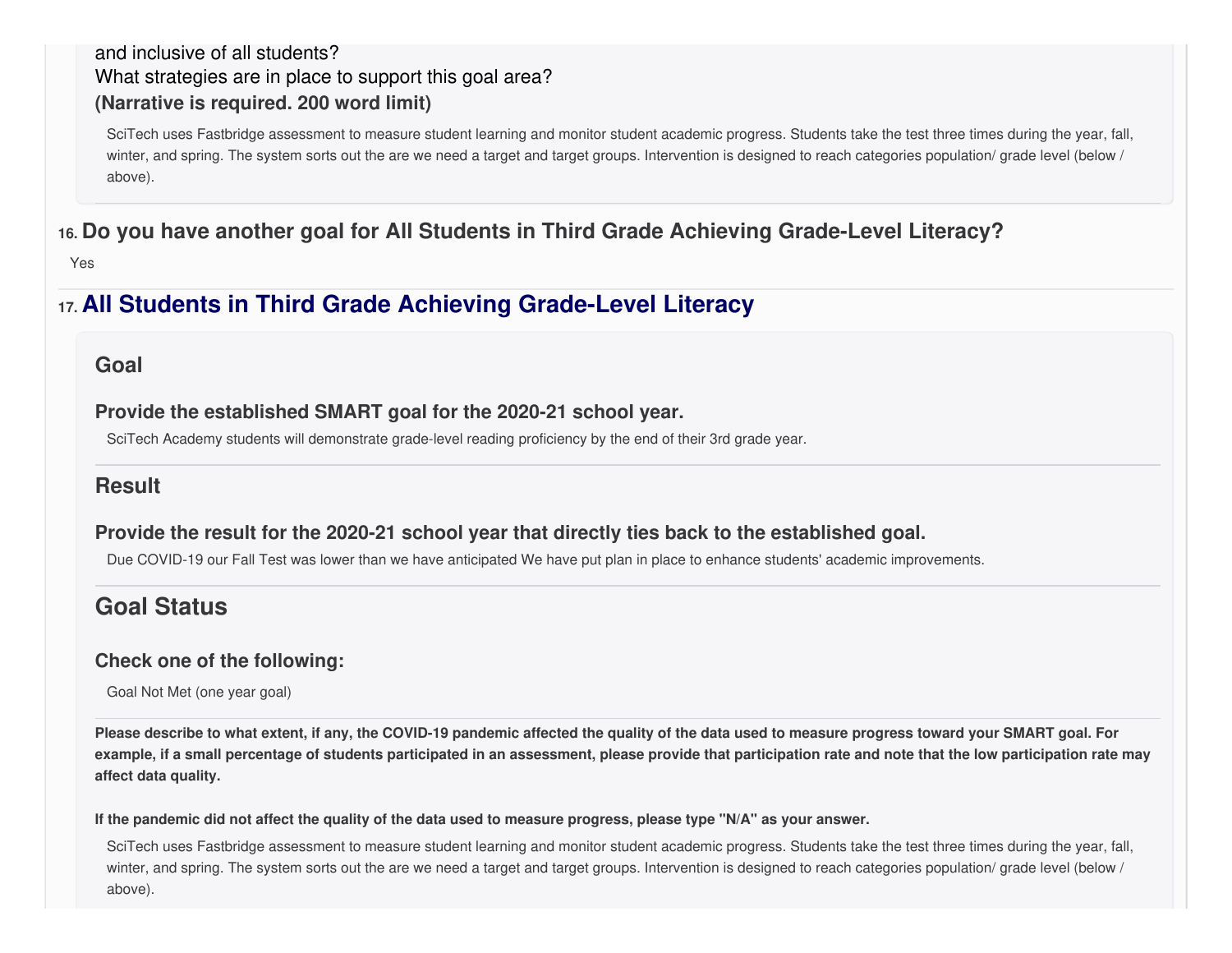#### and inclusive of all students? What strategies are in place to support this goal area? **(Narrative is required. 200 word limit)**

SciTech uses Fastbridge assessment to measure student learning and monitor student academic progress. Students take the test three times during the year, fall, winter, and spring. The system sorts out the are we need a target and target groups. Intervention is designed to reach categories population/ grade level (below / above).

### **16. Do you have another goal for All Students in Third Grade Achieving Grade-Level Literacy?**

Yes

## **17. All Students in Third Grade Achieving Grade-Level Literacy**

#### **Goal**

**Provide the established SMART goal for the 2020-21 school year.**

SciTech Academy students will demonstrate grade-level reading proficiency by the end of their 3rd grade year.

### **Result**

#### **Provide the result for the 2020-21 school year that directly ties back to the established goal.**

Due COVID-19 our Fall Test was lower than we have anticipated We have put plan in place to enhance students' academic improvements.

# **Goal Status**

#### **Check one of the following:**

Goal Not Met (one year goal)

Please describe to what extent, if any, the COVID-19 pandemic affected the quality of the data used to measure progress toward your SMART goal. For example, if a small percentage of students participated in an assessment, please provide that participation rate and note that the low participation rate may **affect data quality.**

#### If the pandemic did not affect the quality of the data used to measure progress, please type "N/A" as your answer.

SciTech uses Fastbridge assessment to measure student learning and monitor student academic progress. Students take the test three times during the year, fall, winter, and spring. The system sorts out the are we need a target and target groups. Intervention is designed to reach categories population/ grade level (below / above).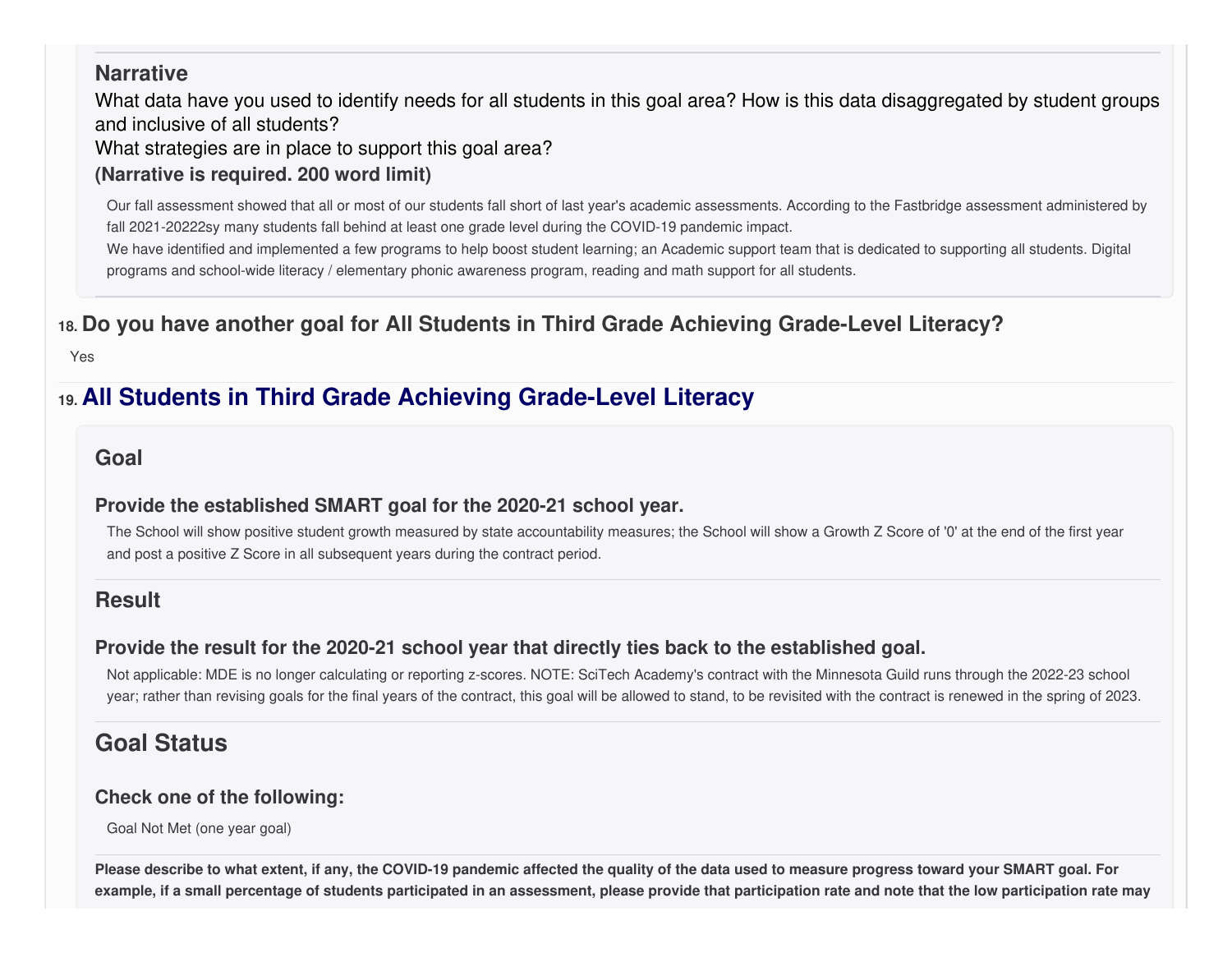#### **Narrative**

What data have you used to identify needs for all students in this goal area? How is this data disaggregated by student groups and inclusive of all students?

What strategies are in place to support this goal area?

### **(Narrative is required. 200 word limit)**

Our fall assessment showed that all or most of our students fall short of last year's academic assessments. According to the Fastbridge assessment administered by fall 2021-20222sy many students fall behind at least one grade level during the COVID-19 pandemic impact.

We have identified and implemented a few programs to help boost student learning; an Academic support team that is dedicated to supporting all students. Digital programs and school-wide literacy / elementary phonic awareness program, reading and math support for all students.

# **18. Do you have another goal for All Students in Third Grade Achieving Grade-Level Literacy?**

Yes

# **19. All Students in Third Grade Achieving Grade-Level Literacy**

#### **Goal**

#### **Provide the established SMART goal for the 2020-21 school year.**

The School will show positive student growth measured by state accountability measures; the School will show a Growth Z Score of '0' at the end of the first year and post a positive Z Score in all subsequent years during the contract period.

### **Result**

### **Provide the result for the 2020-21 school year that directly ties back to the established goal.**

Not applicable: MDE is no longer calculating or reporting z-scores. NOTE: SciTech Academy's contract with the Minnesota Guild runs through the 2022-23 school year; rather than revising goals for the final years of the contract, this goal will be allowed to stand, to be revisited with the contract is renewed in the spring of 2023.

# **Goal Status**

#### **Check one of the following:**

Goal Not Met (one year goal)

Please describe to what extent, if any, the COVID-19 pandemic affected the quality of the data used to measure progress toward your SMART goal. For example, if a small percentage of students participated in an assessment, please provide that participation rate and note that the low participation rate may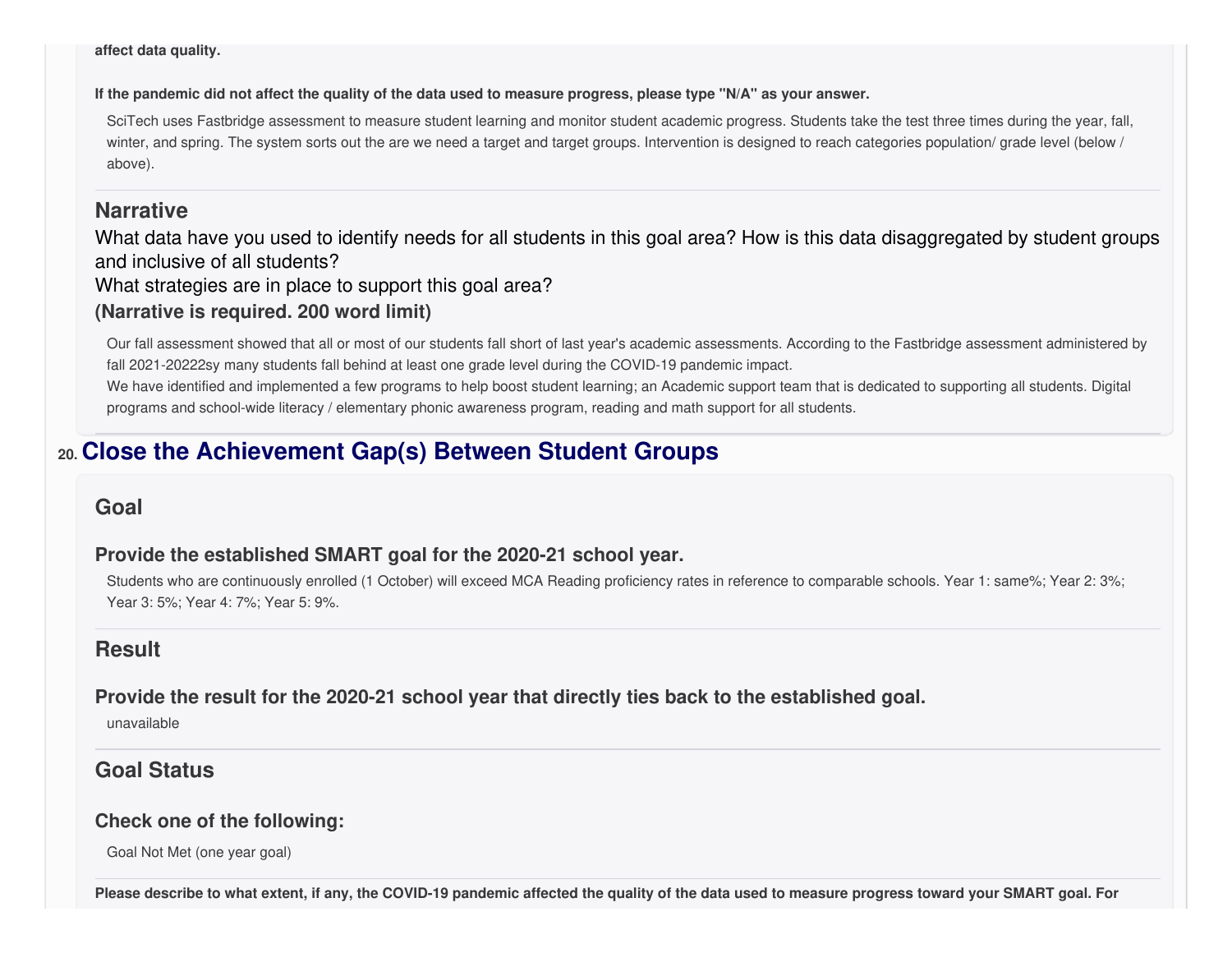**affect data quality.**

If the pandemic did not affect the quality of the data used to measure progress, please type "N/A" as your answer.

SciTech uses Fastbridge assessment to measure student learning and monitor student academic progress. Students take the test three times during the year, fall, winter, and spring. The system sorts out the are we need a target and target groups. Intervention is designed to reach categories population/ grade level (below / above).

#### **Narrative**

What data have you used to identify needs for all students in this goal area? How is this data disaggregated by student groups and inclusive of all students?

What strategies are in place to support this goal area?

#### **(Narrative is required. 200 word limit)**

Our fall assessment showed that all or most of our students fall short of last year's academic assessments. According to the Fastbridge assessment administered by fall 2021-20222sy many students fall behind at least one grade level during the COVID-19 pandemic impact.

We have identified and implemented a few programs to help boost student learning; an Academic support team that is dedicated to supporting all students. Digital programs and school-wide literacy / elementary phonic awareness program, reading and math support for all students.

# **20. Close the Achievement Gap(s) Between Student Groups**

#### **Goal**

#### **Provide the established SMART goal for the 2020-21 school year.**

Students who are continuously enrolled (1 October) will exceed MCA Reading proficiency rates in reference to comparable schools. Year 1: same%; Year 2: 3%; Year 3: 5%; Year 4: 7%; Year 5: 9%.

### **Result**

**Provide the result for the 2020-21 school year that directly ties back to the established goal.**

unavailable

### **Goal Status**

#### **Check one of the following:**

Goal Not Met (one year goal)

Please describe to what extent, if any, the COVID-19 pandemic affected the quality of the data used to measure progress toward your SMART goal. For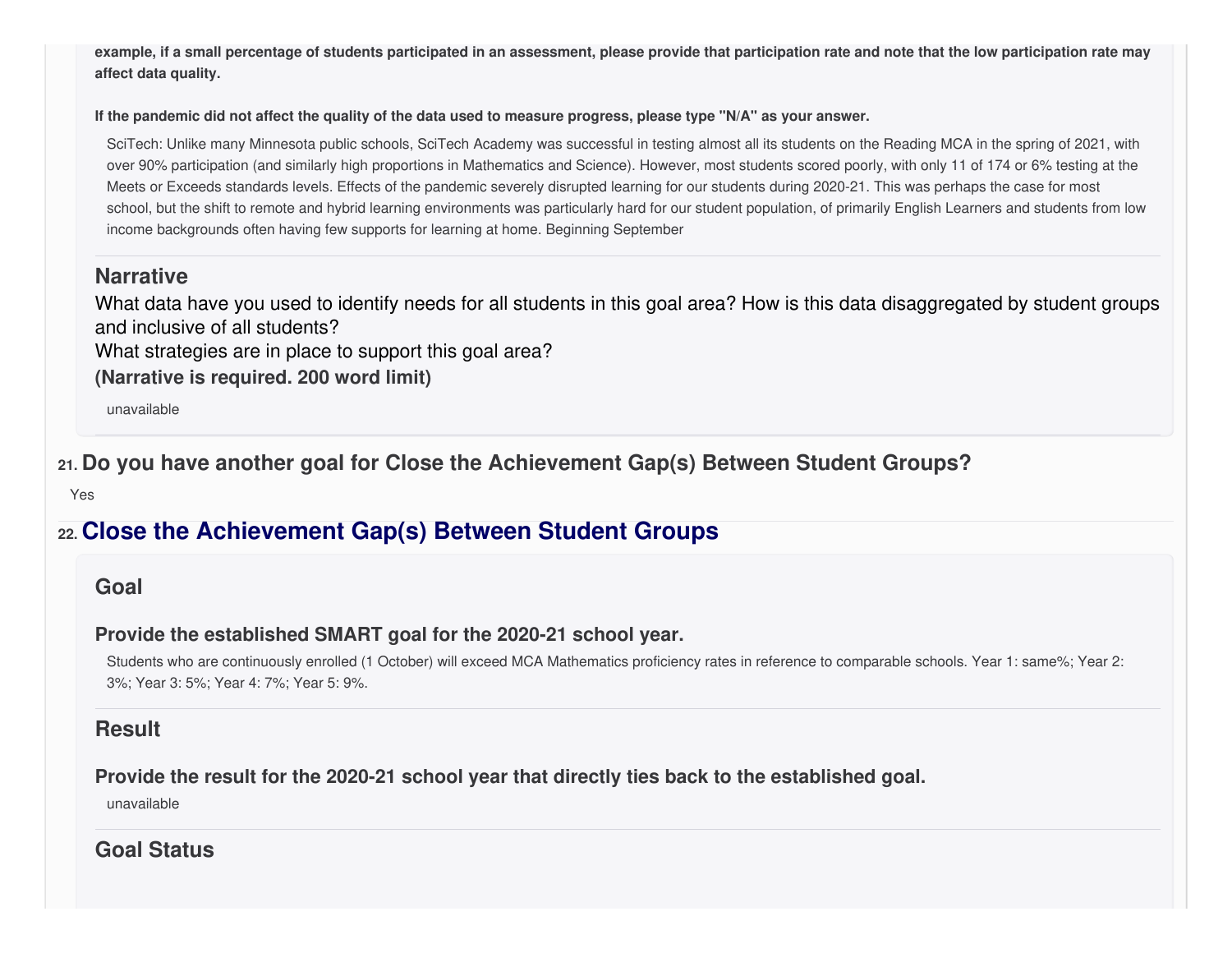example, if a small percentage of students participated in an assessment, please provide that participation rate and note that the low participation rate may **affect data quality.**

#### If the pandemic did not affect the quality of the data used to measure progress, please type "N/A" as your answer.

SciTech: Unlike many Minnesota public schools, SciTech Academy was successful in testing almost all its students on the Reading MCA in the spring of 2021, with over 90% participation (and similarly high proportions in Mathematics and Science). However, most students scored poorly, with only 11 of 174 or 6% testing at the Meets or Exceeds standards levels. Effects of the pandemic severely disrupted learning for our students during 2020-21. This was perhaps the case for most school, but the shift to remote and hybrid learning environments was particularly hard for our student population, of primarily English Learners and students from low income backgrounds often having few supports for learning at home. Beginning September

#### **Narrative**

What data have you used to identify needs for all students in this goal area? How is this data disaggregated by student groups and inclusive of all students?

What strategies are in place to support this goal area?

**(Narrative is required. 200 word limit)**

unavailable

**21. Do you have another goal for Close the Achievement Gap(s) Between Student Groups?**

Yes

# **22. Close the Achievement Gap(s) Between Student Groups**

#### **Goal**

#### **Provide the established SMART goal for the 2020-21 school year.**

Students who are continuously enrolled (1 October) will exceed MCA Mathematics proficiency rates in reference to comparable schools. Year 1: same%; Year 2: 3%; Year 3: 5%; Year 4: 7%; Year 5: 9%.

#### **Result**

#### **Provide the result for the 2020-21 school year that directly ties back to the established goal.**

unavailable

**Goal Status**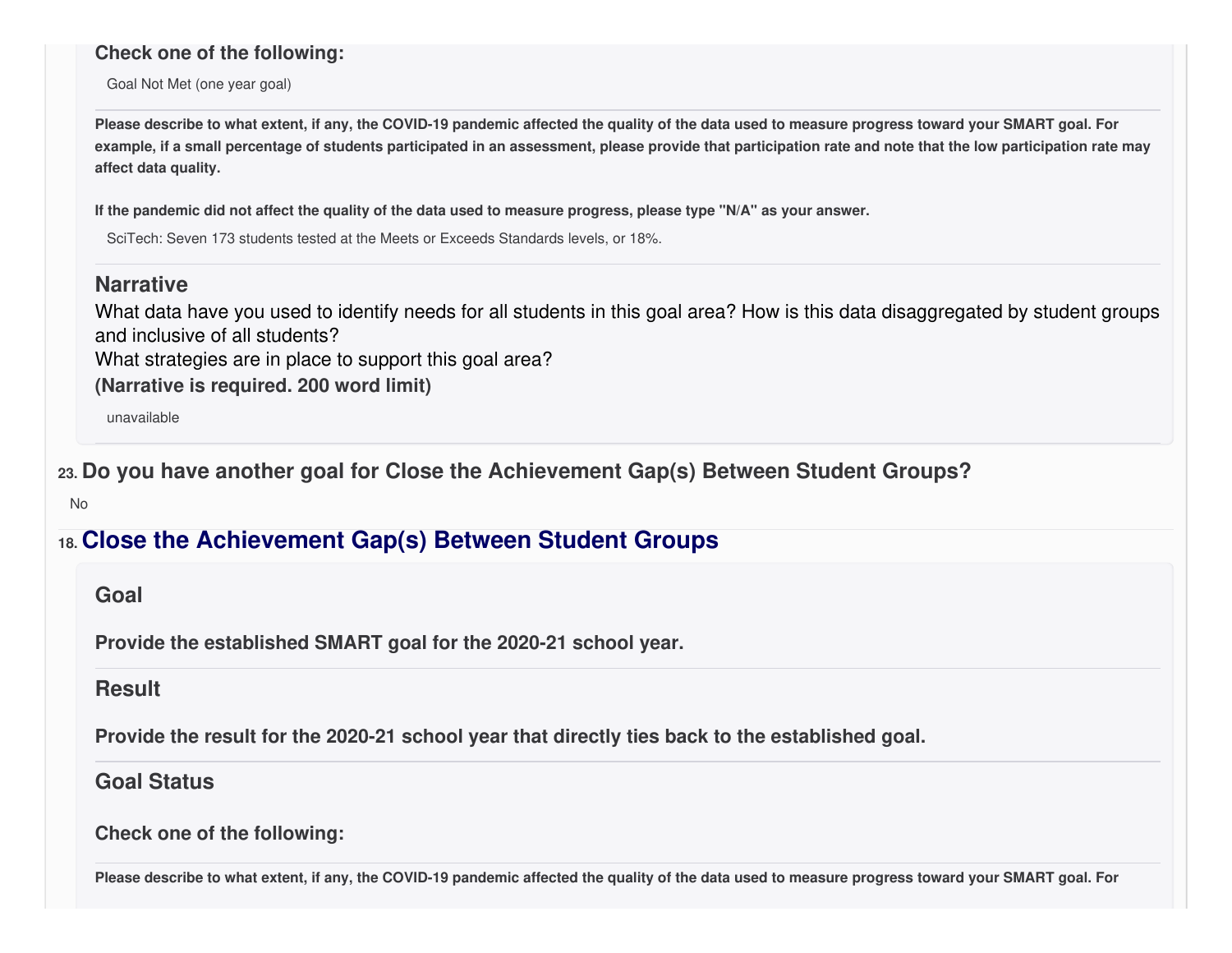#### **Check one of the following:**

Goal Not Met (one year goal)

Please describe to what extent, if any, the COVID-19 pandemic affected the quality of the data used to measure progress toward your SMART goal. For example, if a small percentage of students participated in an assessment, please provide that participation rate and note that the low participation rate may **affect data quality.**

If the pandemic did not affect the quality of the data used to measure progress, please type "N/A" as your answer.

SciTech: Seven 173 students tested at the Meets or Exceeds Standards levels, or 18%.

#### **Narrative**

What data have you used to identify needs for all students in this goal area? How is this data disaggregated by student groups and inclusive of all students?

What strategies are in place to support this goal area?

**(Narrative is required. 200 word limit)**

unavailable

**23. Do you have another goal for Close the Achievement Gap(s) Between Student Groups?**

No

## **18. Close the Achievement Gap(s) Between Student Groups**

#### **Goal**

**Provide the established SMART goal for the 2020-21 school year.**

#### **Result**

**Provide the result for the 2020-21 school year that directly ties back to the established goal.**

#### **Goal Status**

**Check one of the following:**

Please describe to what extent, if any, the COVID-19 pandemic affected the quality of the data used to measure progress toward your SMART goal. For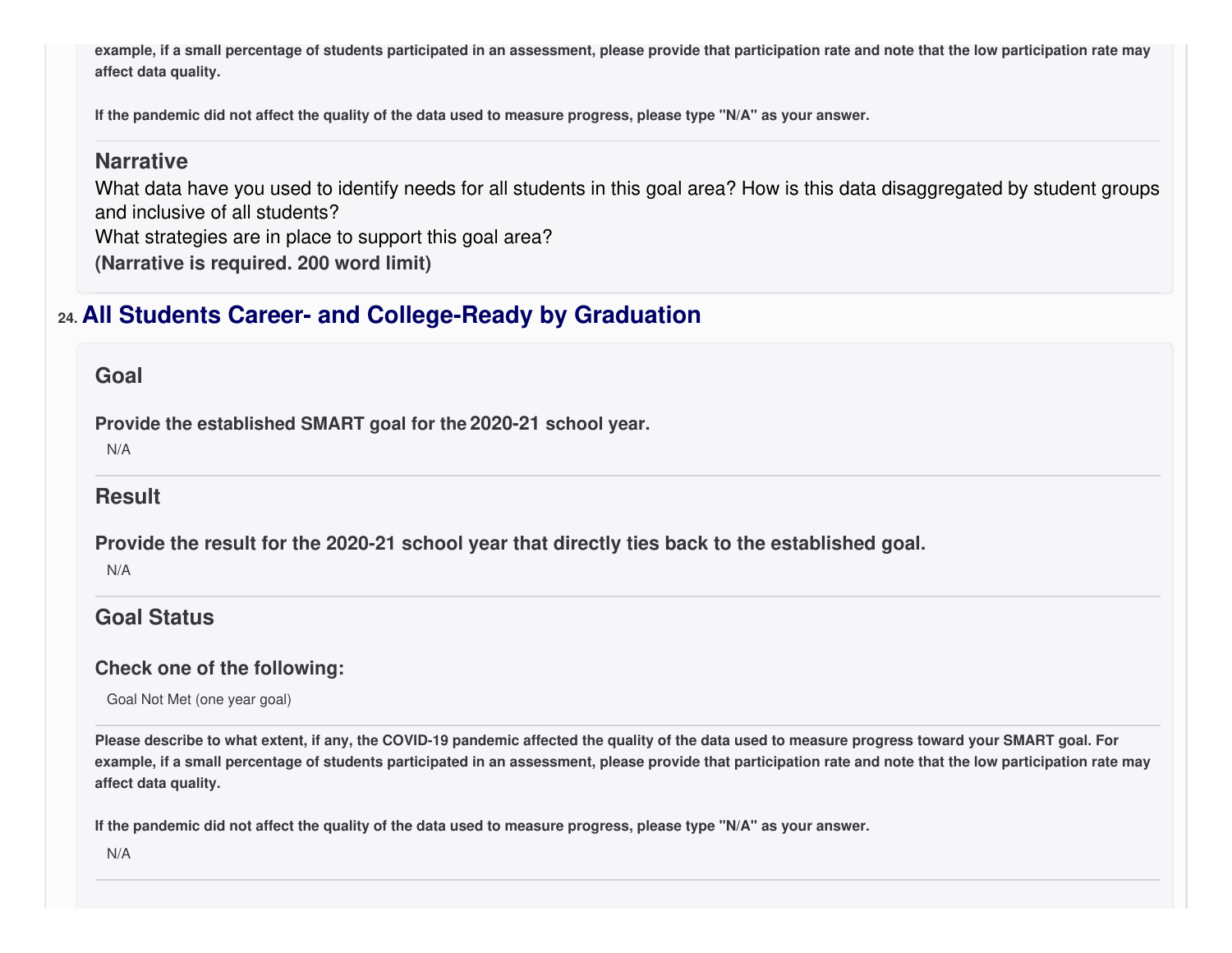example, if a small percentage of students participated in an assessment, please provide that participation rate and note that the low participation rate may **affect data quality.**

If the pandemic did not affect the quality of the data used to measure progress, please type "N/A" as your answer.

#### **Narrative**

What data have you used to identify needs for all students in this goal area? How is this data disaggregated by student groups and inclusive of all students?

What strategies are in place to support this goal area?

**(Narrative is required. 200 word limit)**

# **24. All Students Career- and College-Ready by Graduation**

#### **Goal**

**Provide the established SMART goal for the 2020-21 school year.**

N/A

### **Result**

**Provide the result for the 2020-21 school year that directly ties back to the established goal.**

N/A

## **Goal Status**

#### **Check one of the following:**

Goal Not Met (one year goal)

Please describe to what extent, if any, the COVID-19 pandemic affected the quality of the data used to measure progress toward your SMART goal. For example, if a small percentage of students participated in an assessment, please provide that participation rate and note that the low participation rate may **affect data quality.**

If the pandemic did not affect the quality of the data used to measure progress, please type "N/A" as your answer.

N/A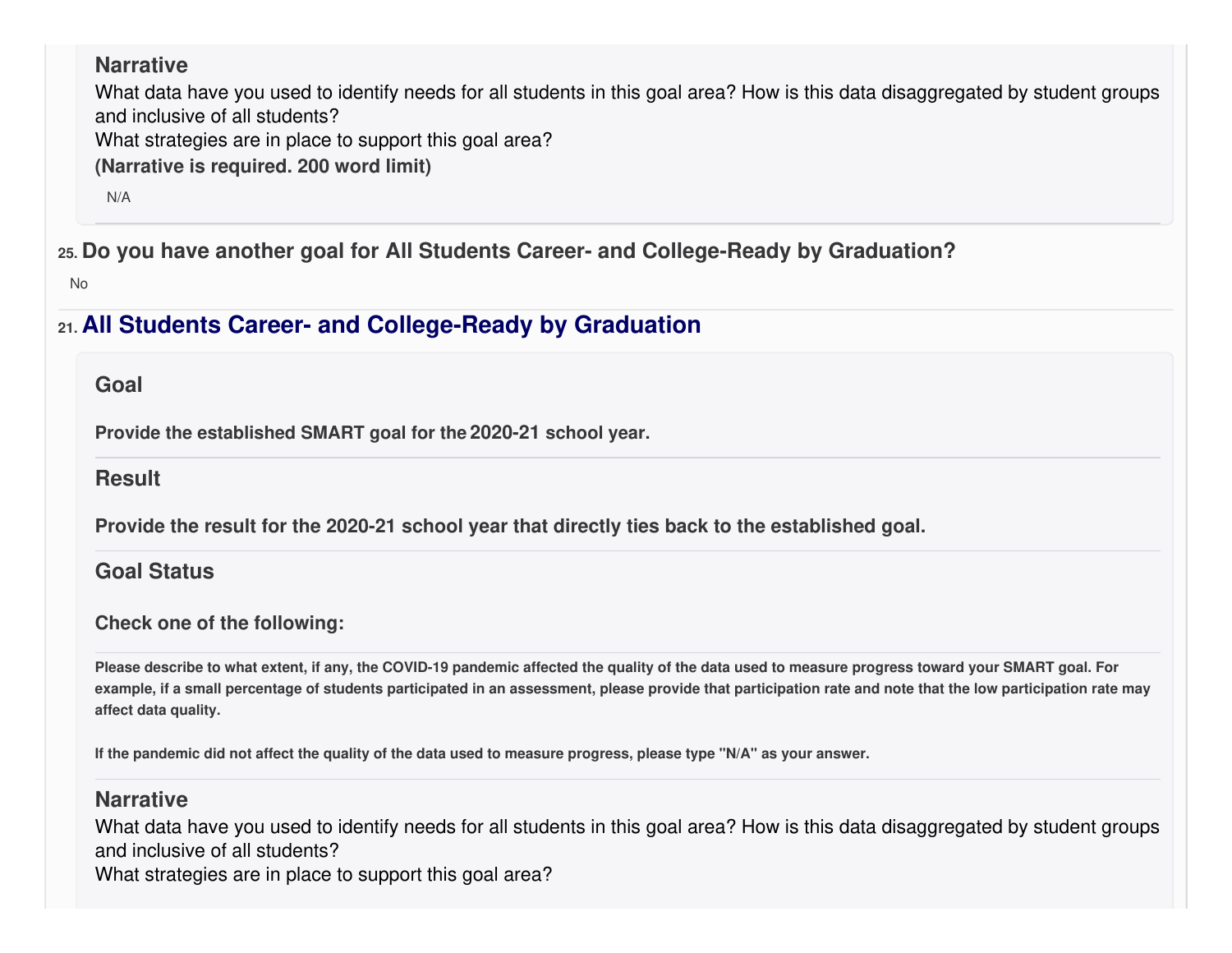### **Narrative**

What data have you used to identify needs for all students in this goal area? How is this data disaggregated by student groups and inclusive of all students?

What strategies are in place to support this goal area?

**(Narrative is required. 200 word limit)**

N/A

**25. Do you have another goal for All Students Career- and College-Ready by Graduation?**

No

# **21. All Students Career- and College-Ready by Graduation**

#### **Goal**

**Provide the established SMART goal for the 2020-21 school year.**

**Result**

**Provide the result for the 2020-21 school year that directly ties back to the established goal.**

**Goal Status**

#### **Check one of the following:**

Please describe to what extent, if any, the COVID-19 pandemic affected the quality of the data used to measure progress toward your SMART goal. For example, if a small percentage of students participated in an assessment, please provide that participation rate and note that the low participation rate may **affect data quality.**

If the pandemic did not affect the quality of the data used to measure progress, please type "N/A" as your answer.

#### **Narrative**

What data have you used to identify needs for all students in this goal area? How is this data disaggregated by student groups and inclusive of all students? What strategies are in place to support this goal area?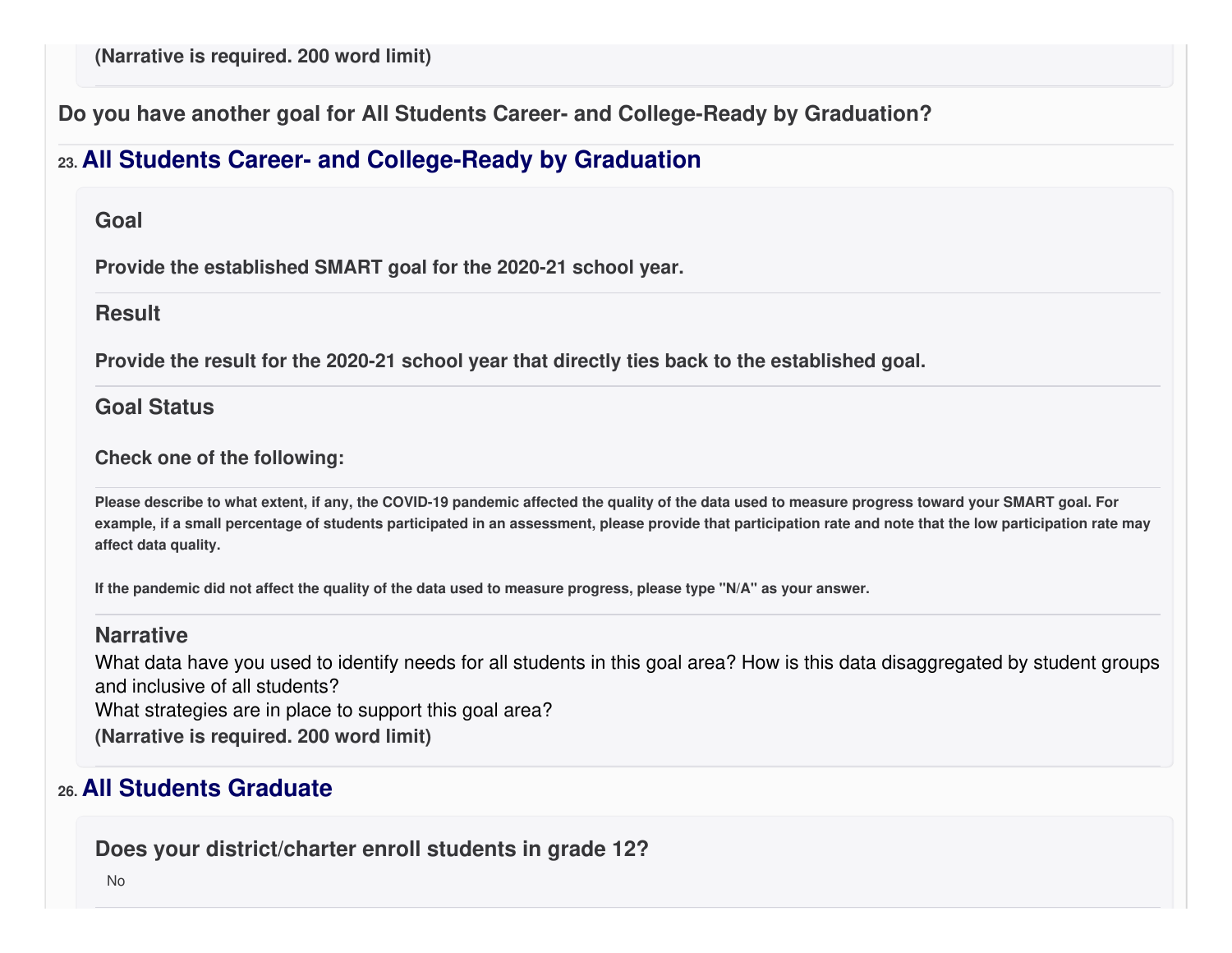**Do you have another goal for All Students Career- and College-Ready by Graduation?**

# **23. All Students Career- and College-Ready by Graduation**

#### **Goal**

**Provide the established SMART goal for the 2020-21 school year.**

#### **Result**

**Provide the result for the 2020-21 school year that directly ties back to the established goal.**

### **Goal Status**

#### **Check one of the following:**

Please describe to what extent, if any, the COVID-19 pandemic affected the quality of the data used to measure progress toward your SMART goal. For example, if a small percentage of students participated in an assessment, please provide that participation rate and note that the low participation rate may **affect data quality.**

If the pandemic did not affect the quality of the data used to measure progress, please type "N/A" as your answer.

#### **Narrative**

What data have you used to identify needs for all students in this goal area? How is this data disaggregated by student groups and inclusive of all students?

What strategies are in place to support this goal area?

**(Narrative is required. 200 word limit)**

# **26. All Students Graduate**

**Does your district/charter enroll students in grade 12?**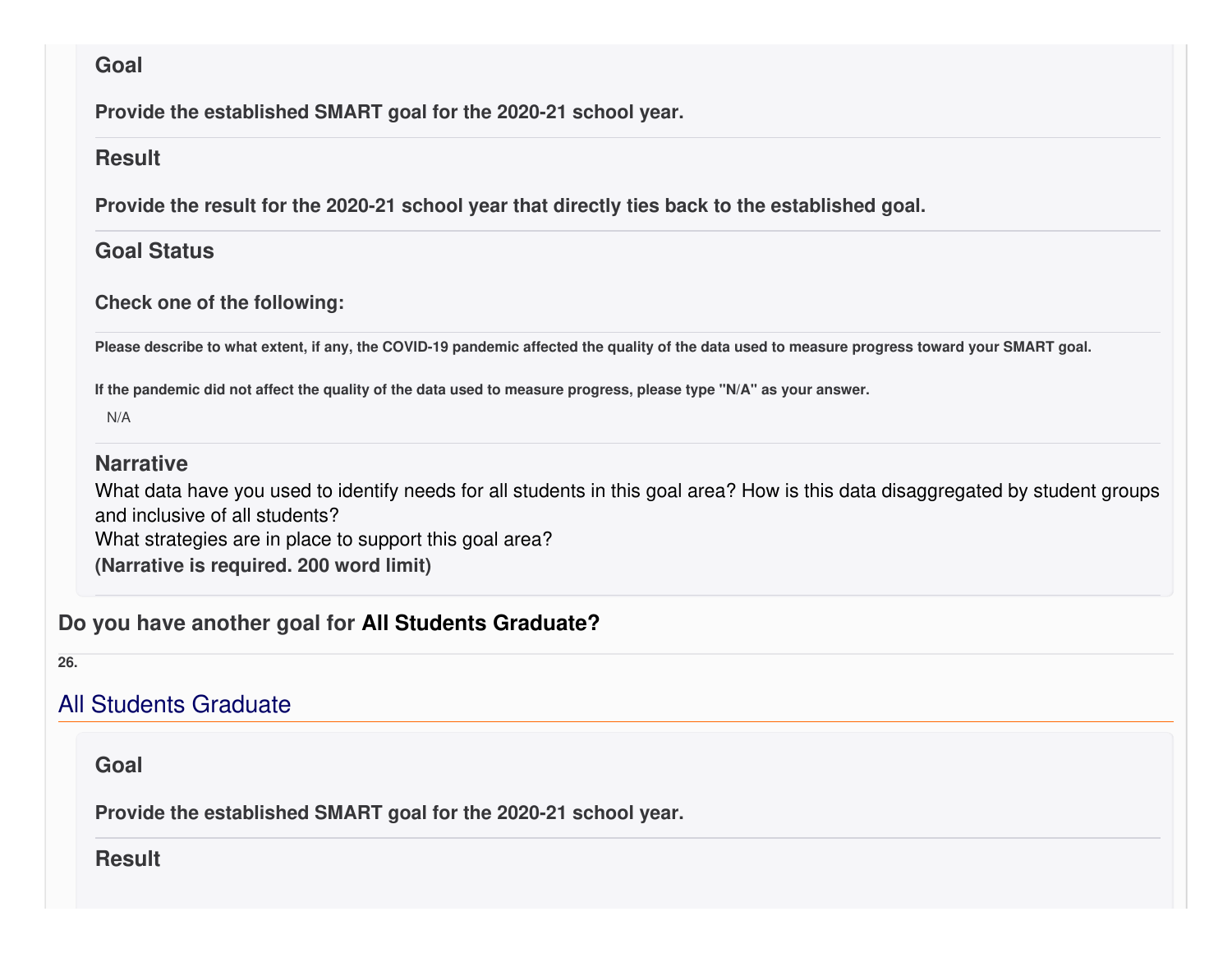#### **Goal**

**Provide the established SMART goal for the 2020-21 school year.**

#### **Result**

**Provide the result for the 2020-21 school year that directly ties back to the established goal.**

### **Goal Status**

#### **Check one of the following:**

Please describe to what extent, if any, the COVID-19 pandemic affected the quality of the data used to measure progress toward your SMART goal.

If the pandemic did not affect the quality of the data used to measure progress, please type "N/A" as your answer.

N/A

### **Narrative**

What data have you used to identify needs for all students in this goal area? How is this data disaggregated by student groups and inclusive of all students?

What strategies are in place to support this goal area?

**(Narrative is required. 200 word limit)**

### **Do you have another goal for All Students Graduate?**

**26.**

# All Students Graduate

**Goal**

**Provide the established SMART goal for the 2020-21 school year.**

**Result**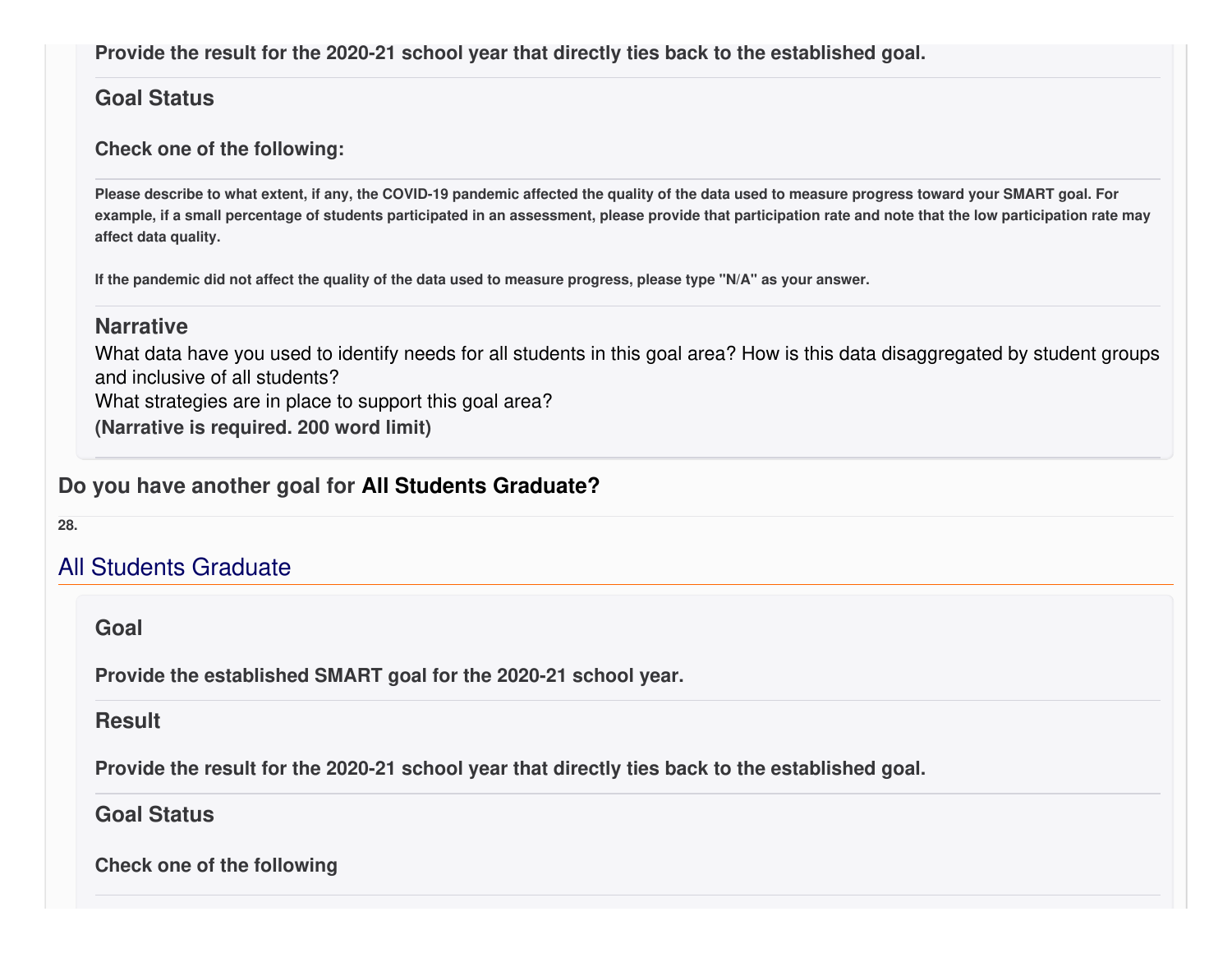**Provide the result for the 2020-21 school year that directly ties back to the established goal.**

#### **Goal Status**

#### **Check one of the following:**

Please describe to what extent, if any, the COVID-19 pandemic affected the quality of the data used to measure progress toward your SMART goal. For example, if a small percentage of students participated in an assessment, please provide that participation rate and note that the low participation rate may **affect data quality.**

If the pandemic did not affect the quality of the data used to measure progress, please type "N/A" as your answer.

#### **Narrative**

What data have you used to identify needs for all students in this goal area? How is this data disaggregated by student groups and inclusive of all students?

What strategies are in place to support this goal area?

**(Narrative is required. 200 word limit)**

### **Do you have another goal for All Students Graduate?**

**28.**

# All Students Graduate

**Goal**

**Provide the established SMART goal for the 2020-21 school year.**

#### **Result**

**Provide the result for the 2020-21 school year that directly ties back to the established goal.**

#### **Goal Status**

**Check one of the following**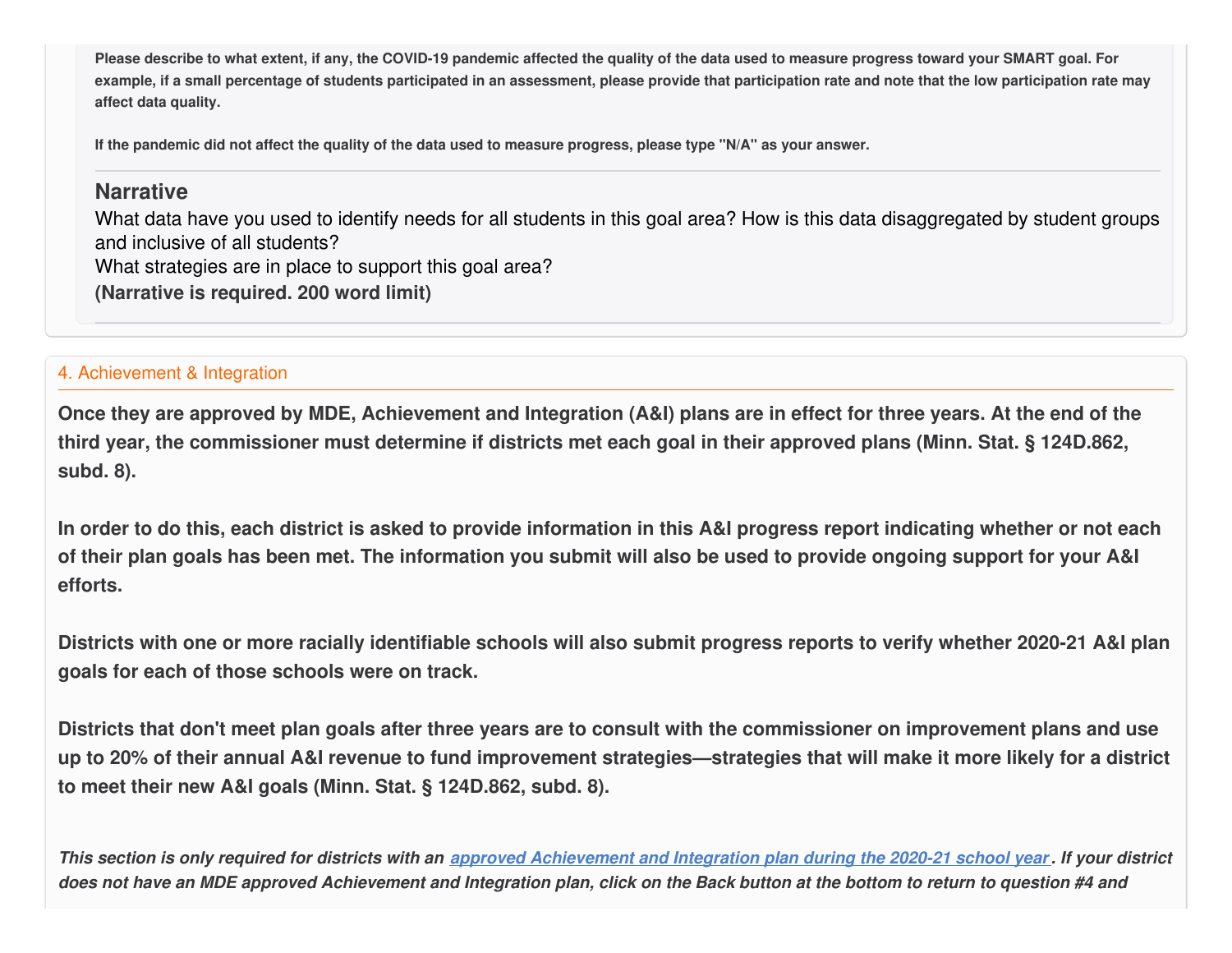Please describe to what extent, if any, the COVID-19 pandemic affected the quality of the data used to measure progress toward your SMART goal. For example, if a small percentage of students participated in an assessment, please provide that participation rate and note that the low participation rate may **affect data quality.**

If the pandemic did not affect the quality of the data used to measure progress, please type "N/A" as your answer.

#### **Narrative**

What data have you used to identify needs for all students in this goal area? How is this data disaggregated by student groups and inclusive of all students? What strategies are in place to support this goal area? **(Narrative is required. 200 word limit)**

#### 4. Achievement & Integration

Once they are approved by MDE, Achievement and Integration (A&I) plans are in effect for three years. At the end of the third year, the commissioner must determine if districts met each goal in their approved plans (Minn. Stat. § 124D.862, **subd. 8).**

In order to do this, each district is asked to provide information in this A&I progress report indicating whether or not each of their plan goals has been met. The information you submit will also be used to provide ongoing support for your A&I **efforts.**

Districts with one or more racially identifiable schools will also submit progress reports to verify whether 2020-21 A&I plan **goals for each of those schools were on track.**

Districts that don't meet plan goals after three years are to consult with the commissioner on improvement plans and use up to 20% of their annual A&I revenue to fund improvement strategies—strategies that will make it more likely for a district **to meet their new A&I goals (Minn. Stat. § 124D.862, subd. 8).**

This section is only required for districts with an approved [Achievement](https://education.mn.gov/MDE/fam/003359) and Integration plan during the 2020-21 school year. If your district does not have an MDE approved Achievement and Integration plan, click on the Back button at the bottom to return to question #4 and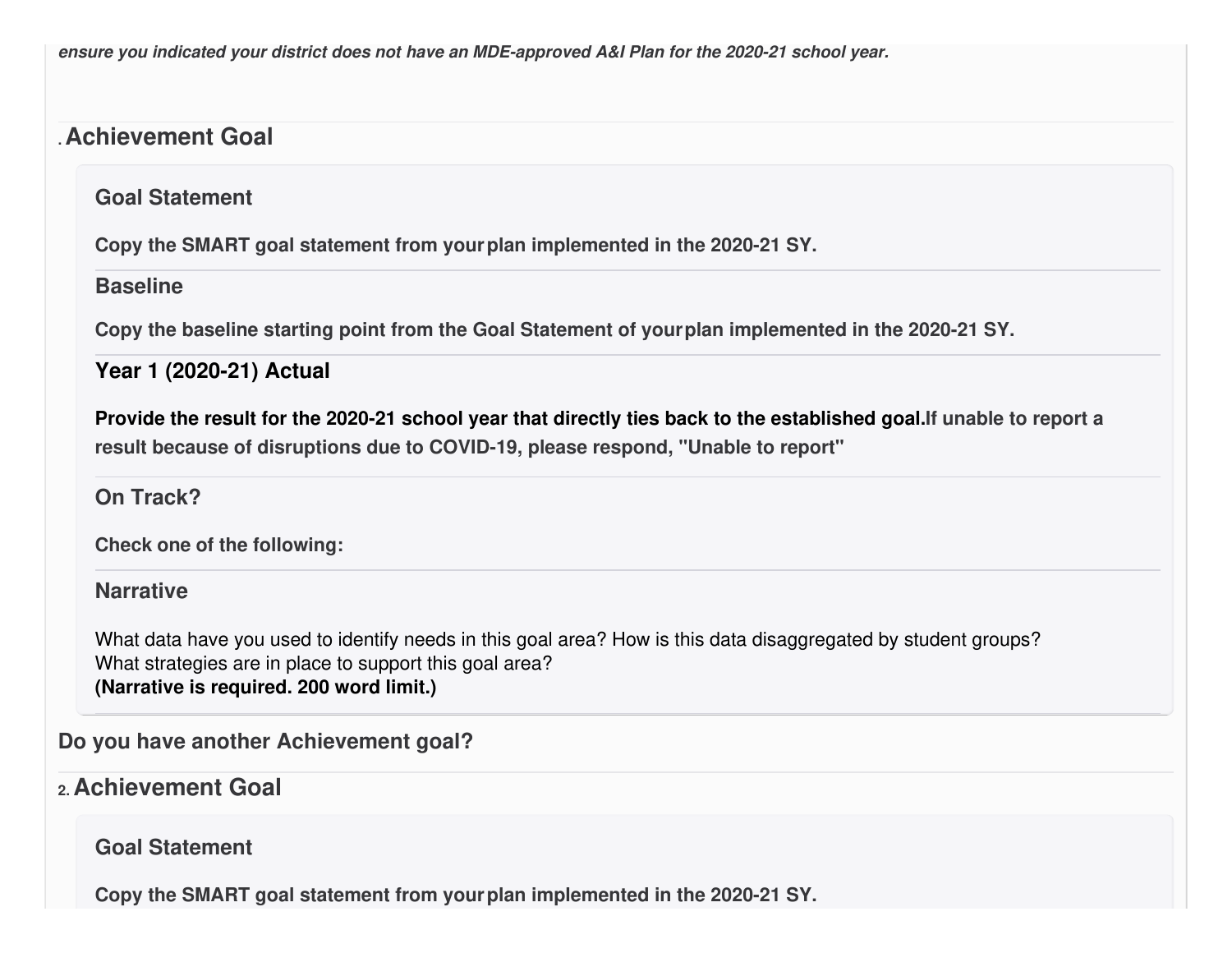*ensure you indicated your district does not have an MDE-approved A&I Plan for the 2020-21 school year.*

# **.Achievement Goal**

### **Goal Statement**

**Copy the SMART goal statement from yourplan implemented in the 2020-21 SY.**

#### **Baseline**

**Copy the baseline starting point from the Goal Statement of yourplan implemented in the 2020-21 SY.**

### **Year 1 (2020-21) Actual**

Provide the result for the 2020-21 school year that directly ties back to the established goal. If unable to report a **result because of disruptions due to COVID-19, please respond, "Unable to report"**

## **On Track?**

**Check one of the following:**

#### **Narrative**

What data have you used to identify needs in this goal area? How is this data disaggregated by student groups? What strategies are in place to support this goal area? **(Narrative is required. 200 word limit.)**

**Do you have another Achievement goal?**

## **2. Achievement Goal**

**Goal Statement**

**Copy the SMART goal statement from yourplan implemented in the 2020-21 SY.**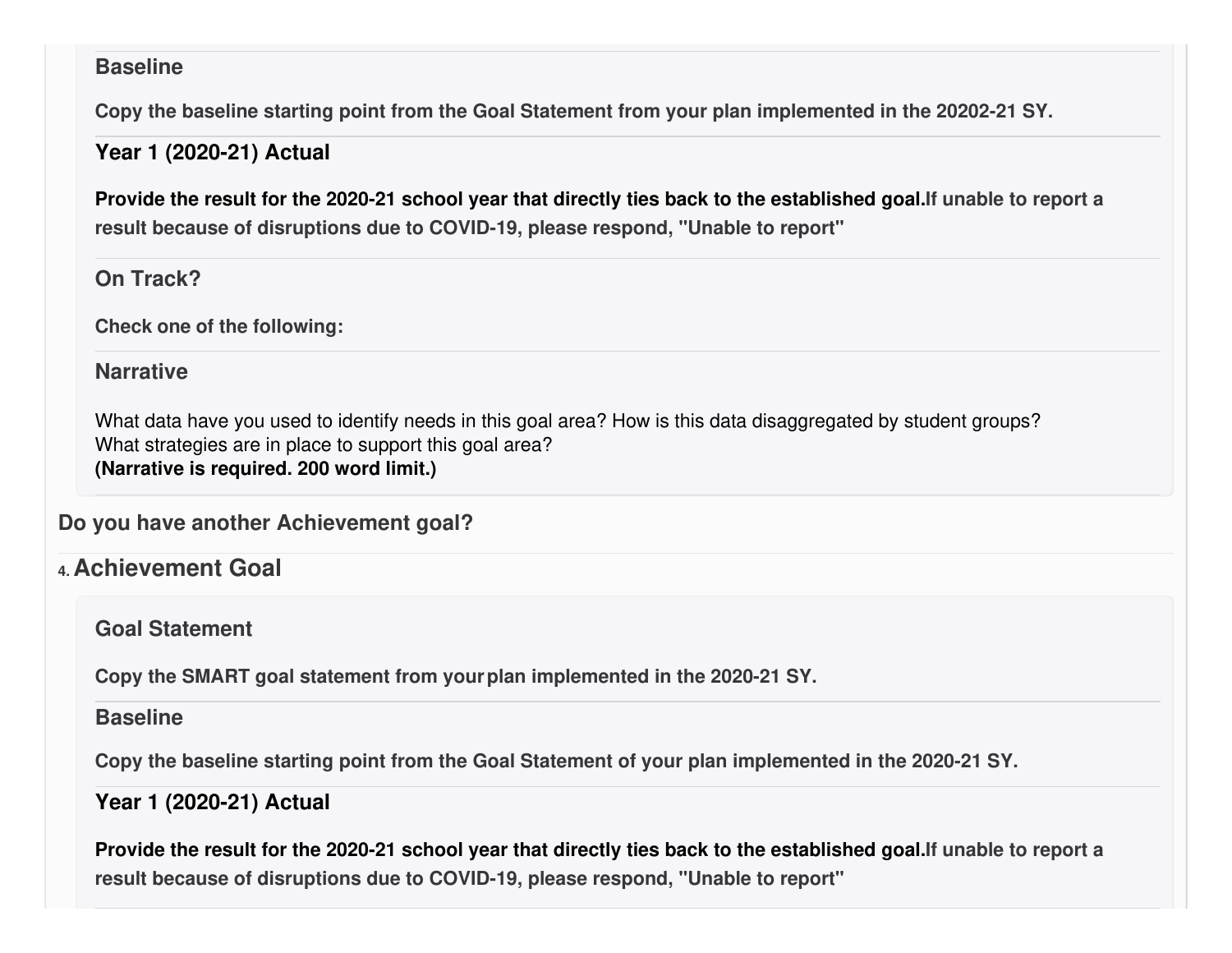#### **Baseline**

**Copy the baseline starting point from the Goal Statement from your plan implemented in the 20202-21 SY.**

### **Year 1 (2020-21) Actual**

Provide the result for the 2020-21 school year that directly ties back to the established goal. If unable to report a **result because of disruptions due to COVID-19, please respond, "Unable to report"**

### **On Track?**

**Check one of the following:**

### **Narrative**

What data have you used to identify needs in this goal area? How is this data disaggregated by student groups? What strategies are in place to support this goal area? **(Narrative is required. 200 word limit.)**

**Do you have another Achievement goal?**

**4. Achievement Goal**

**Goal Statement**

**Copy the SMART goal statement from yourplan implemented in the 2020-21 SY.**

### **Baseline**

**Copy the baseline starting point from the Goal Statement of your plan implemented in the 2020-21 SY.**

**Year 1 (2020-21) Actual**

Provide the result for the 2020-21 school year that directly ties back to the established goal. If unable to report a **result because of disruptions due to COVID-19, please respond, "Unable to report"**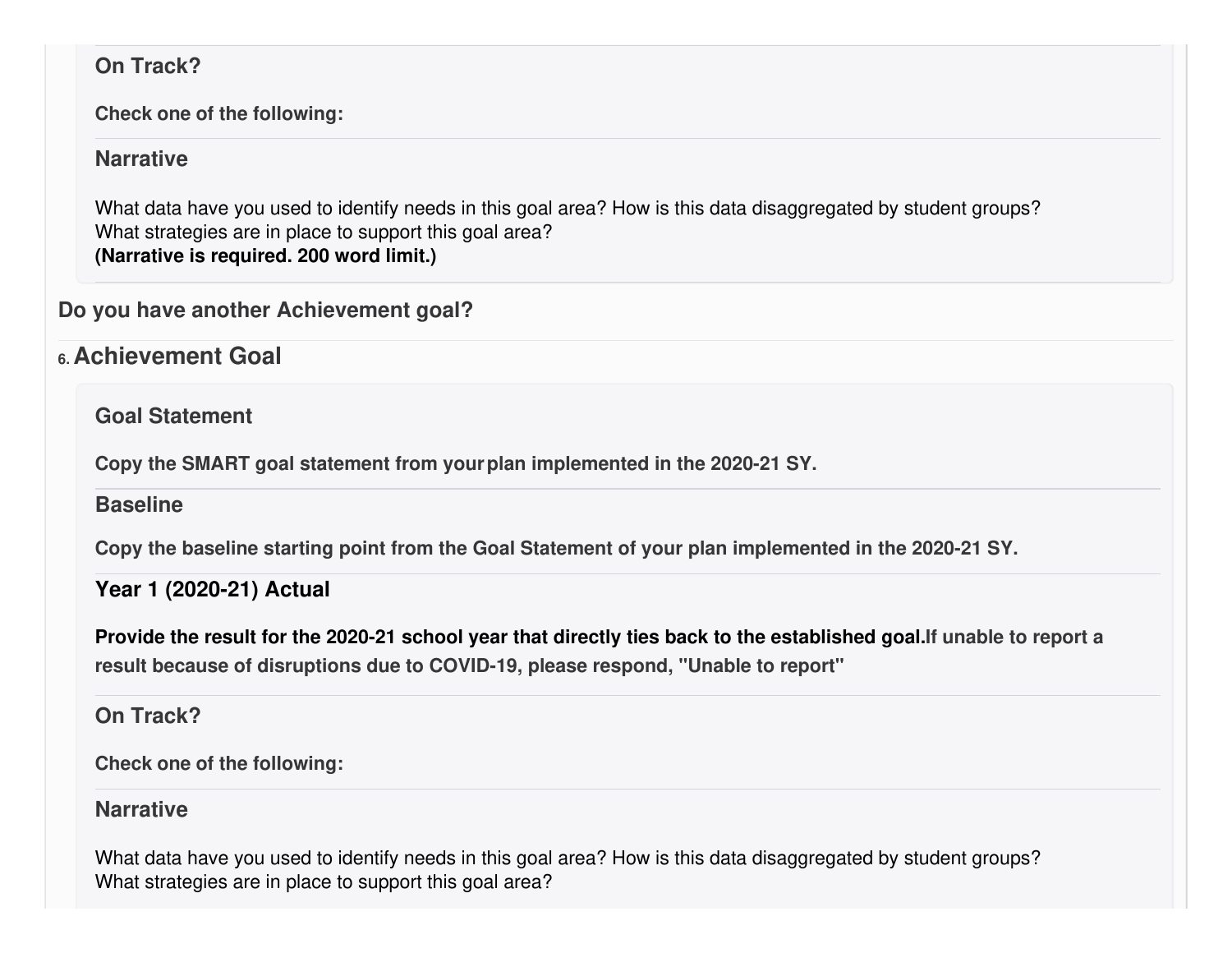### **On Track?**

**Check one of the following:**

### **Narrative**

What data have you used to identify needs in this goal area? How is this data disaggregated by student groups? What strategies are in place to support this goal area? **(Narrative is required. 200 word limit.)**

**Do you have another Achievement goal?**

# **6. Achievement Goal**

**Goal Statement**

**Copy the SMART goal statement from yourplan implemented in the 2020-21 SY.**

**Baseline**

**Copy the baseline starting point from the Goal Statement of your plan implemented in the 2020-21 SY.**

### **Year 1 (2020-21) Actual**

Provide the result for the 2020-21 school year that directly ties back to the established goal. If unable to report a **result because of disruptions due to COVID-19, please respond, "Unable to report"**

**On Track?**

**Check one of the following:**

### **Narrative**

What data have you used to identify needs in this goal area? How is this data disaggregated by student groups? What strategies are in place to support this goal area?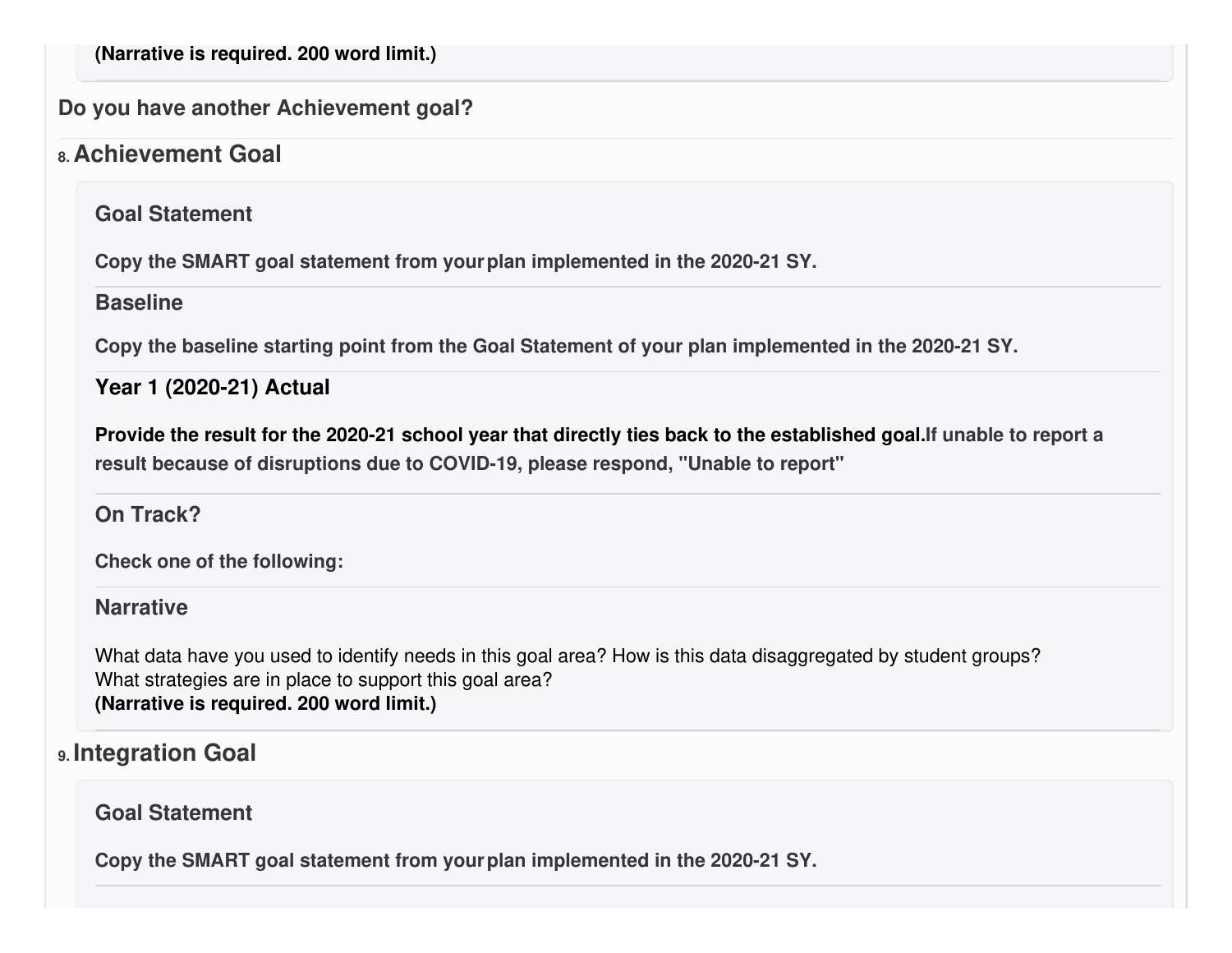**(Narrative is required. 200 word limit.)**

**Do you have another Achievement goal?**

### **8. Achievement Goal**

**Goal Statement**

**Copy the SMART goal statement from yourplan implemented in the 2020-21 SY.**

#### **Baseline**

**Copy the baseline starting point from the Goal Statement of your plan implemented in the 2020-21 SY.**

**Year 1 (2020-21) Actual**

Provide the result for the 2020-21 school year that directly ties back to the established goal. If unable to report a **result because of disruptions due to COVID-19, please respond, "Unable to report"**

### **On Track?**

**Check one of the following:**

#### **Narrative**

What data have you used to identify needs in this goal area? How is this data disaggregated by student groups? What strategies are in place to support this goal area? **(Narrative is required. 200 word limit.)**

# **9. Integration Goal**

### **Goal Statement**

**Copy the SMART goal statement from yourplan implemented in the 2020-21 SY.**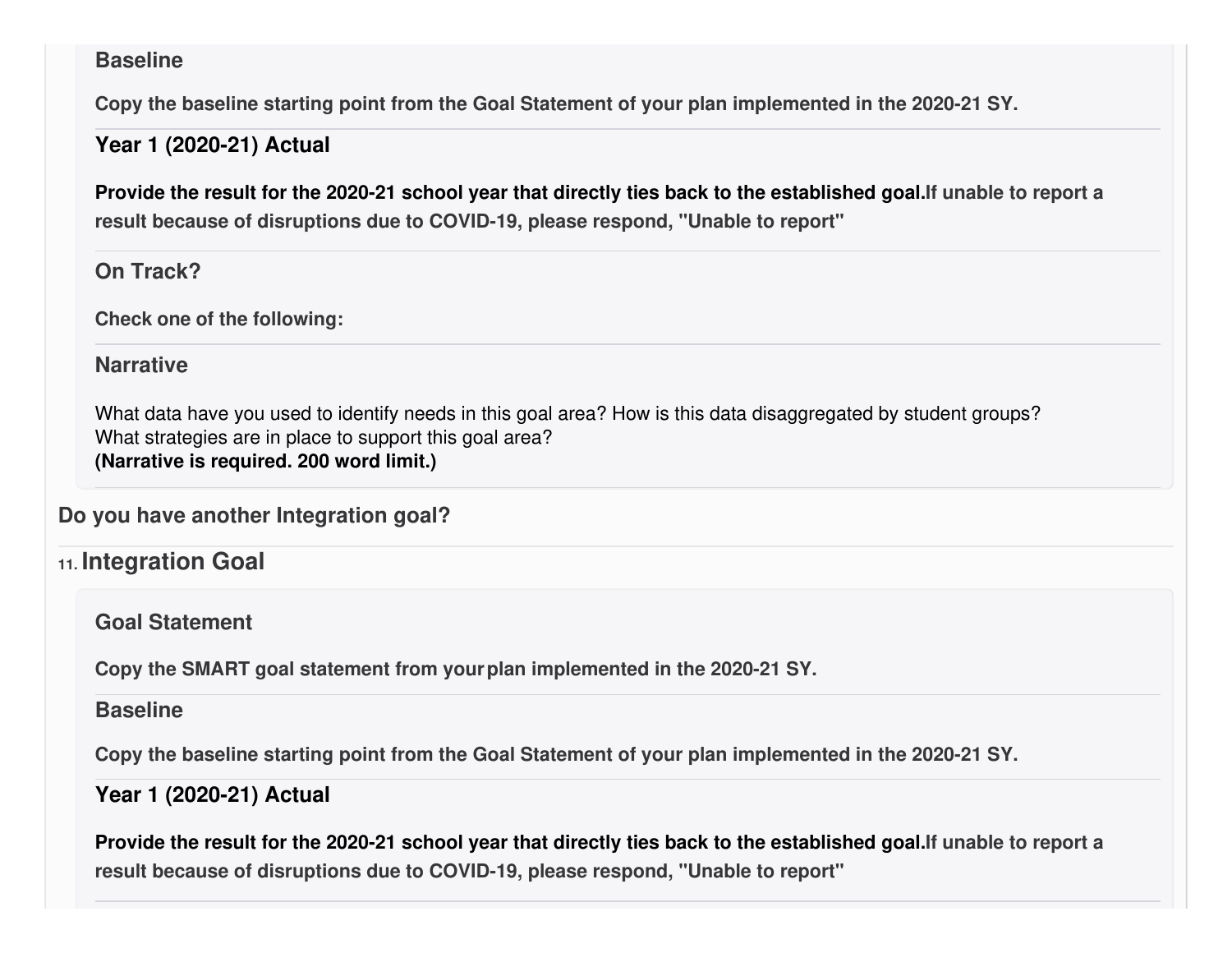#### **Baseline**

**Copy the baseline starting point from the Goal Statement of your plan implemented in the 2020-21 SY.**

#### **Year 1 (2020-21) Actual**

Provide the result for the 2020-21 school year that directly ties back to the established goal. If unable to report a **result because of disruptions due to COVID-19, please respond, "Unable to report"**

### **On Track?**

**Check one of the following:**

### **Narrative**

What data have you used to identify needs in this goal area? How is this data disaggregated by student groups? What strategies are in place to support this goal area? **(Narrative is required. 200 word limit.)**

**Do you have another Integration goal?**

## **11. Integration Goal**

**Goal Statement**

**Copy the SMART goal statement from yourplan implemented in the 2020-21 SY.**

#### **Baseline**

**Copy the baseline starting point from the Goal Statement of your plan implemented in the 2020-21 SY.**

### **Year 1 (2020-21) Actual**

Provide the result for the 2020-21 school year that directly ties back to the established goal. If unable to report a **result because of disruptions due to COVID-19, please respond, "Unable to report"**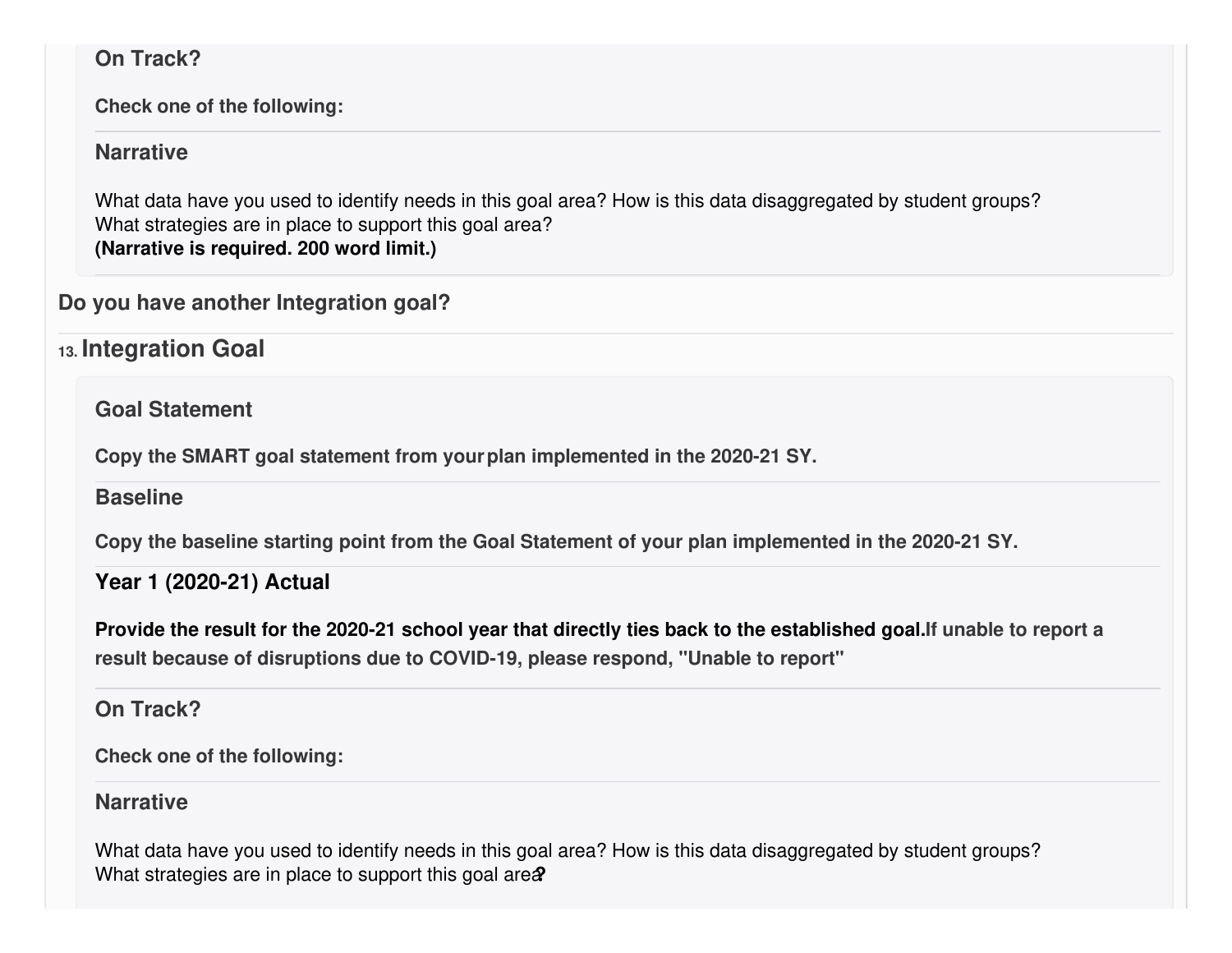### **On Track?**

**Check one of the following:**

#### **Narrative**

What data have you used to identify needs in this goal area? How is this data disaggregated by student groups? What strategies are in place to support this goal area? **(Narrative is required. 200 word limit.)**

### **Do you have another Integration goal?**

**13. Integration Goal**

**Goal Statement**

**Copy the SMART goal statement from yourplan implemented in the 2020-21 SY.**

**Baseline**

**Copy the baseline starting point from the Goal Statement of your plan implemented in the 2020-21 SY.**

### **Year 1 (2020-21) Actual**

Provide the result for the 2020-21 school year that directly ties back to the established goal. If unable to report a **result because of disruptions due to COVID-19, please respond, "Unable to report"**

### **On Track?**

**Check one of the following:**

#### **Narrative**

What data have you used to identify needs in this goal area? How is this data disaggregated by student groups? What strategies are in place to support this goal area<sup>?</sup>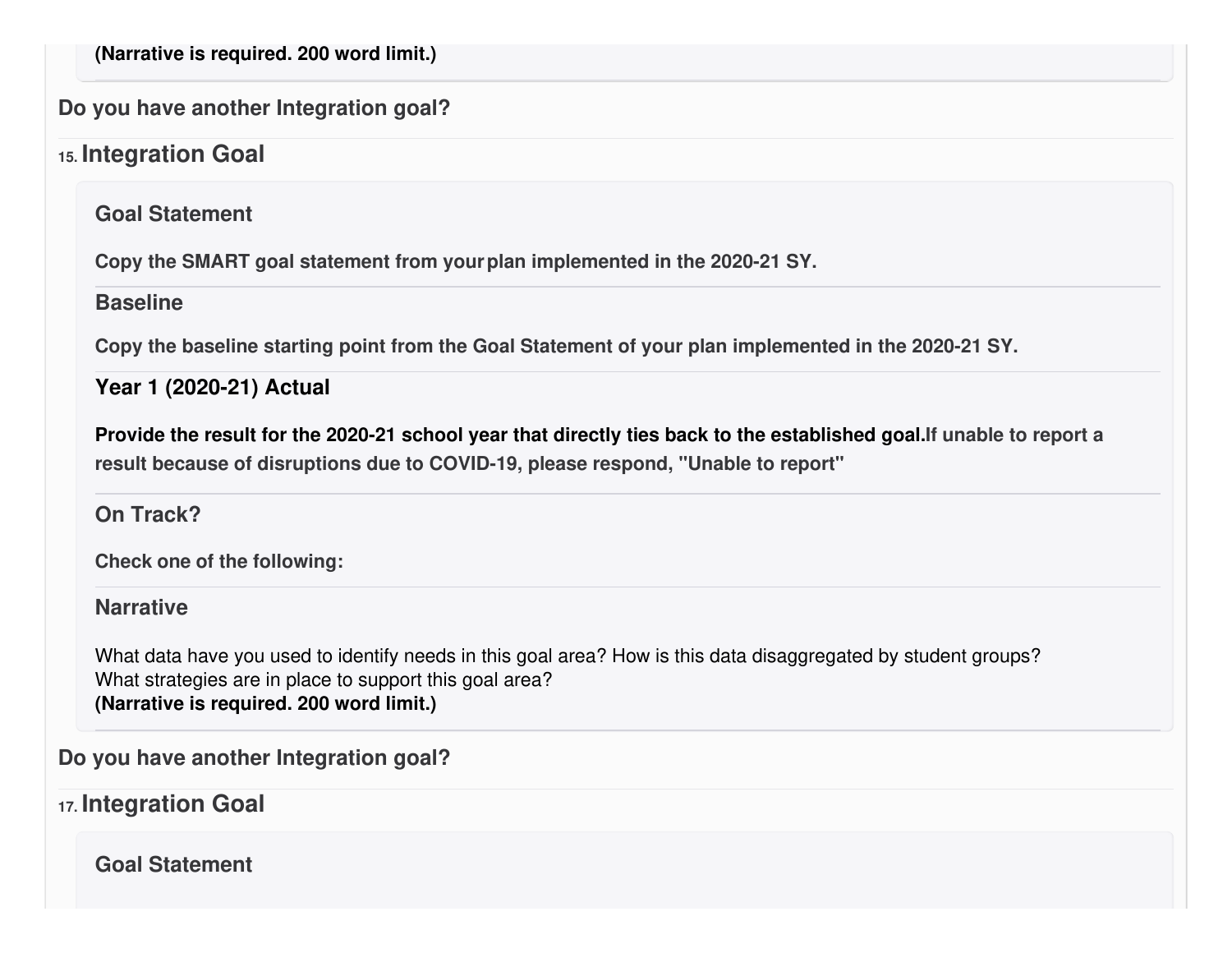**(Narrative is required. 200 word limit.)**

**Do you have another Integration goal?**

### **15. Integration Goal**

**Goal Statement**

**Copy the SMART goal statement from yourplan implemented in the 2020-21 SY.**

#### **Baseline**

**Copy the baseline starting point from the Goal Statement of your plan implemented in the 2020-21 SY.**

**Year 1 (2020-21) Actual**

Provide the result for the 2020-21 school year that directly ties back to the established goal. If unable to report a **result because of disruptions due to COVID-19, please respond, "Unable to report"**

**On Track?**

**Check one of the following:**

**Narrative**

What data have you used to identify needs in this goal area? How is this data disaggregated by student groups? What strategies are in place to support this goal area? **(Narrative is required. 200 word limit.)**

**Do you have another Integration goal?**

**17. Integration Goal**

**Goal Statement**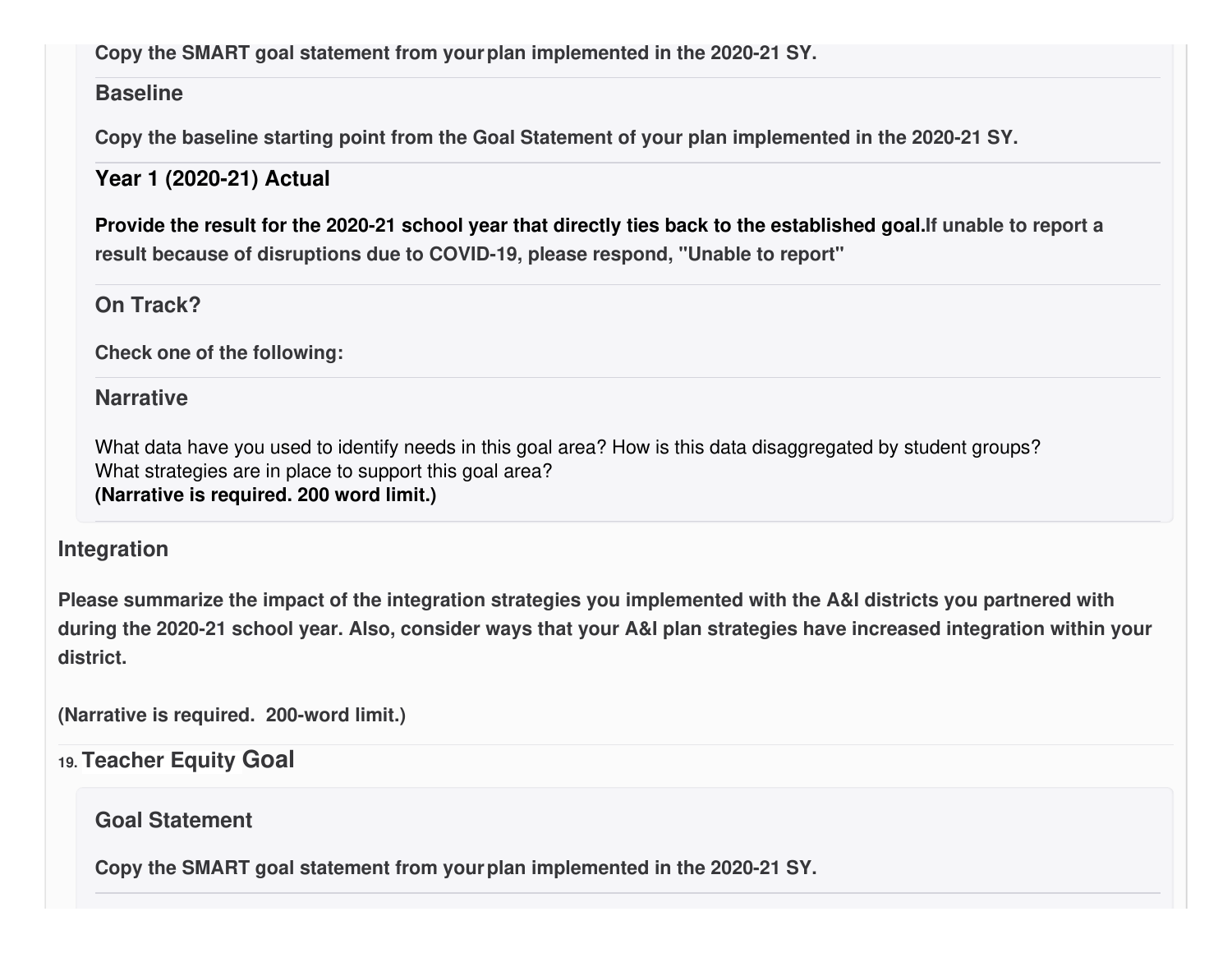### **Copy the SMART goal statement from yourplan implemented in the 2020-21 SY.**

### **Baseline**

**Copy the baseline starting point from the Goal Statement of your plan implemented in the 2020-21 SY.**

### **Year 1 (2020-21) Actual**

Provide the result for the 2020-21 school year that directly ties back to the established goal. If unable to report a **result because of disruptions due to COVID-19, please respond, "Unable to report"**

### **On Track?**

**Check one of the following:**

### **Narrative**

What data have you used to identify needs in this goal area? How is this data disaggregated by student groups? What strategies are in place to support this goal area? **(Narrative is required. 200 word limit.)**

### **Integration**

Please summarize the impact of the integration strategies you implemented with the A&I districts you partnered with during the 2020-21 school year. Also, consider ways that your A&I plan strategies have increased integration within your **district.**

**(Narrative is required. 200-word limit.)**

### **19. Teacher Equity Goal**

### **Goal Statement**

**Copy the SMART goal statement from yourplan implemented in the 2020-21 SY.**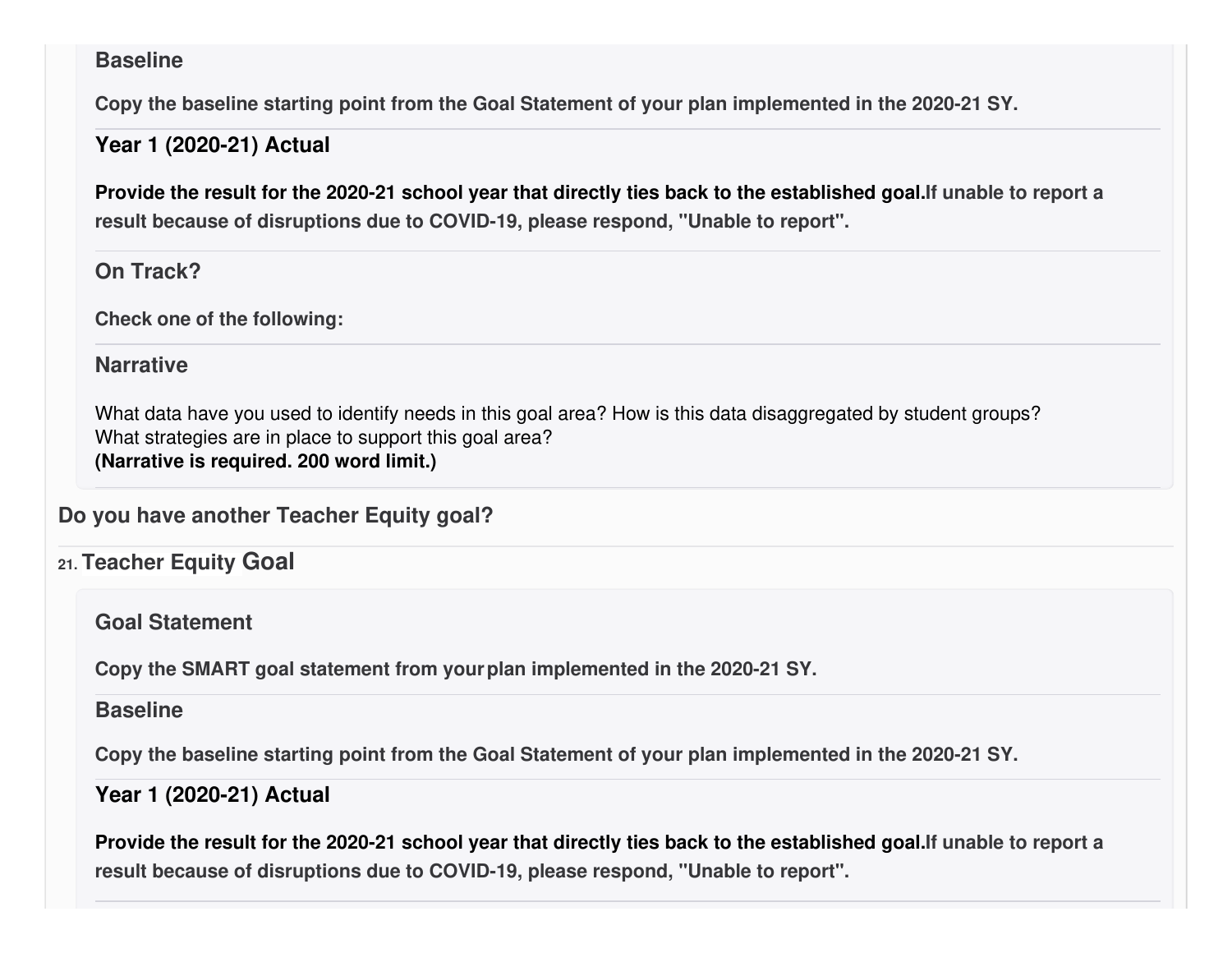#### **Baseline**

**Copy the baseline starting point from the Goal Statement of your plan implemented in the 2020-21 SY.**

#### **Year 1 (2020-21) Actual**

Provide the result for the 2020-21 school year that directly ties back to the established goal. If unable to report a **result because of disruptions due to COVID-19, please respond, "Unable to report".**

#### **On Track?**

**Check one of the following:**

### **Narrative**

What data have you used to identify needs in this goal area? How is this data disaggregated by student groups? What strategies are in place to support this goal area? **(Narrative is required. 200 word limit.)**

**Do you have another Teacher Equity goal?**

### **21. Teacher Equity Goal**

**Goal Statement**

**Copy the SMART goal statement from yourplan implemented in the 2020-21 SY.**

#### **Baseline**

**Copy the baseline starting point from the Goal Statement of your plan implemented in the 2020-21 SY.**

### **Year 1 (2020-21) Actual**

Provide the result for the 2020-21 school year that directly ties back to the established goal. If unable to report a **result because of disruptions due to COVID-19, please respond, "Unable to report".**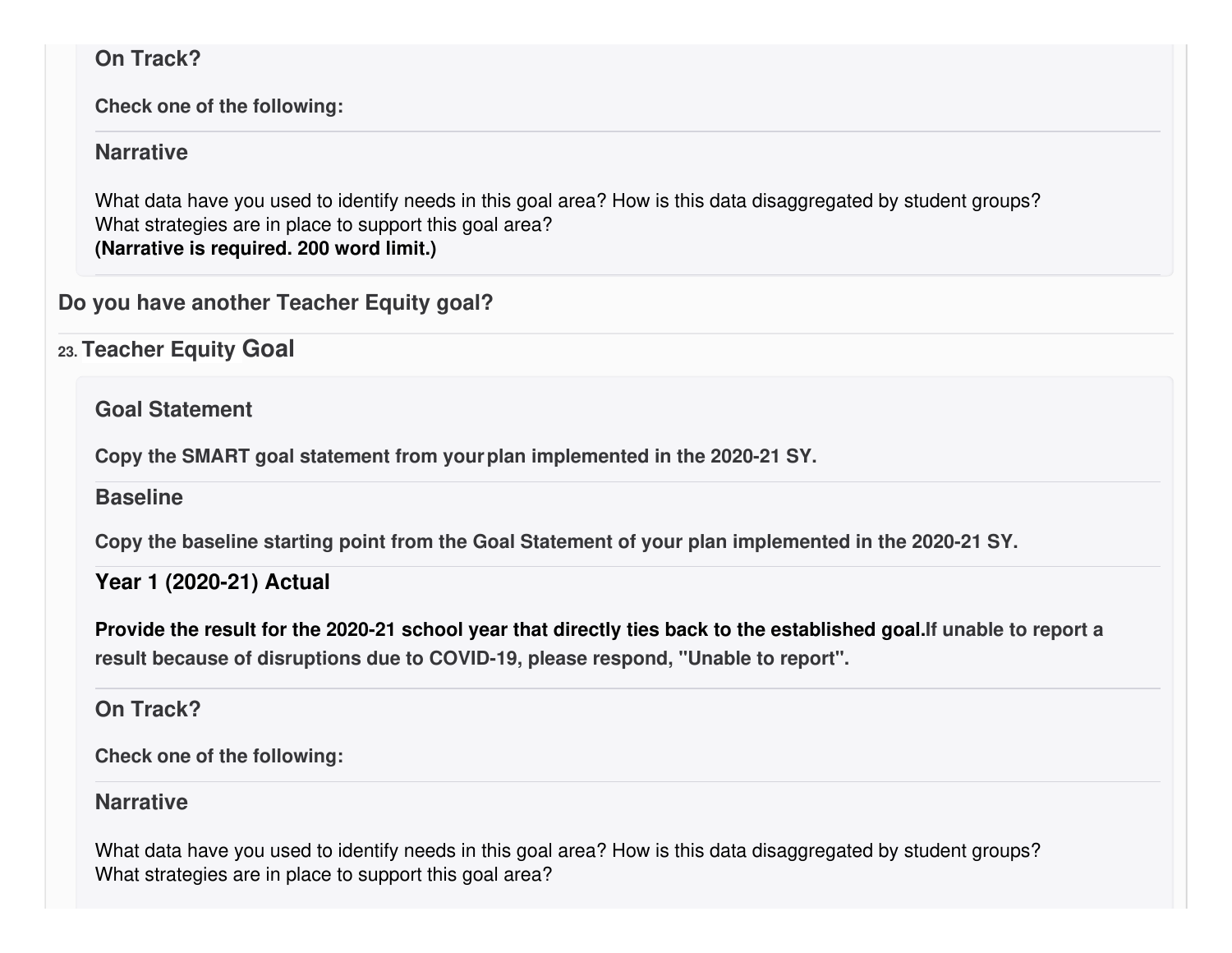### **On Track?**

**Check one of the following:**

#### **Narrative**

What data have you used to identify needs in this goal area? How is this data disaggregated by student groups? What strategies are in place to support this goal area? **(Narrative is required. 200 word limit.)**

### **Do you have another Teacher Equity goal?**

**23. Teacher Equity Goal**

**Goal Statement**

**Copy the SMART goal statement from yourplan implemented in the 2020-21 SY.**

### **Baseline**

**Copy the baseline starting point from the Goal Statement of your plan implemented in the 2020-21 SY.**

### **Year 1 (2020-21) Actual**

Provide the result for the 2020-21 school year that directly ties back to the established goal. If unable to report a **result because of disruptions due to COVID-19, please respond, "Unable to report".**

### **On Track?**

**Check one of the following:**

### **Narrative**

What data have you used to identify needs in this goal area? How is this data disaggregated by student groups? What strategies are in place to support this goal area?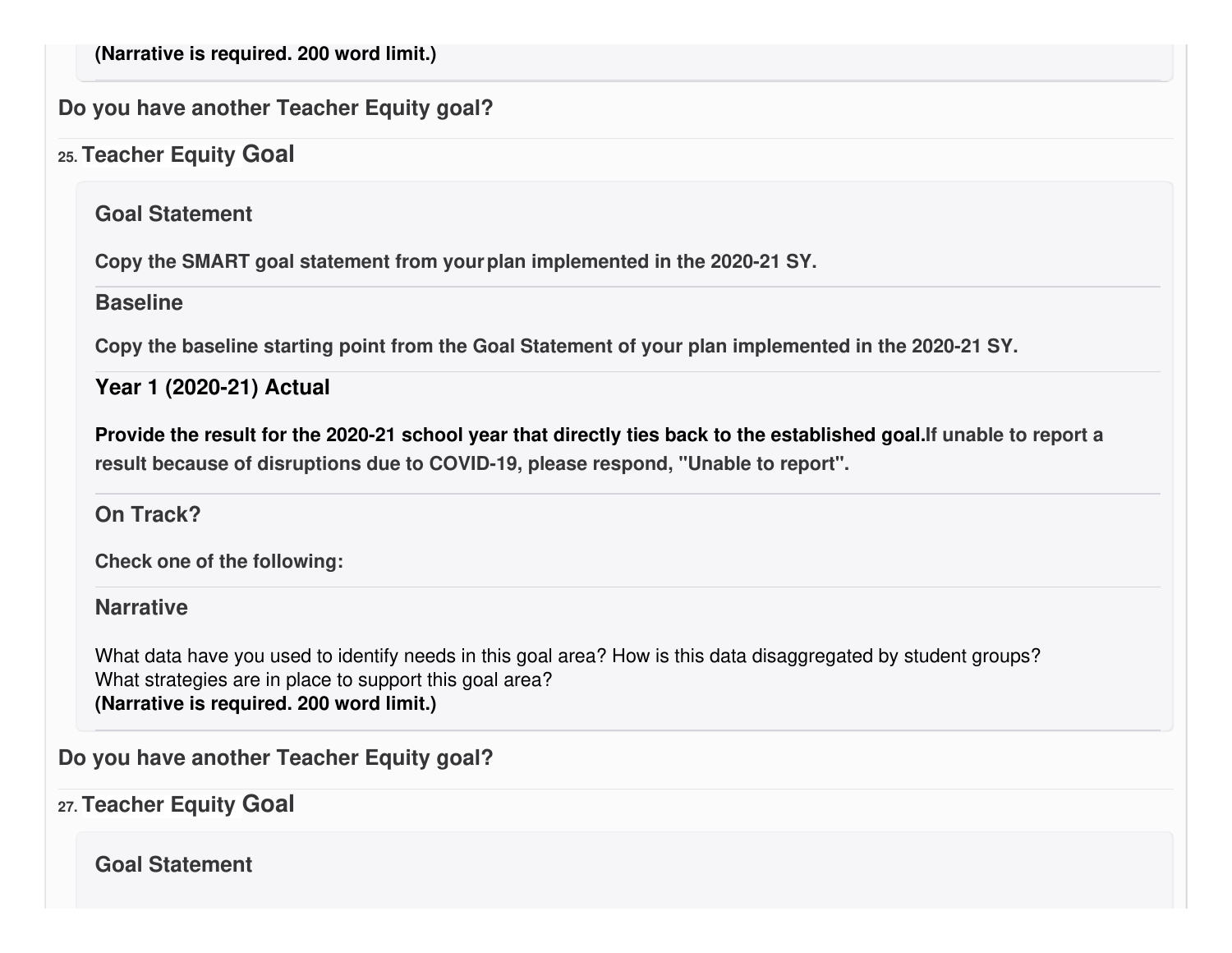**(Narrative is required. 200 word limit.)**

### **Do you have another Teacher Equity goal?**

## **25. Teacher Equity Goal**

**Goal Statement**

**Copy the SMART goal statement from yourplan implemented in the 2020-21 SY.**

#### **Baseline**

**Copy the baseline starting point from the Goal Statement of your plan implemented in the 2020-21 SY.**

**Year 1 (2020-21) Actual**

Provide the result for the 2020-21 school year that directly ties back to the established goal. If unable to report a **result because of disruptions due to COVID-19, please respond, "Unable to report".**

### **On Track?**

**Check one of the following:**

**Narrative**

What data have you used to identify needs in this goal area? How is this data disaggregated by student groups? What strategies are in place to support this goal area? **(Narrative is required. 200 word limit.)**

**Do you have another Teacher Equity goal?**

**27. Teacher Equity Goal**

**Goal Statement**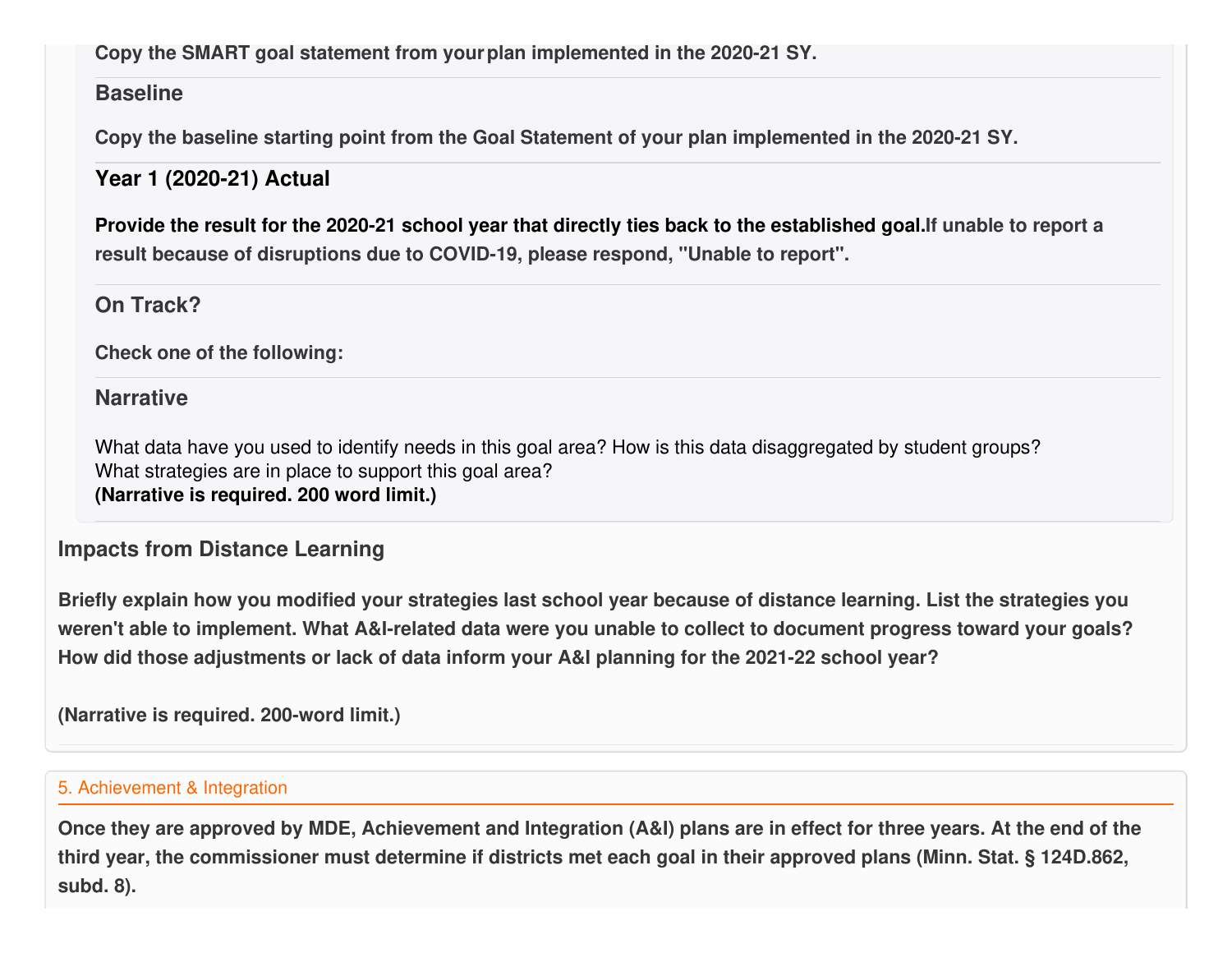### **Copy the SMART goal statement from yourplan implemented in the 2020-21 SY.**

### **Baseline**

**Copy the baseline starting point from the Goal Statement of your plan implemented in the 2020-21 SY.**

## **Year 1 (2020-21) Actual**

Provide the result for the 2020-21 school year that directly ties back to the established goal. If unable to report a **result because of disruptions due to COVID-19, please respond, "Unable to report".**

### **On Track?**

**Check one of the following:**

### **Narrative**

What data have you used to identify needs in this goal area? How is this data disaggregated by student groups? What strategies are in place to support this goal area? **(Narrative is required. 200 word limit.)**

### **Impacts from Distance Learning**

Briefly explain how you modified your strategies last school year because of distance learning. List the strategies you weren't able to implement. What A&I-related data were you unable to collect to document progress toward your goals? **How did those adjustments or lack of data inform your A&I planning for the 2021-22 school year?**

**(Narrative is required. 200-word limit.)**

#### 5. Achievement & Integration

Once they are approved by MDE, Achievement and Integration (A&I) plans are in effect for three years. At the end of the third year, the commissioner must determine if districts met each goal in their approved plans (Minn. Stat. § 124D.862, **subd. 8).**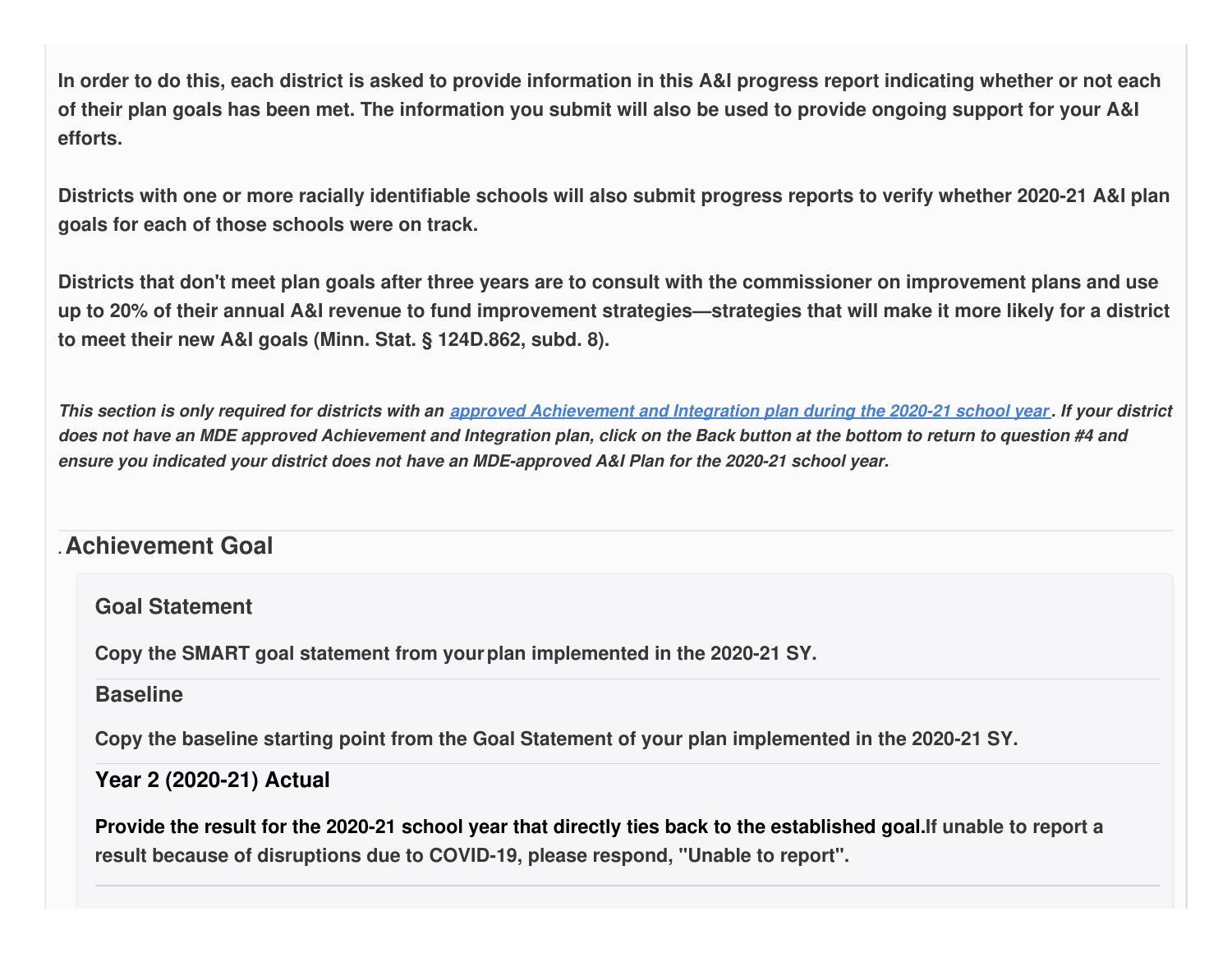In order to do this, each district is asked to provide information in this A&I progress report indicating whether or not each of their plan goals has been met. The information you submit will also be used to provide ongoing support for your A&I **efforts.**

Districts with one or more racially identifiable schools will also submit progress reports to verify whether 2020-21 A&I plan **goals for each of those schools were on track.**

Districts that don't meet plan goals after three years are to consult with the commissioner on improvement plans and use up to 20% of their annual A&I revenue to fund improvement strategies—strategies that will make it more likely for a district **to meet their new A&I goals (Minn. Stat. § 124D.862, subd. 8).**

This section is only required for districts with an approved [Achievement](https://education.mn.gov/MDE/fam/003359) and Integration plan during the 2020-21 school year. If your district does not have an MDE approved Achievement and Integration plan, click on the Back button at the bottom to return to question #4 and *ensure you indicated your district does not have an MDE-approved A&I Plan for the 2020-21 school year.*

### **.Achievement Goal**

**Goal Statement**

**Copy the SMART goal statement from yourplan implemented in the 2020-21 SY.**

#### **Baseline**

**Copy the baseline starting point from the Goal Statement of your plan implemented in the 2020-21 SY.**

#### **Year 2 (2020-21) Actual**

Provide the result for the 2020-21 school year that directly ties back to the established goal. If unable to report a **result because of disruptions due to COVID-19, please respond, "Unable to report".**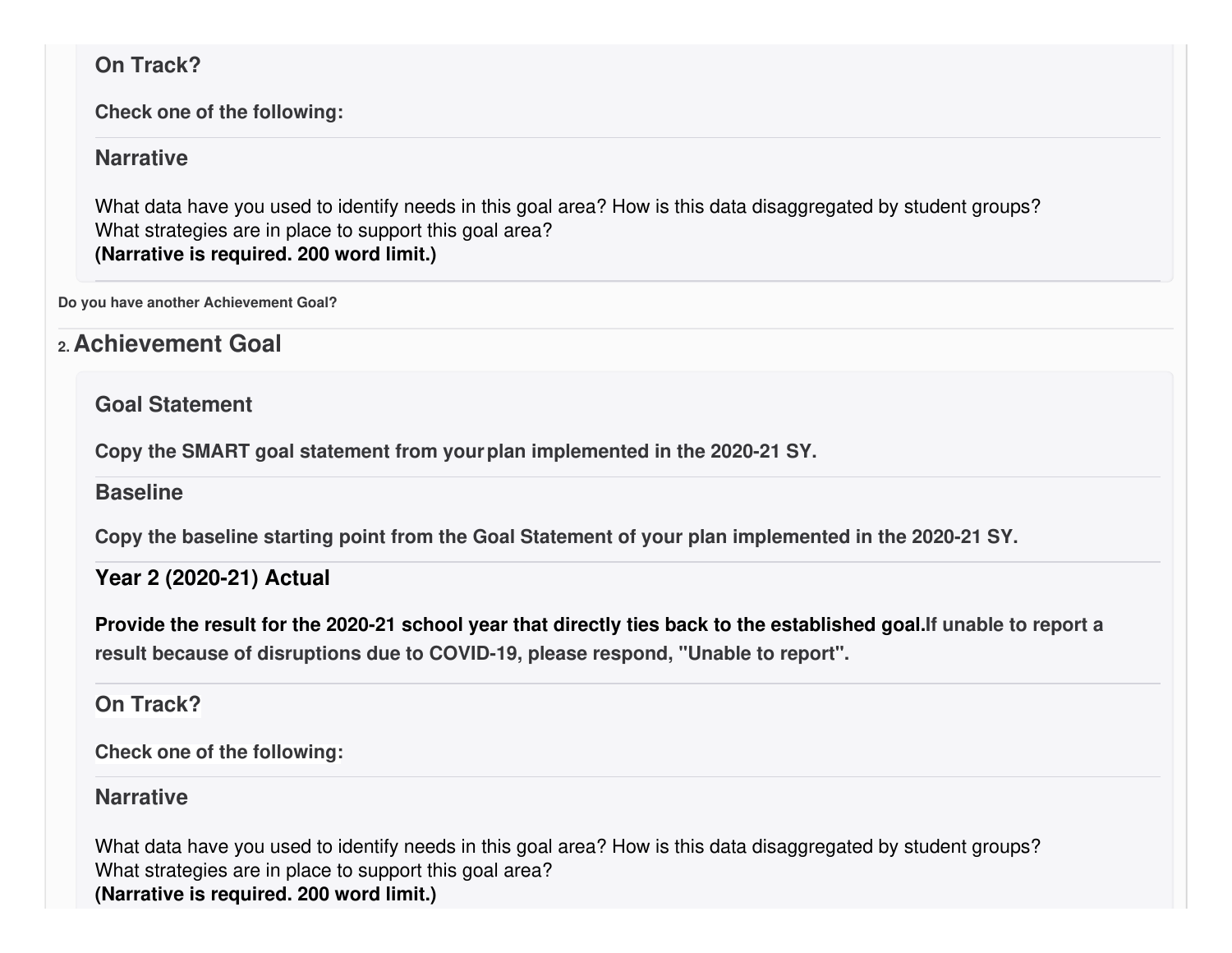### **On Track?**

**Check one of the following:**

### **Narrative**

What data have you used to identify needs in this goal area? How is this data disaggregated by student groups? What strategies are in place to support this goal area? **(Narrative is required. 200 word limit.)**

**Do you have another Achievement Goal?**

# **2. Achievement Goal**

### **Goal Statement**

**Copy the SMART goal statement from yourplan implemented in the 2020-21 SY.**

### **Baseline**

**Copy the baseline starting point from the Goal Statement of your plan implemented in the 2020-21 SY.**

## **Year 2 (2020-21) Actual**

Provide the result for the 2020-21 school year that directly ties back to the established goal. If unable to report a **result because of disruptions due to COVID-19, please respond, "Unable to report".**

### **On Track?**

**Check one of the following:**

### **Narrative**

What data have you used to identify needs in this goal area? How is this data disaggregated by student groups? What strategies are in place to support this goal area? **(Narrative is required. 200 word limit.)**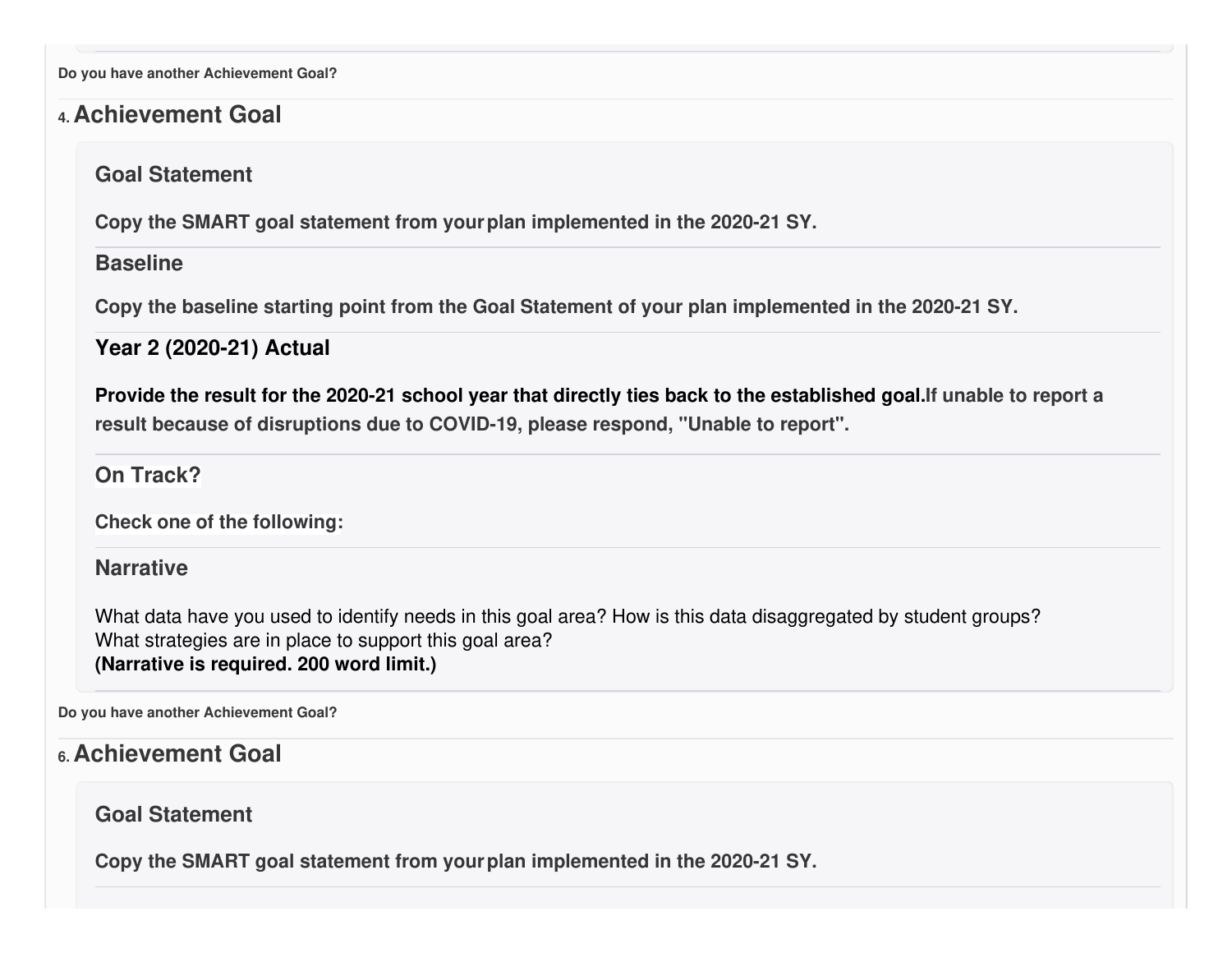**Do you have another Achievement Goal?**

### **4. Achievement Goal**

#### **Goal Statement**

**Copy the SMART goal statement from yourplan implemented in the 2020-21 SY.**

#### **Baseline**

**Copy the baseline starting point from the Goal Statement of your plan implemented in the 2020-21 SY.**

#### **Year 2 (2020-21) Actual**

Provide the result for the 2020-21 school year that directly ties back to the established goal. If unable to report a **result because of disruptions due to COVID-19, please respond, "Unable to report".**

**On Track?**

**Check one of the following:**

#### **Narrative**

What data have you used to identify needs in this goal area? How is this data disaggregated by student groups? What strategies are in place to support this goal area? **(Narrative is required. 200 word limit.)**

**Do you have another Achievement Goal?**

## **6. Achievement Goal**

### **Goal Statement**

**Copy the SMART goal statement from yourplan implemented in the 2020-21 SY.**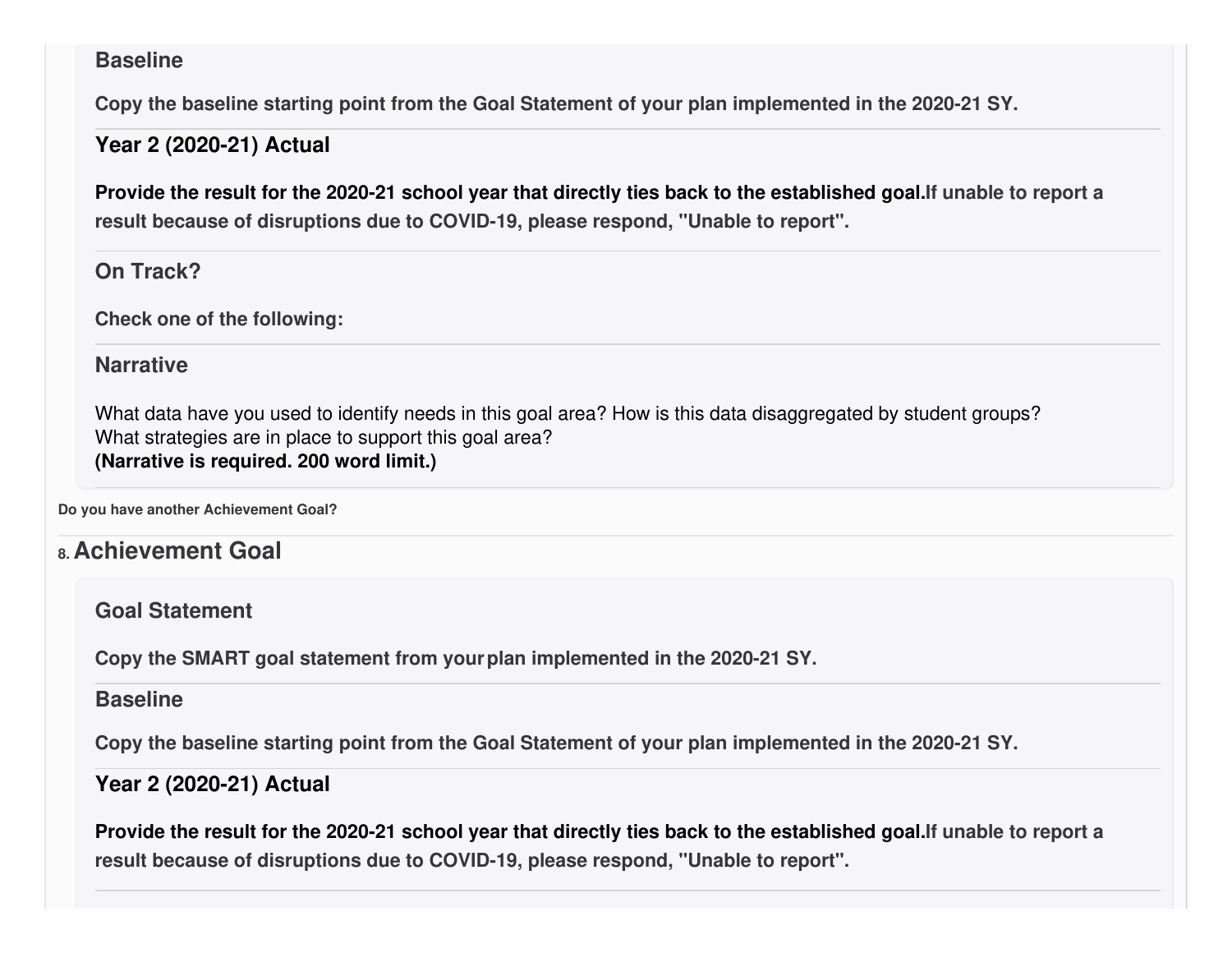#### **Baseline**

**Copy the baseline starting point from the Goal Statement of your plan implemented in the 2020-21 SY.**

#### **Year 2 (2020-21) Actual**

Provide the result for the 2020-21 school year that directly ties back to the established goal. If unable to report a **result because of disruptions due to COVID-19, please respond, "Unable to report".**

### **On Track?**

**Check one of the following:**

### **Narrative**

What data have you used to identify needs in this goal area? How is this data disaggregated by student groups? What strategies are in place to support this goal area? **(Narrative is required. 200 word limit.)**

**Do you have another Achievement Goal?**

## **8. Achievement Goal**

**Goal Statement**

**Copy the SMART goal statement from yourplan implemented in the 2020-21 SY.**

#### **Baseline**

**Copy the baseline starting point from the Goal Statement of your plan implemented in the 2020-21 SY.**

### **Year 2 (2020-21) Actual**

Provide the result for the 2020-21 school year that directly ties back to the established goal. If unable to report a **result because of disruptions due to COVID-19, please respond, "Unable to report".**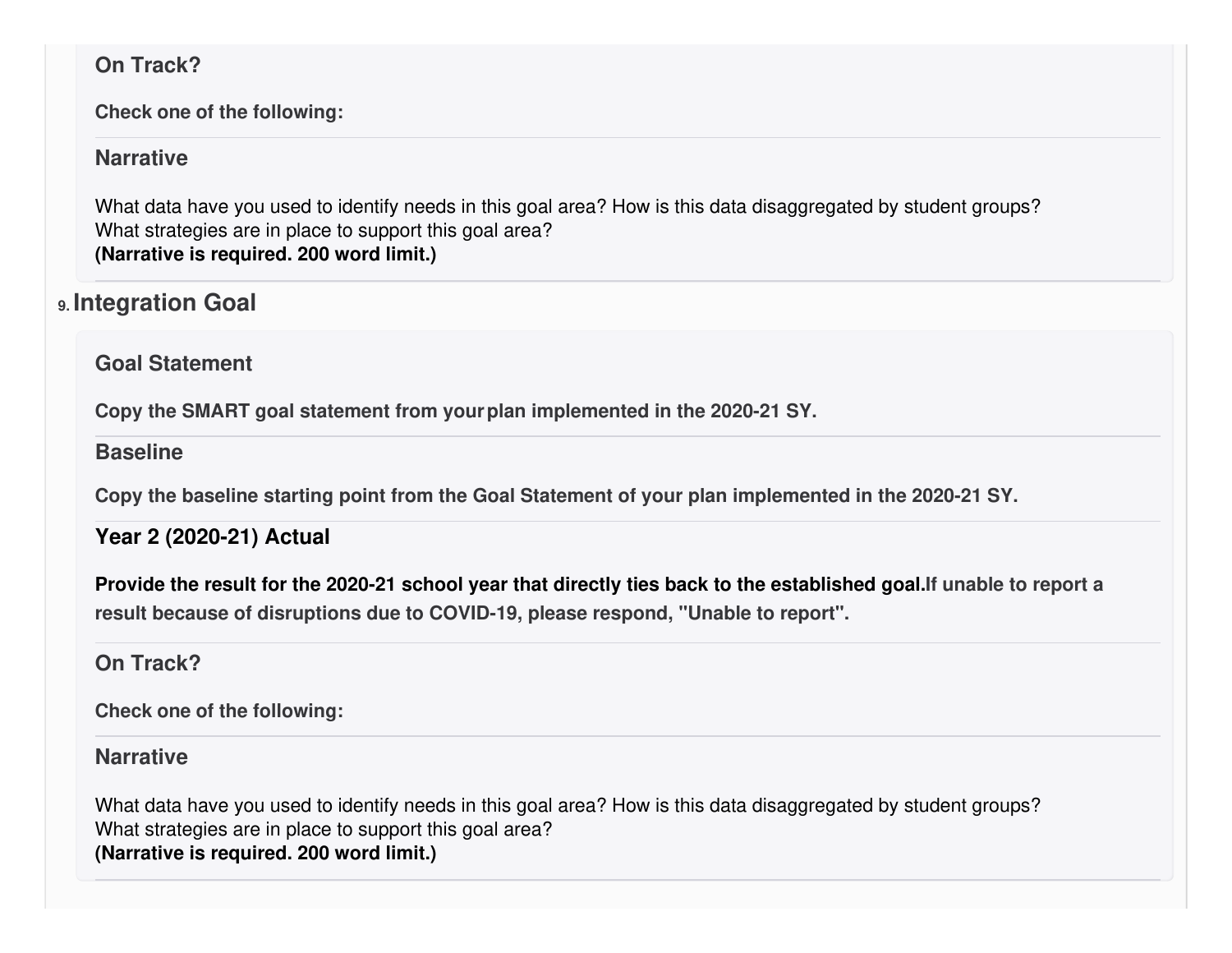### **On Track?**

**Check one of the following:**

### **Narrative**

What data have you used to identify needs in this goal area? How is this data disaggregated by student groups? What strategies are in place to support this goal area? **(Narrative is required. 200 word limit.)**

# **9. Integration Goal**

### **Goal Statement**

**Copy the SMART goal statement from yourplan implemented in the 2020-21 SY.**

### **Baseline**

**Copy the baseline starting point from the Goal Statement of your plan implemented in the 2020-21 SY.**

## **Year 2 (2020-21) Actual**

Provide the result for the 2020-21 school year that directly ties back to the established goal. If unable to report a **result because of disruptions due to COVID-19, please respond, "Unable to report".**

### **On Track?**

**Check one of the following:**

### **Narrative**

What data have you used to identify needs in this goal area? How is this data disaggregated by student groups? What strategies are in place to support this goal area? **(Narrative is required. 200 word limit.)**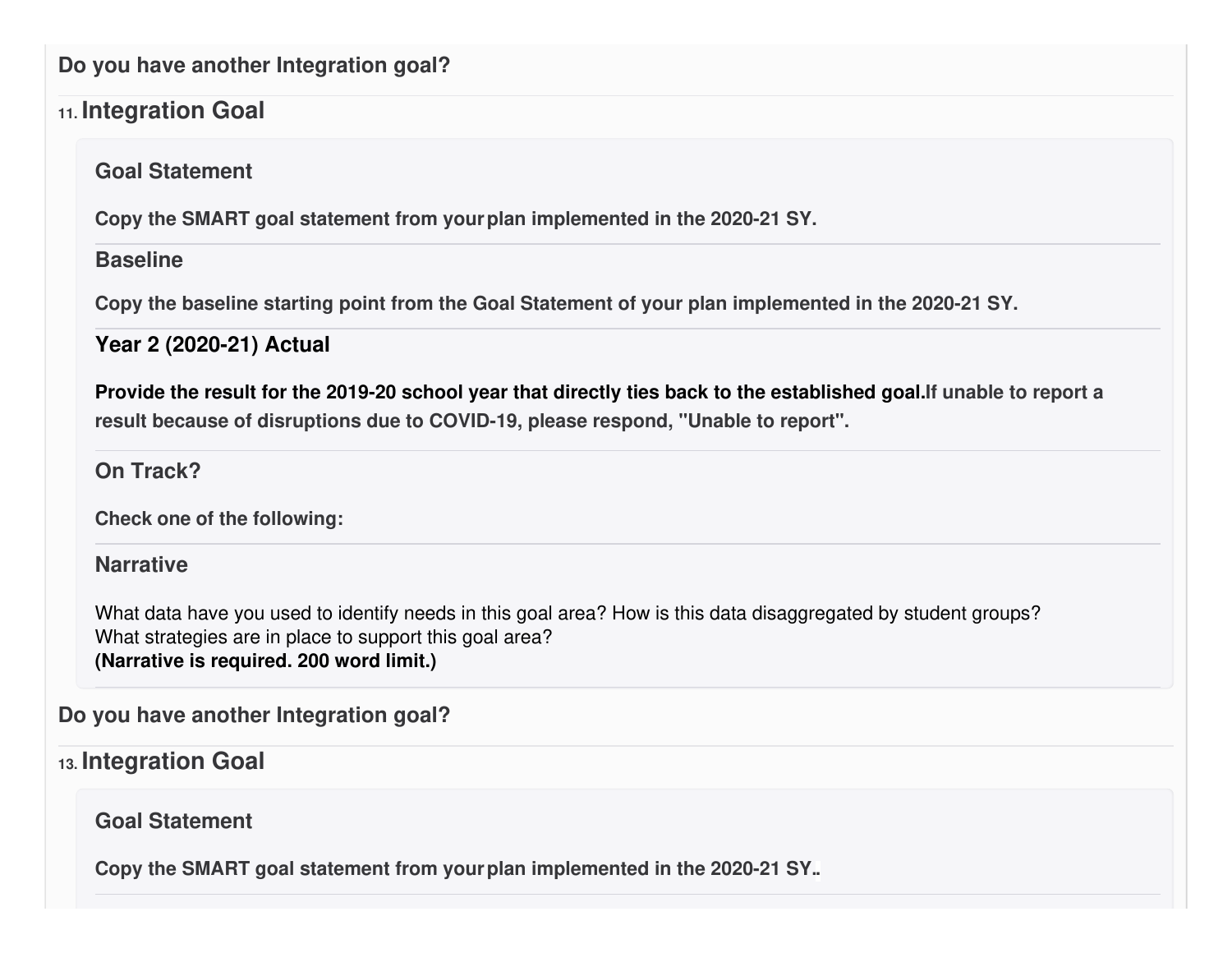### **Do you have another Integration goal?**

## **11. Integration Goal**

**Goal Statement**

**Copy the SMART goal statement from yourplan implemented in the 2020-21 SY.**

### **Baseline**

**Copy the baseline starting point from the Goal Statement of your plan implemented in the 2020-21 SY.**

## **Year 2 (2020-21) Actual**

Provide the result for the 2019-20 school year that directly ties back to the established goal. If unable to report a **result because of disruptions due to COVID-19, please respond, "Unable to report".**

## **On Track?**

**Check one of the following:**

### **Narrative**

What data have you used to identify needs in this goal area? How is this data disaggregated by student groups? What strategies are in place to support this goal area? **(Narrative is required. 200 word limit.)**

**Do you have another Integration goal?**

# **13. Integration Goal**

## **Goal Statement**

**Copy the SMART goal statement from yourplan implemented in the 2020-21 SY..**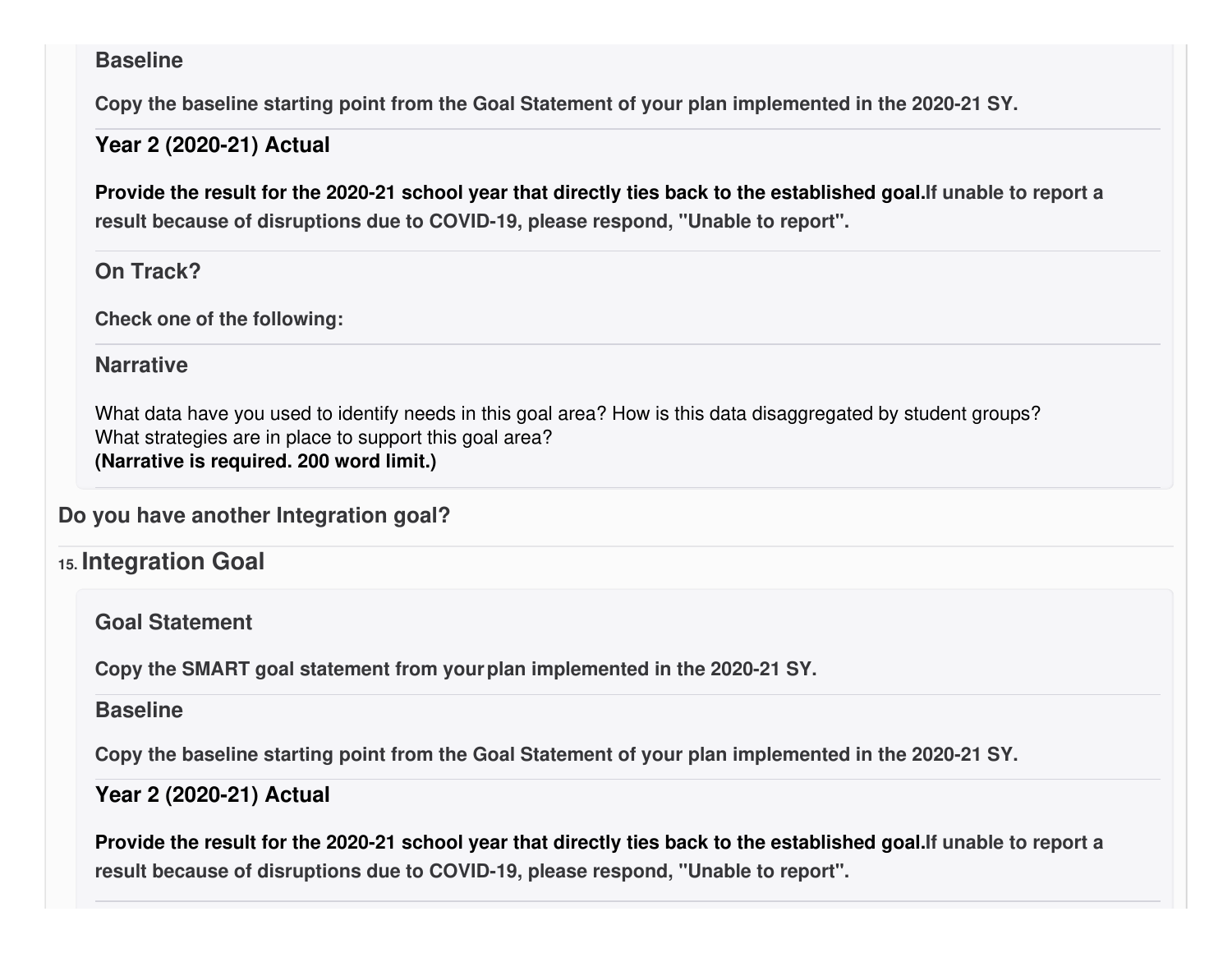#### **Baseline**

**Copy the baseline starting point from the Goal Statement of your plan implemented in the 2020-21 SY.**

#### **Year 2 (2020-21) Actual**

Provide the result for the 2020-21 school year that directly ties back to the established goal. If unable to report a **result because of disruptions due to COVID-19, please respond, "Unable to report".**

#### **On Track?**

**Check one of the following:**

### **Narrative**

What data have you used to identify needs in this goal area? How is this data disaggregated by student groups? What strategies are in place to support this goal area? **(Narrative is required. 200 word limit.)**

**Do you have another Integration goal?**

## **15. Integration Goal**

**Goal Statement**

**Copy the SMART goal statement from yourplan implemented in the 2020-21 SY.**

#### **Baseline**

**Copy the baseline starting point from the Goal Statement of your plan implemented in the 2020-21 SY.**

### **Year 2 (2020-21) Actual**

Provide the result for the 2020-21 school year that directly ties back to the established goal. If unable to report a **result because of disruptions due to COVID-19, please respond, "Unable to report".**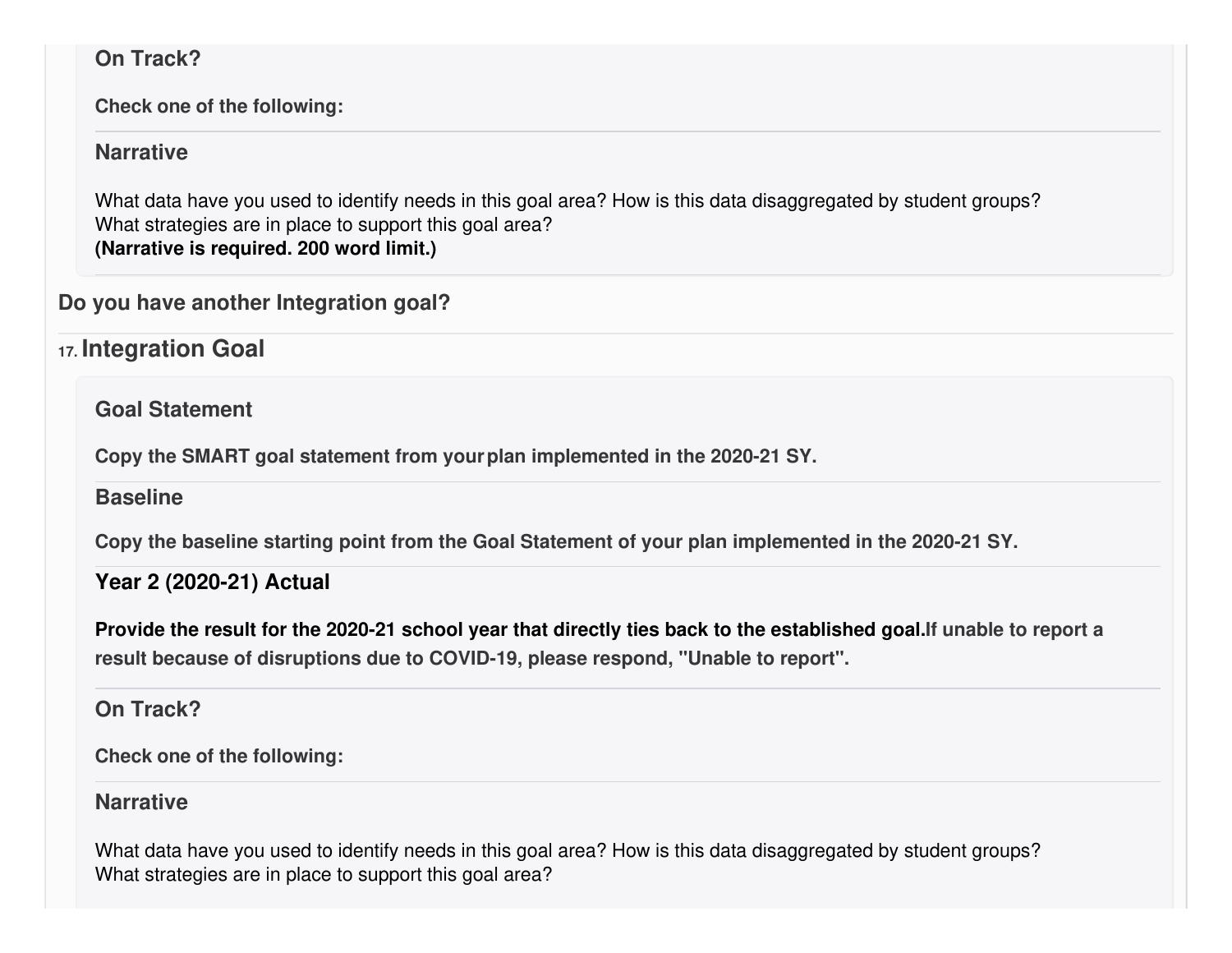### **On Track?**

**Check one of the following:**

#### **Narrative**

What data have you used to identify needs in this goal area? How is this data disaggregated by student groups? What strategies are in place to support this goal area? **(Narrative is required. 200 word limit.)**

### **Do you have another Integration goal?**

**17. Integration Goal**

**Goal Statement**

**Copy the SMART goal statement from yourplan implemented in the 2020-21 SY.**

### **Baseline**

**Copy the baseline starting point from the Goal Statement of your plan implemented in the 2020-21 SY.**

### **Year 2 (2020-21) Actual**

Provide the result for the 2020-21 school year that directly ties back to the established goal. If unable to report a **result because of disruptions due to COVID-19, please respond, "Unable to report".**

### **On Track?**

**Check one of the following:**

### **Narrative**

What data have you used to identify needs in this goal area? How is this data disaggregated by student groups? What strategies are in place to support this goal area?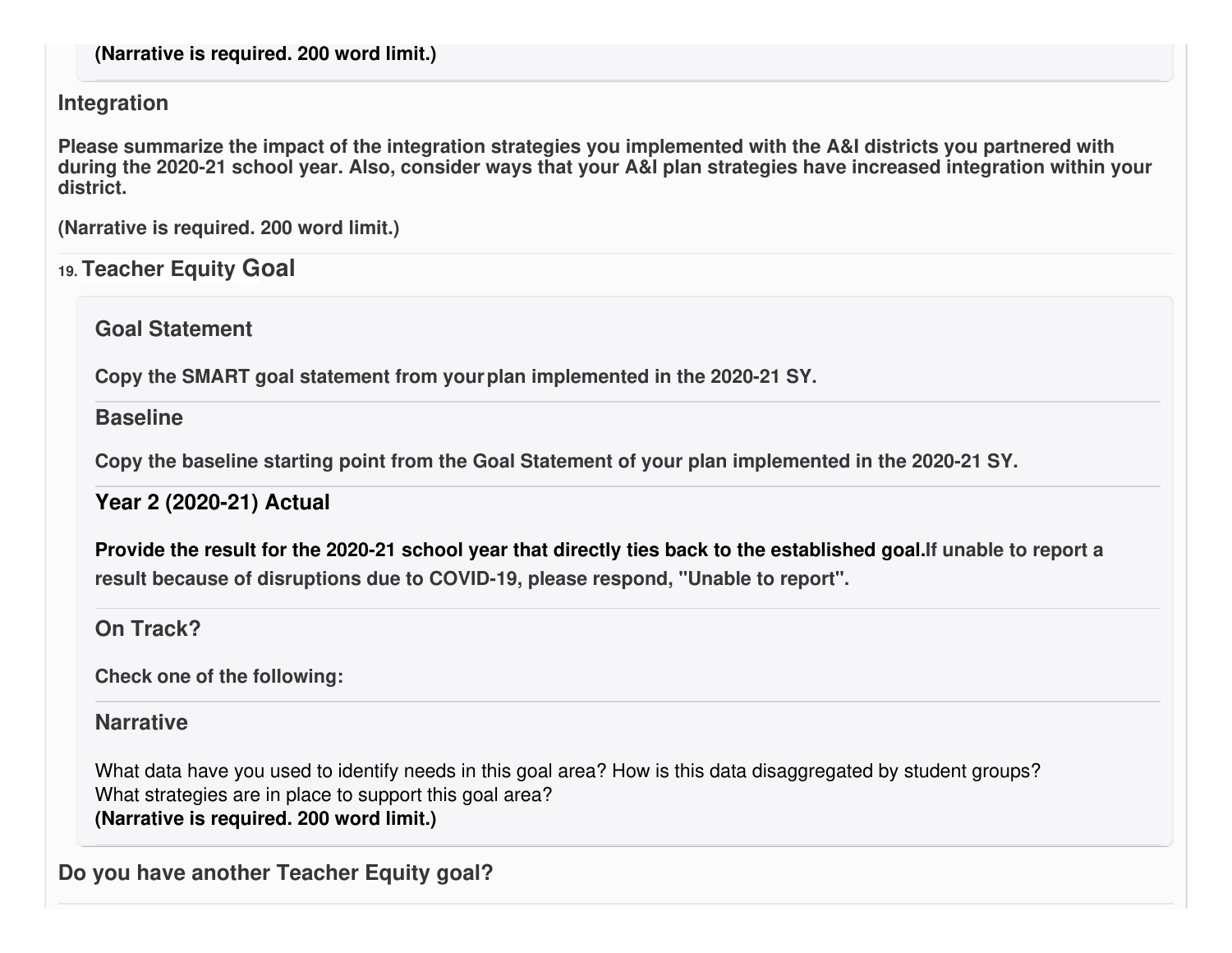#### **Integration**

Please summarize the impact of the integration strategies you implemented with the A&I districts you partnered with during the 2020-21 school year. Also, consider ways that your A&I plan strategies have increased integration within your **district.**

**(Narrative is required. 200 word limit.)**

### **19. Teacher Equity Goal**

**Goal Statement**

**Copy the SMART goal statement from yourplan implemented in the 2020-21 SY.**

#### **Baseline**

**Copy the baseline starting point from the Goal Statement of your plan implemented in the 2020-21 SY.**

### **Year 2 (2020-21) Actual**

Provide the result for the 2020-21 school year that directly ties back to the established goal. If unable to report a **result because of disruptions due to COVID-19, please respond, "Unable to report".**

**On Track?**

**Check one of the following:**

### **Narrative**

What data have you used to identify needs in this goal area? How is this data disaggregated by student groups? What strategies are in place to support this goal area? **(Narrative is required. 200 word limit.)**

**Do you have another Teacher Equity goal?**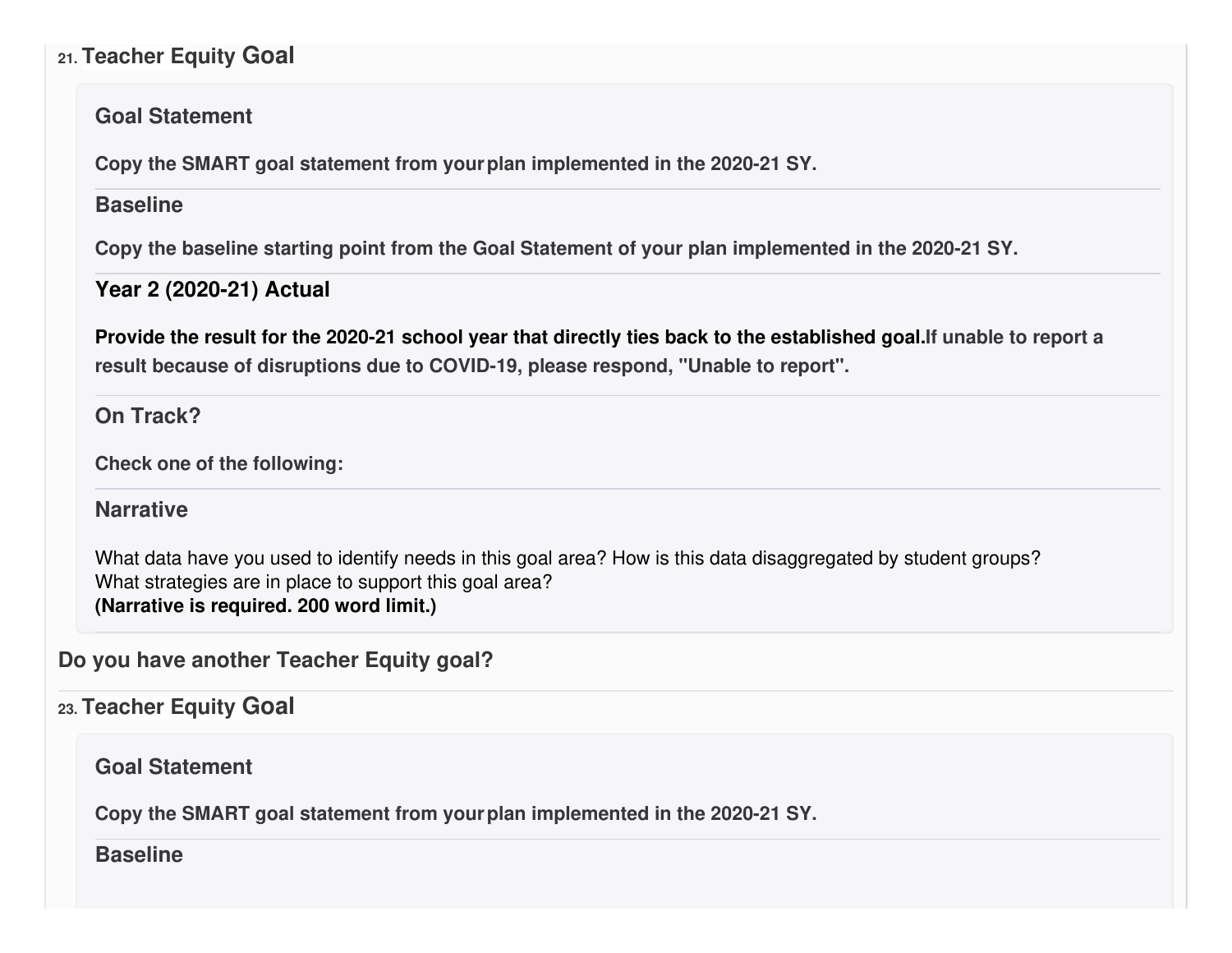### **21. Teacher Equity Goal**

#### **Goal Statement**

**Copy the SMART goal statement from yourplan implemented in the 2020-21 SY.**

#### **Baseline**

**Copy the baseline starting point from the Goal Statement of your plan implemented in the 2020-21 SY.**

### **Year 2 (2020-21) Actual**

Provide the result for the 2020-21 school year that directly ties back to the established goal. If unable to report a **result because of disruptions due to COVID-19, please respond, "Unable to report".**

### **On Track?**

**Check one of the following:**

#### **Narrative**

What data have you used to identify needs in this goal area? How is this data disaggregated by student groups? What strategies are in place to support this goal area? **(Narrative is required. 200 word limit.)**

## **Do you have another Teacher Equity goal?**

### **23. Teacher Equity Goal**

**Goal Statement**

**Copy the SMART goal statement from yourplan implemented in the 2020-21 SY.**

#### **Baseline**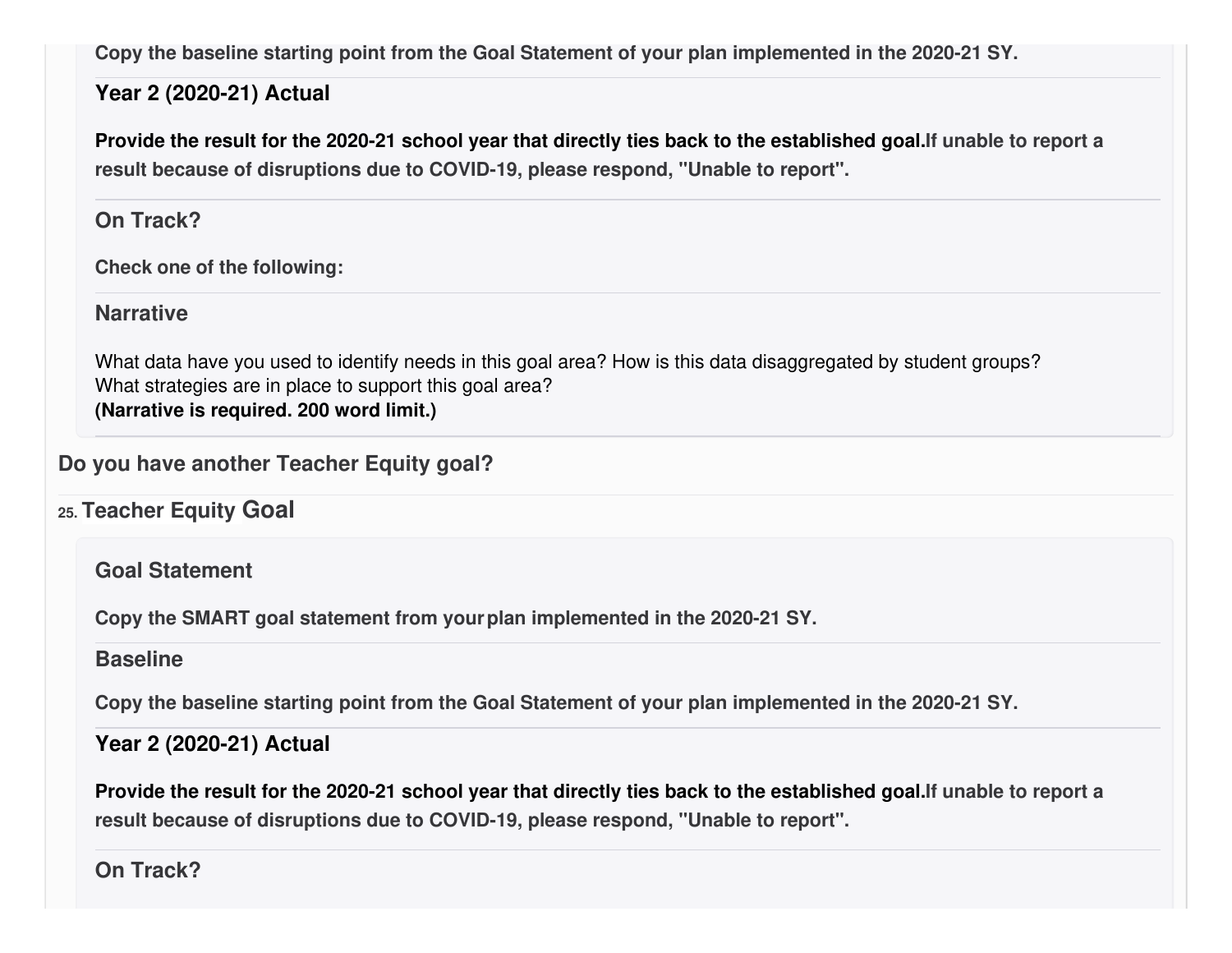**Copy the baseline starting point from the Goal Statement of your plan implemented in the 2020-21 SY.**

### **Year 2 (2020-21) Actual**

Provide the result for the 2020-21 school year that directly ties back to the established goal. If unable to report a **result because of disruptions due to COVID-19, please respond, "Unable to report".**

**On Track?**

**Check one of the following:**

**Narrative**

What data have you used to identify needs in this goal area? How is this data disaggregated by student groups? What strategies are in place to support this goal area? **(Narrative is required. 200 word limit.)**

### **Do you have another Teacher Equity goal?**

**25. Teacher Equity Goal**

**Goal Statement**

**Copy the SMART goal statement from yourplan implemented in the 2020-21 SY.**

### **Baseline**

**Copy the baseline starting point from the Goal Statement of your plan implemented in the 2020-21 SY.**

### **Year 2 (2020-21) Actual**

Provide the result for the 2020-21 school year that directly ties back to the established goal. If unable to report a **result because of disruptions due to COVID-19, please respond, "Unable to report".**

**On Track?**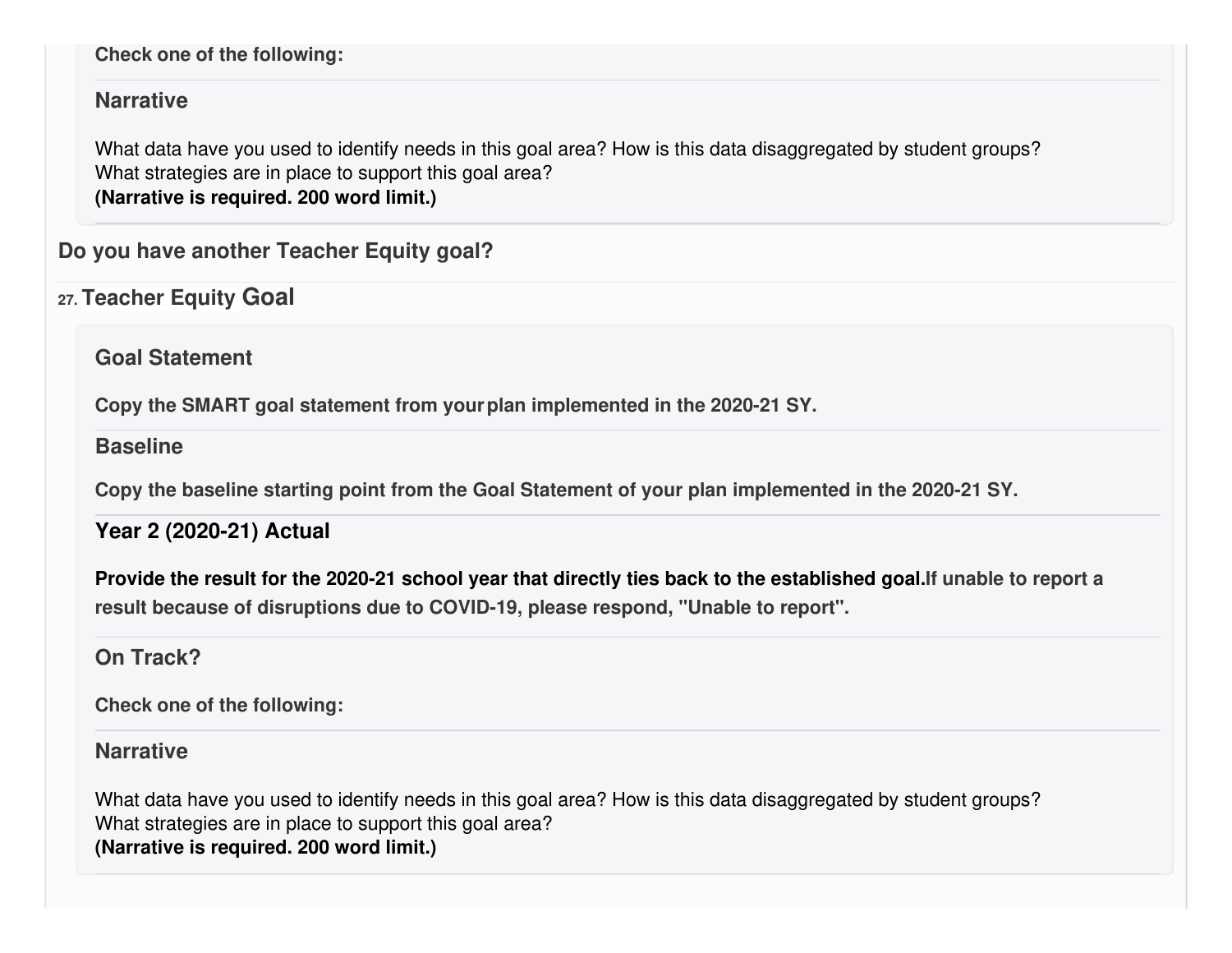#### **Check one of the following:**

#### **Narrative**

What data have you used to identify needs in this goal area? How is this data disaggregated by student groups? What strategies are in place to support this goal area? **(Narrative is required. 200 word limit.)**

**Do you have another Teacher Equity goal?**

**27. Teacher Equity Goal**

**Goal Statement**

**Copy the SMART goal statement from yourplan implemented in the 2020-21 SY.**

**Baseline**

**Copy the baseline starting point from the Goal Statement of your plan implemented in the 2020-21 SY.**

**Year 2 (2020-21) Actual**

Provide the result for the 2020-21 school year that directly ties back to the established goal. If unable to report a **result because of disruptions due to COVID-19, please respond, "Unable to report".**

### **On Track?**

**Check one of the following:**

#### **Narrative**

What data have you used to identify needs in this goal area? How is this data disaggregated by student groups? What strategies are in place to support this goal area? **(Narrative is required. 200 word limit.)**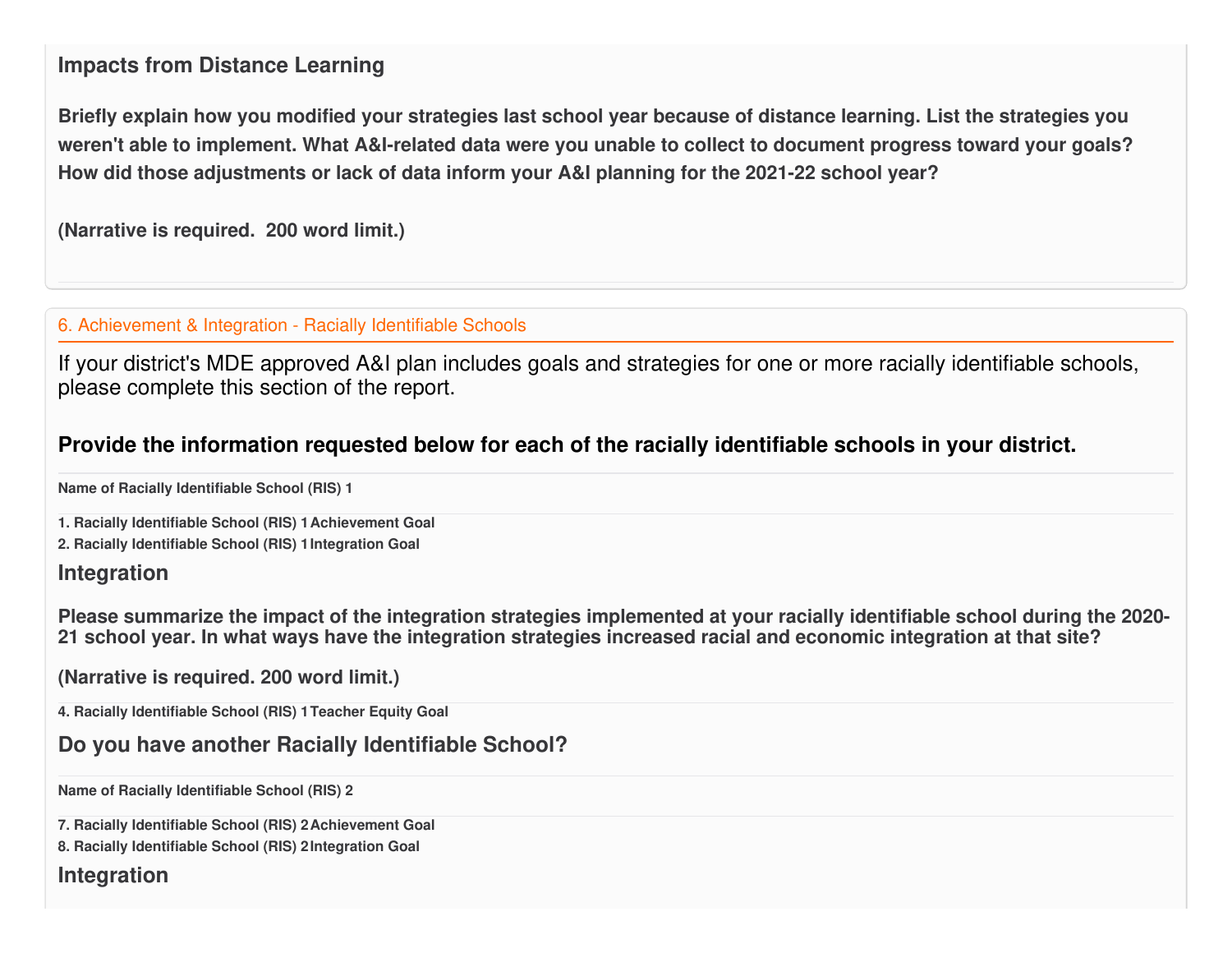#### **Impacts from Distance Learning**

Briefly explain how you modified your strategies last school year because of distance learning. List the strategies you weren't able to implement. What A&I-related data were you unable to collect to document progress toward your goals? **How did those adjustments or lack of data inform your A&I planning for the 2021-22 school year?**

**(Narrative is required. 200 word limit.)**

#### 6. Achievement & Integration - Racially Identifiable Schools

If your district's MDE approved A&I plan includes goals and strategies for one or more racially identifiable schools, please complete this section of the report.

#### **Provide the information requested below for each of the racially identifiable schools in your district.**

**Name of Racially Identifiable School (RIS) 1**

**1. Racially Identifiable School (RIS) 1Achievement Goal**

**2. Racially Identifiable School (RIS) 1Integration Goal**

#### **Integration**

Please summarize the impact of the integration strategies implemented at your racially identifiable school during the 2020-21 school year. In what ways have the integration strategies increased racial and economic integration at that site?

**(Narrative is required. 200 word limit.)**

**4. Racially Identifiable School (RIS) 1Teacher Equity Goal**

#### **Do you have another Racially Identifiable School?**

**Name of Racially Identifiable School (RIS) 2**

**7. Racially Identifiable School (RIS) 2Achievement Goal**

**8. Racially Identifiable School (RIS) 2Integration Goal**

#### **Integration**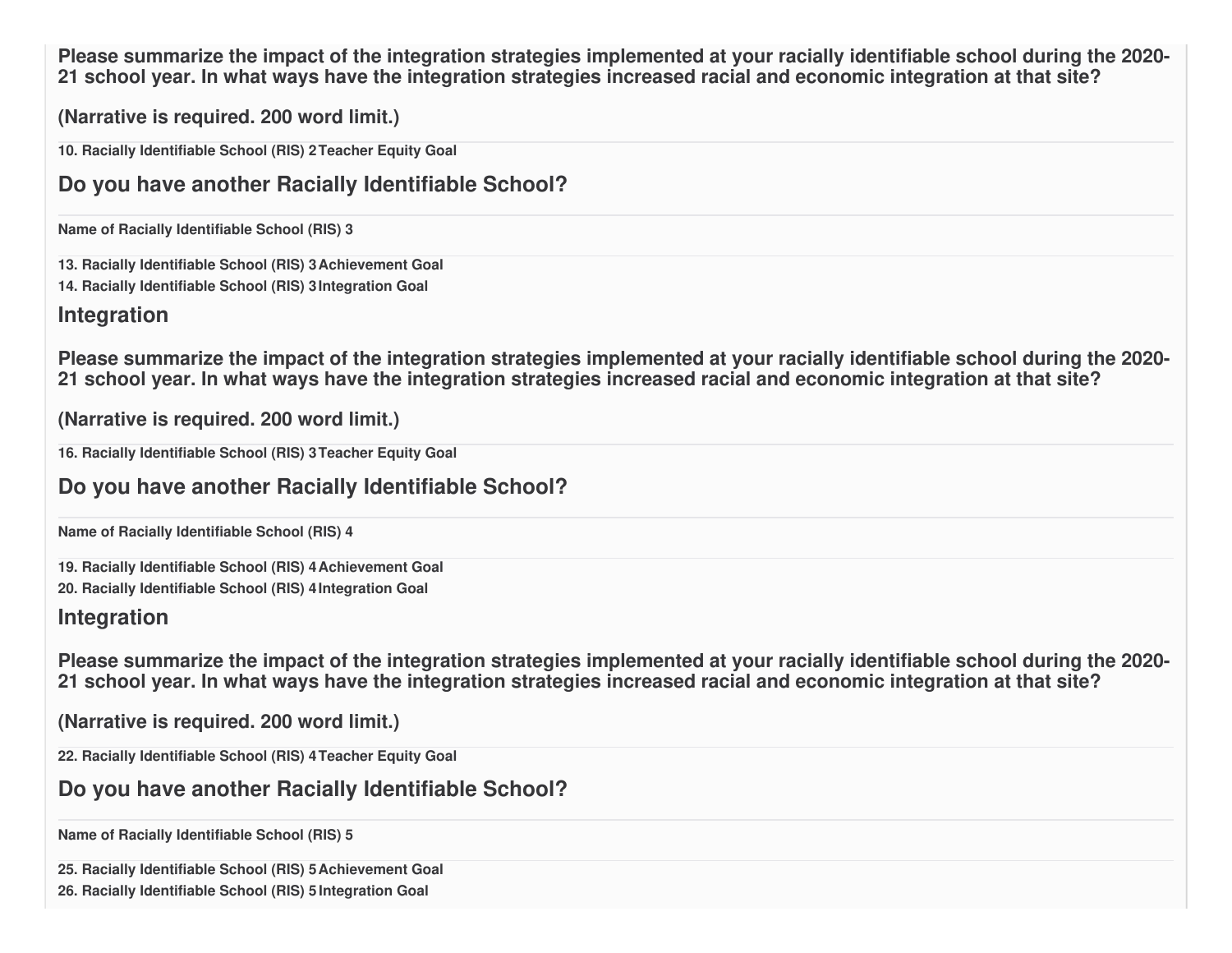Please summarize the impact of the integration strategies implemented at your racially identifiable school during the 2020-21 school year. In what ways have the integration strategies increased racial and economic integration at that site?

**(Narrative is required. 200 word limit.)**

**10. Racially Identifiable School (RIS) 2Teacher Equity Goal**

### **Do you have another Racially Identifiable School?**

**Name of Racially Identifiable School (RIS) 3**

**13. Racially Identifiable School (RIS) 3Achievement Goal 14. Racially Identifiable School (RIS) 3Integration Goal**

#### **Integration**

Please summarize the impact of the integration strategies implemented at your racially identifiable school during the 2020-21 school year. In what ways have the integration strategies increased racial and economic integration at that site?

**(Narrative is required. 200 word limit.)**

**16. Racially Identifiable School (RIS) 3Teacher Equity Goal**

#### **Do you have another Racially Identifiable School?**

**Name of Racially Identifiable School (RIS) 4**

**19. Racially Identifiable School (RIS) 4Achievement Goal**

**20. Racially Identifiable School (RIS) 4Integration Goal**

#### **Integration**

Please summarize the impact of the integration strategies implemented at your racially identifiable school during the 2020-21 school vear. In what wavs have the integration strategies increased racial and economic integration at that site?

**(Narrative is required. 200 word limit.)**

**22. Racially Identifiable School (RIS) 4Teacher Equity Goal**

**Do you have another Racially Identifiable School?**

**Name of Racially Identifiable School (RIS) 5**

**25. Racially Identifiable School (RIS) 5Achievement Goal**

**26. Racially Identifiable School (RIS) 5 Integration Goal**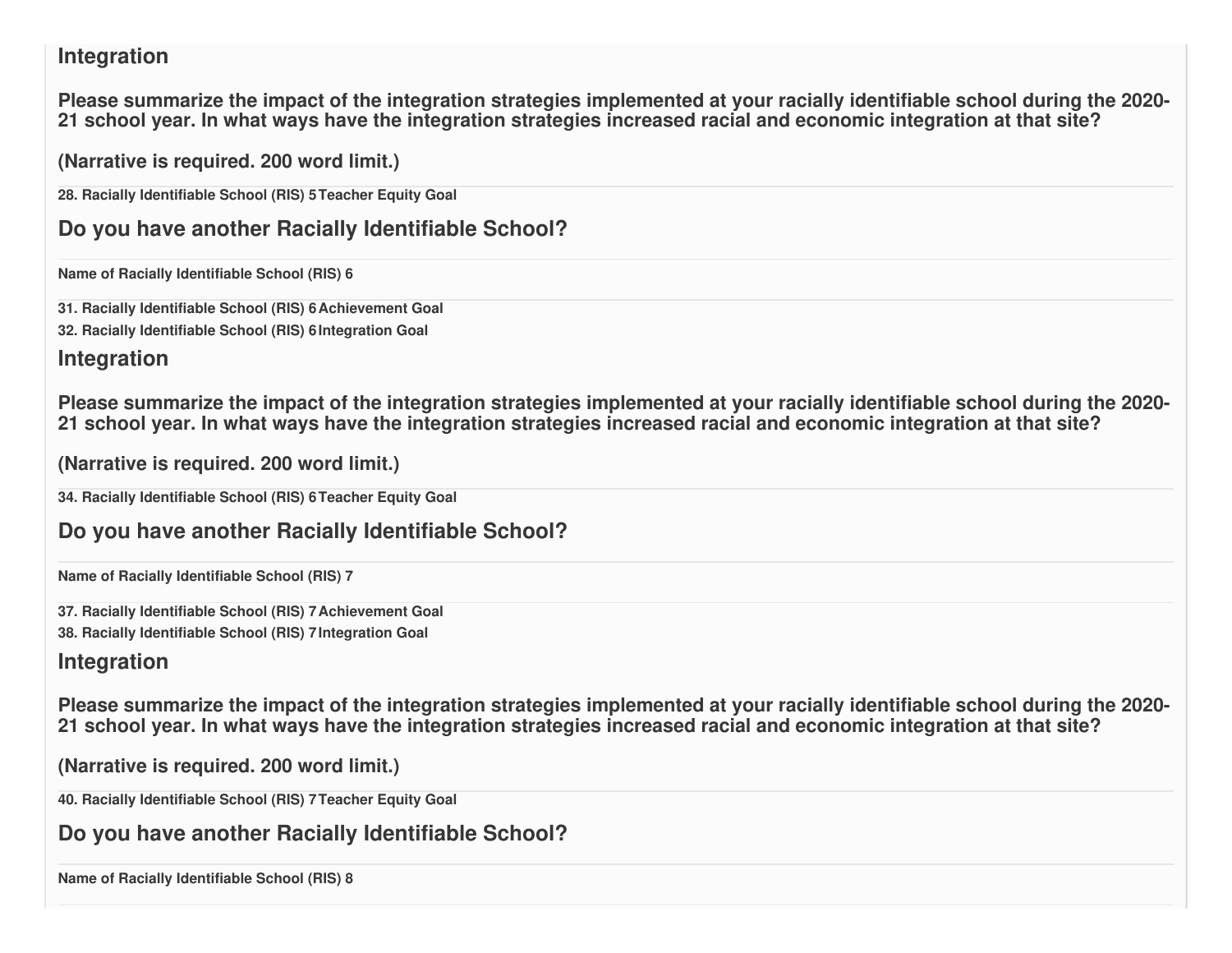### **Integration**

Please summarize the impact of the integration strategies implemented at your racially identifiable school during the 2020-21 school year. In what ways have the integration strategies increased racial and economic integration at that site?

**(Narrative is required. 200 word limit.)**

**28. Racially Identifiable School (RIS) 5Teacher Equity Goal**

**Do you have another Racially Identifiable School?**

**Name of Racially Identifiable School (RIS) 6**

**31. Racially Identifiable School (RIS) 6Achievement Goal**

**32. Racially Identifiable School (RIS) 6Integration Goal**

### **Integration**

Please summarize the impact of the integration strategies implemented at your racially identifiable school during the 2020-21 school year. In what ways have the integration strategies increased racial and economic integration at that site?

**(Narrative is required. 200 word limit.)**

**34. Racially Identifiable School (RIS) 6Teacher Equity Goal**

### **Do you have another Racially Identifiable School?**

**Name of Racially Identifiable School (RIS) 7**

**37. Racially Identifiable School (RIS) 7Achievement Goal**

**38. Racially Identifiable School (RIS) 7Integration Goal**

## **Integration**

Please summarize the impact of the integration strategies implemented at your racially identifiable school during the 2020-21 school year. In what ways have the integration strategies increased racial and economic integration at that site?

**(Narrative is required. 200 word limit.)**

**40. Racially Identifiable School (RIS) 7Teacher Equity Goal**

**Do you have another Racially Identifiable School?**

**Name of Racially Identifiable School (RIS) 8**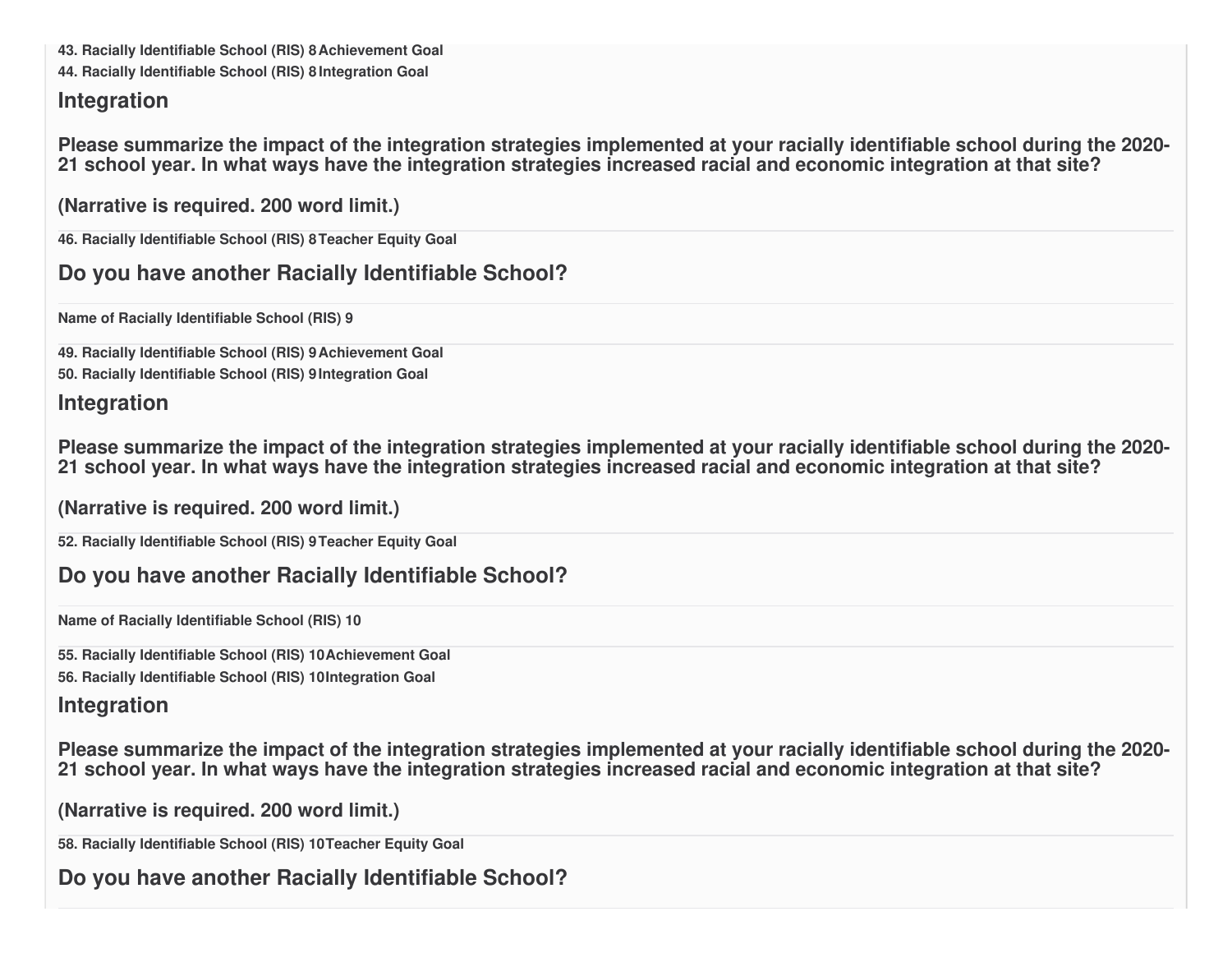**43. Racially Identifiable School (RIS) 8Achievement Goal**

**44. Racially Identifiable School (RIS) 8 Integration Goal**

#### **Integration**

Please summarize the impact of the integration strategies implemented at your racially identifiable school during the 2020-21 school year. In what ways have the integration strategies increased racial and economic integration at that site?

**(Narrative is required. 200 word limit.)**

**46. Racially Identifiable School (RIS) 8Teacher Equity Goal**

### **Do you have another Racially Identifiable School?**

**Name of Racially Identifiable School (RIS) 9**

**49. Racially Identifiable School (RIS) 9Achievement Goal**

**50. Racially Identifiable School (RIS) 9Integration Goal**

### **Integration**

Please summarize the impact of the integration strategies implemented at your racially identifiable school during the 2020-21 school year. In what ways have the integration strategies increased racial and economic integration at that site?

**(Narrative is required. 200 word limit.)**

**52. Racially Identifiable School (RIS) 9Teacher Equity Goal**

# **Do you have another Racially Identifiable School?**

**Name of Racially Identifiable School (RIS) 10**

**55. Racially Identifiable School (RIS) 10Achievement Goal 56. Racially Identifiable School (RIS) 10Integration Goal**

### **Integration**

Please summarize the impact of the integration strategies implemented at your racially identifiable school during the 2020-21 school year. In what ways have the integration strategies increased racial and economic integration at that site?

```
(Narrative is required. 200 word limit.)
```
**58. Racially Identifiable School (RIS) 10Teacher Equity Goal**

**Do you have another Racially Identifiable School?**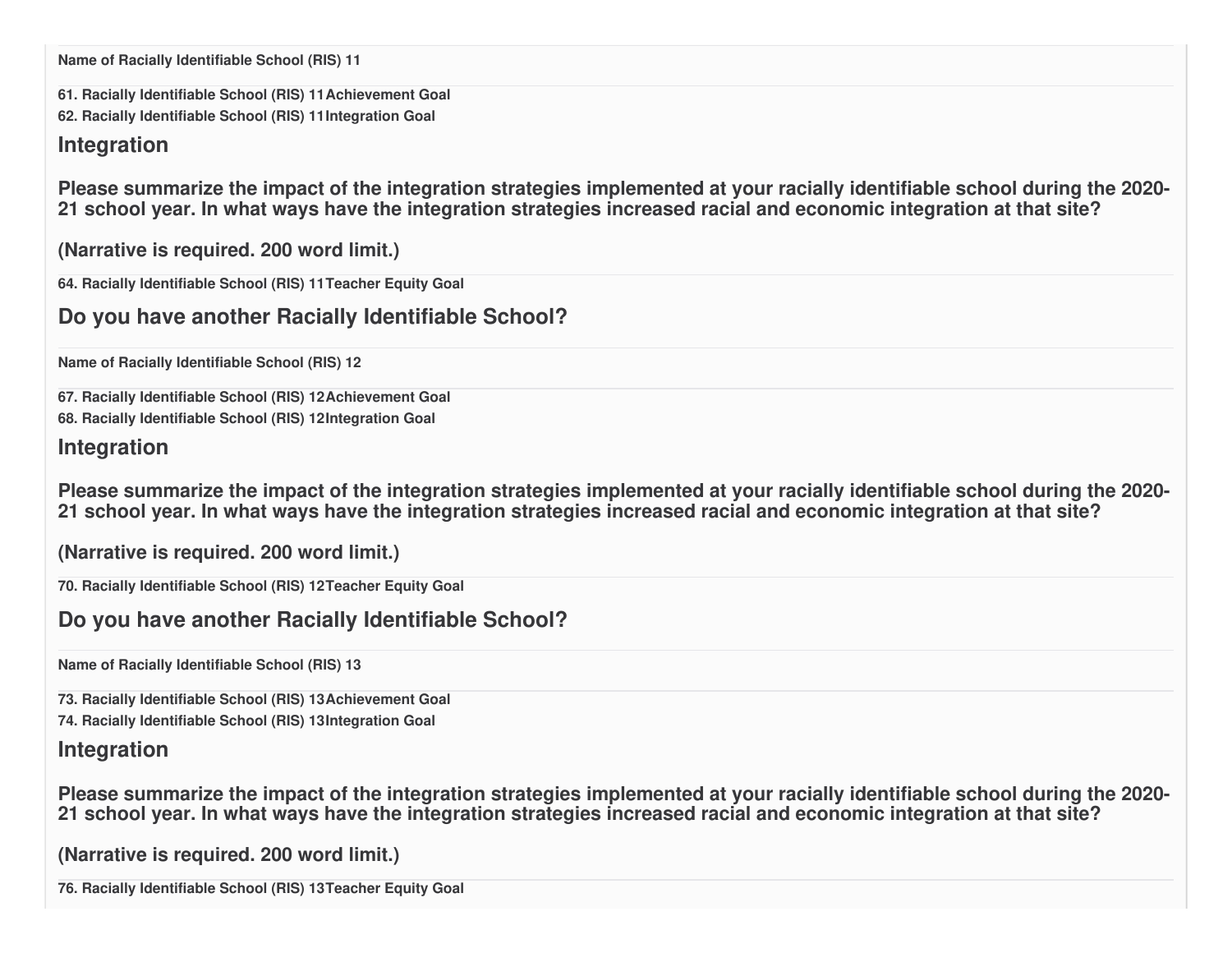**Name of Racially Identifiable School (RIS) 11**

**61. Racially Identifiable School (RIS) 11Achievement Goal 62. Racially Identifiable School (RIS) 11Integration Goal**

#### **Integration**

Please summarize the impact of the integration strategies implemented at your racially identifiable school during the 2020-21 school year. In what ways have the integration strategies increased racial and economic integration at that site?

**(Narrative is required. 200 word limit.)**

**64. Racially Identifiable School (RIS) 11Teacher Equity Goal**

**Do you have another Racially Identifiable School?**

**Name of Racially Identifiable School (RIS) 12**

**67. Racially Identifiable School (RIS) 12Achievement Goal**

**68. Racially Identifiable School (RIS) 12Integration Goal**

#### **Integration**

Please summarize the impact of the integration strategies implemented at your racially identifiable school during the 2020-21 school year. In what ways have the integration strategies increased racial and economic integration at that site?

**(Narrative is required. 200 word limit.)**

**70. Racially Identifiable School (RIS) 12Teacher Equity Goal**

### **Do you have another Racially Identifiable School?**

**Name of Racially Identifiable School (RIS) 13**

**73. Racially Identifiable School (RIS) 13Achievement Goal**

**74. Racially Identifiable School (RIS) 13Integration Goal**

### **Integration**

Please summarize the impact of the integration strategies implemented at your racially identifiable school during the 2020-21 school year. In what ways have the integration strategies increased racial and economic integration at that site?

**(Narrative is required. 200 word limit.)**

**76. Racially Identifiable School (RIS) 13Teacher Equity Goal**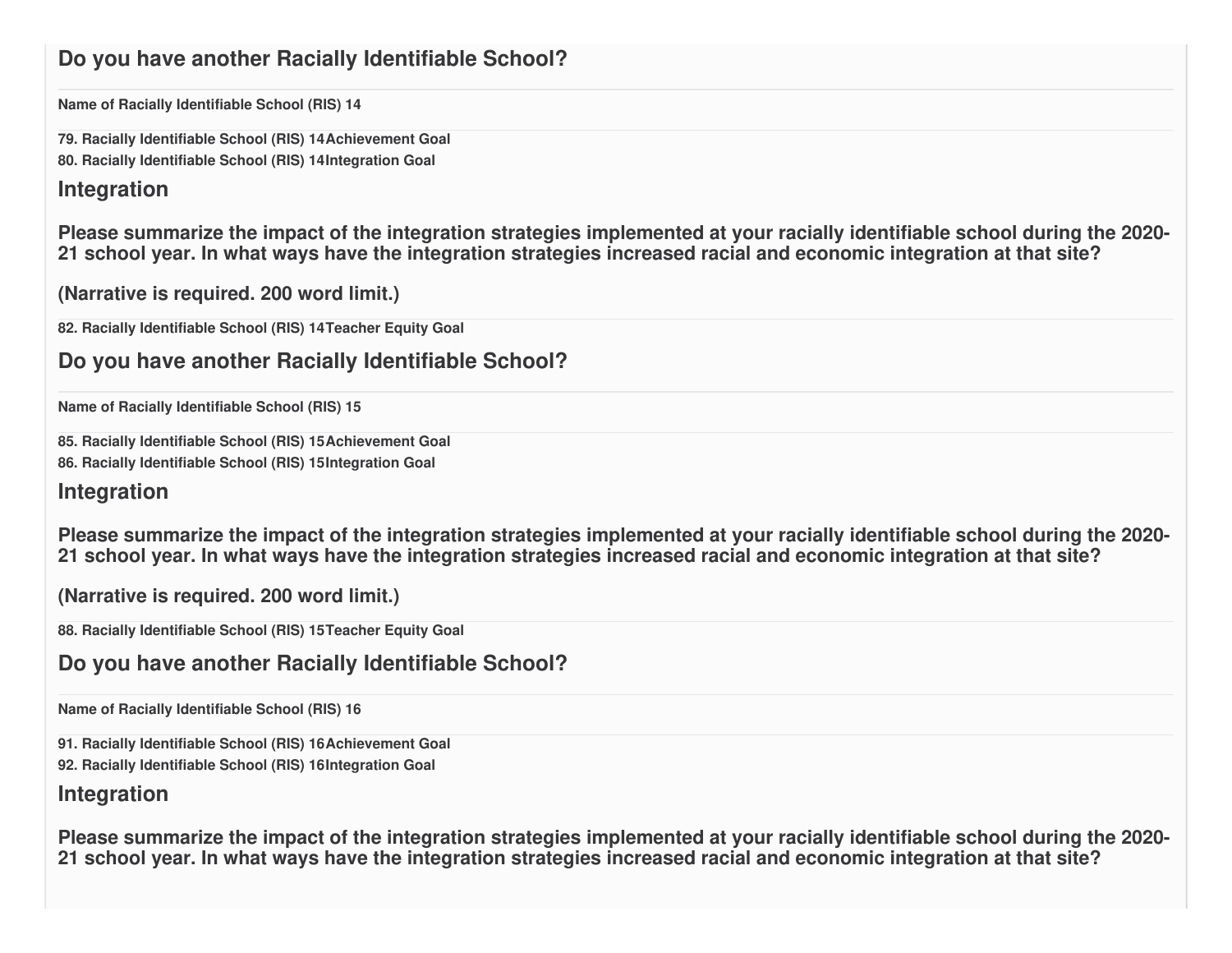### **Do you have another Racially Identifiable School?**

**Name of Racially Identifiable School (RIS) 14**

**79. Racially Identifiable School (RIS) 14Achievement Goal**

**80. Racially Identifiable School (RIS) 14Integration Goal**

#### **Integration**

Please summarize the impact of the integration strategies implemented at your racially identifiable school during the 2020-21 school year. In what ways have the integration strategies increased racial and economic integration at that site?

**(Narrative is required. 200 word limit.)**

**82. Racially Identifiable School (RIS) 14Teacher Equity Goal**

### **Do you have another Racially Identifiable School?**

**Name of Racially Identifiable School (RIS) 15**

**85. Racially Identifiable School (RIS) 15Achievement Goal 86. Racially Identifiable School (RIS) 15Integration Goal**

#### **Integration**

Please summarize the impact of the integration strategies implemented at your racially identifiable school during the 2020-21 school year. In what ways have the integration strategies increased racial and economic integration at that site?

**(Narrative is required. 200 word limit.)**

**88. Racially Identifiable School (RIS) 15Teacher Equity Goal**

### **Do you have another Racially Identifiable School?**

**Name of Racially Identifiable School (RIS) 16**

**91. Racially Identifiable School (RIS) 16Achievement Goal**

**92. Racially Identifiable School (RIS) 16Integration Goal**

#### **Integration**

Please summarize the impact of the integration strategies implemented at your racially identifiable school during the 2020-21 school year. In what ways have the integration strategies increased racial and economic integration at that site?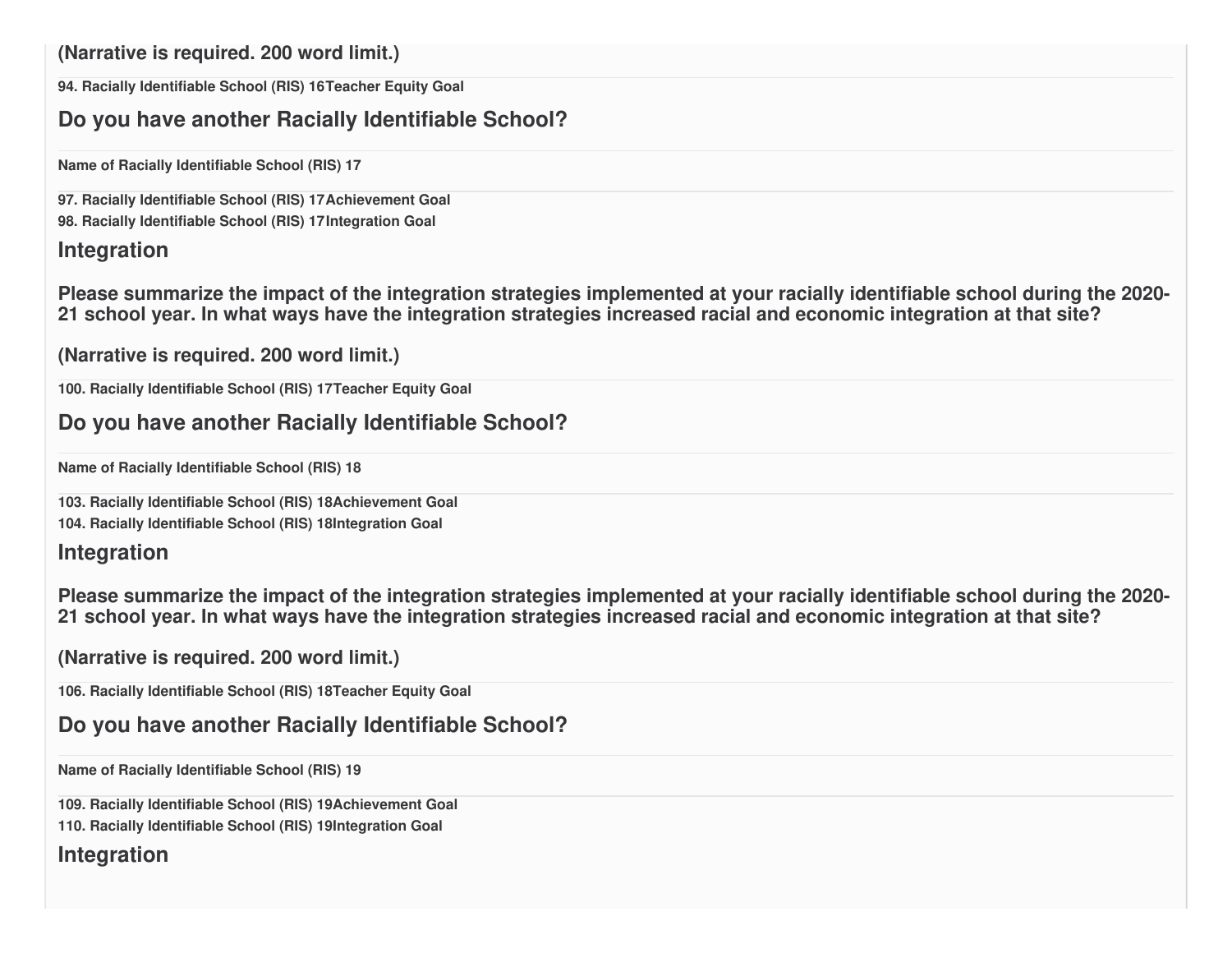**(Narrative is required. 200 word limit.)**

**94. Racially Identifiable School (RIS) 16Teacher Equity Goal**

### **Do you have another Racially Identifiable School?**

**Name of Racially Identifiable School (RIS) 17**

**97. Racially Identifiable School (RIS) 17Achievement Goal**

**98. Racially Identifiable School (RIS) 17Integration Goal**

#### **Integration**

Please summarize the impact of the integration strategies implemented at your racially identifiable school during the 2020-21 school year. In what ways have the integration strategies increased racial and economic integration at that site?

```
(Narrative is required. 200 word limit.)
```
**100. Racially Identifiable School (RIS) 17Teacher Equity Goal**

### **Do you have another Racially Identifiable School?**

**Name of Racially Identifiable School (RIS) 18**

**103. Racially Identifiable School (RIS) 18Achievement Goal 104. Racially Identifiable School (RIS) 18Integration Goal**

#### **Integration**

Please summarize the impact of the integration strategies implemented at your racially identifiable school during the 2020-21 school year. In what ways have the integration strategies increased racial and economic integration at that site?

```
(Narrative is required. 200 word limit.)
```
**106. Racially Identifiable School (RIS) 18Teacher Equity Goal**

# **Do you have another Racially Identifiable School?**

**Name of Racially Identifiable School (RIS) 19**

**109. Racially Identifiable School (RIS) 19Achievement Goal**

**110. Racially Identifiable School (RIS) 19Integration Goal**

### **Integration**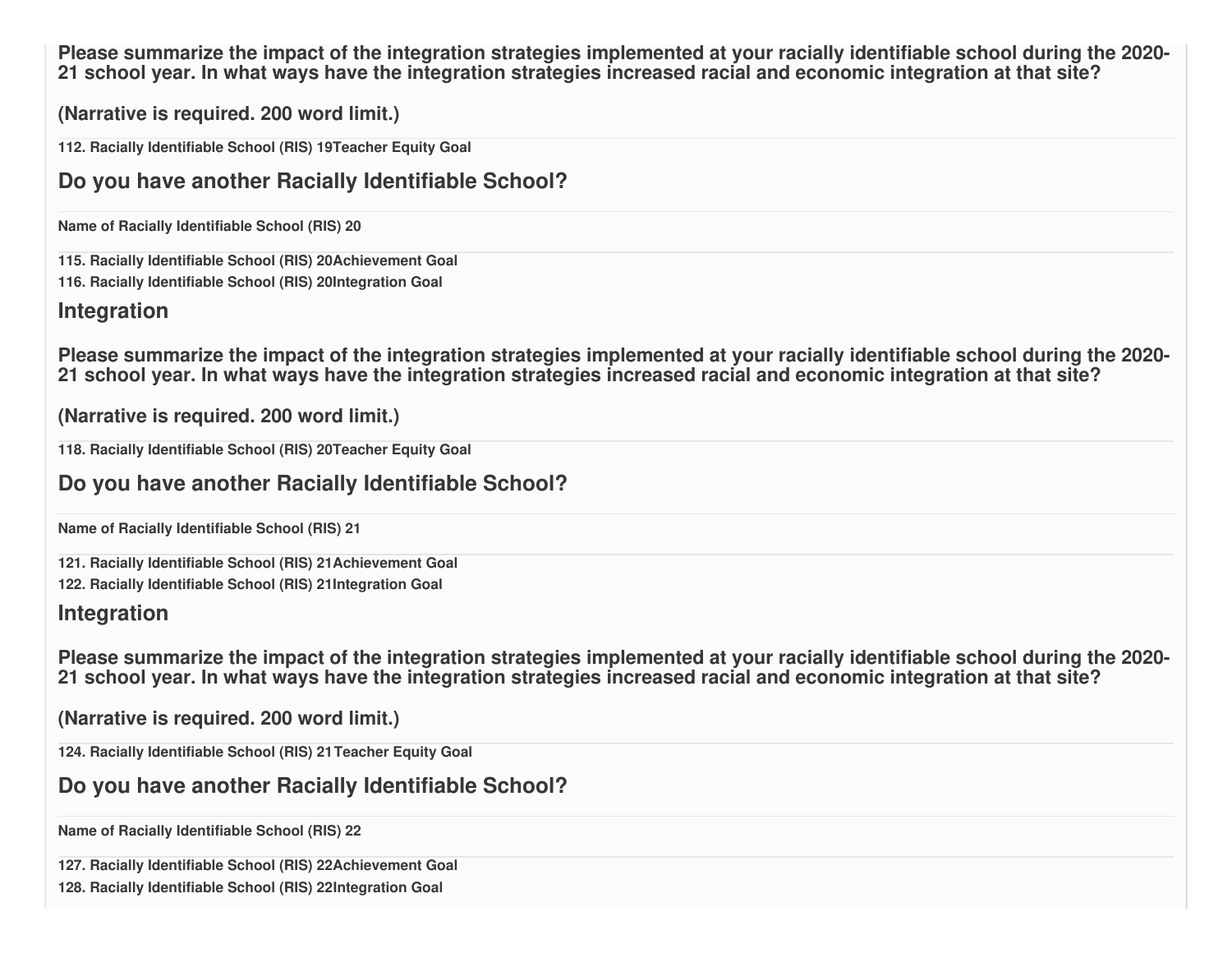Please summarize the impact of the integration strategies implemented at your racially identifiable school during the 2020-21 school year. In what ways have the integration strategies increased racial and economic integration at that site?

**(Narrative is required. 200 word limit.)**

**112. Racially Identifiable School (RIS) 19Teacher Equity Goal**

### **Do you have another Racially Identifiable School?**

**Name of Racially Identifiable School (RIS) 20**

**115. Racially Identifiable School (RIS) 20Achievement Goal 116. Racially Identifiable School (RIS) 20Integration Goal**

#### **Integration**

Please summarize the impact of the integration strategies implemented at your racially identifiable school during the 2020-21 school year. In what ways have the integration strategies increased racial and economic integration at that site?

**(Narrative is required. 200 word limit.)**

**118. Racially Identifiable School (RIS) 20Teacher Equity Goal**

### **Do you have another Racially Identifiable School?**

**Name of Racially Identifiable School (RIS) 21**

**121. Racially Identifiable School (RIS) 21Achievement Goal 122. Racially Identifiable School (RIS) 21Integration Goal**

### **Integration**

Please summarize the impact of the integration strategies implemented at your racially identifiable school during the 2020-21 school year. In what ways have the integration strategies increased racial and economic integration at that site?

**(Narrative is required. 200 word limit.)**

**124. Racially Identifiable School (RIS) 21Teacher Equity Goal**

### **Do you have another Racially Identifiable School?**

**Name of Racially Identifiable School (RIS) 22**

**127. Racially Identifiable School (RIS) 22Achievement Goal**

**128. Racially Identifiable School (RIS) 22Integration Goal**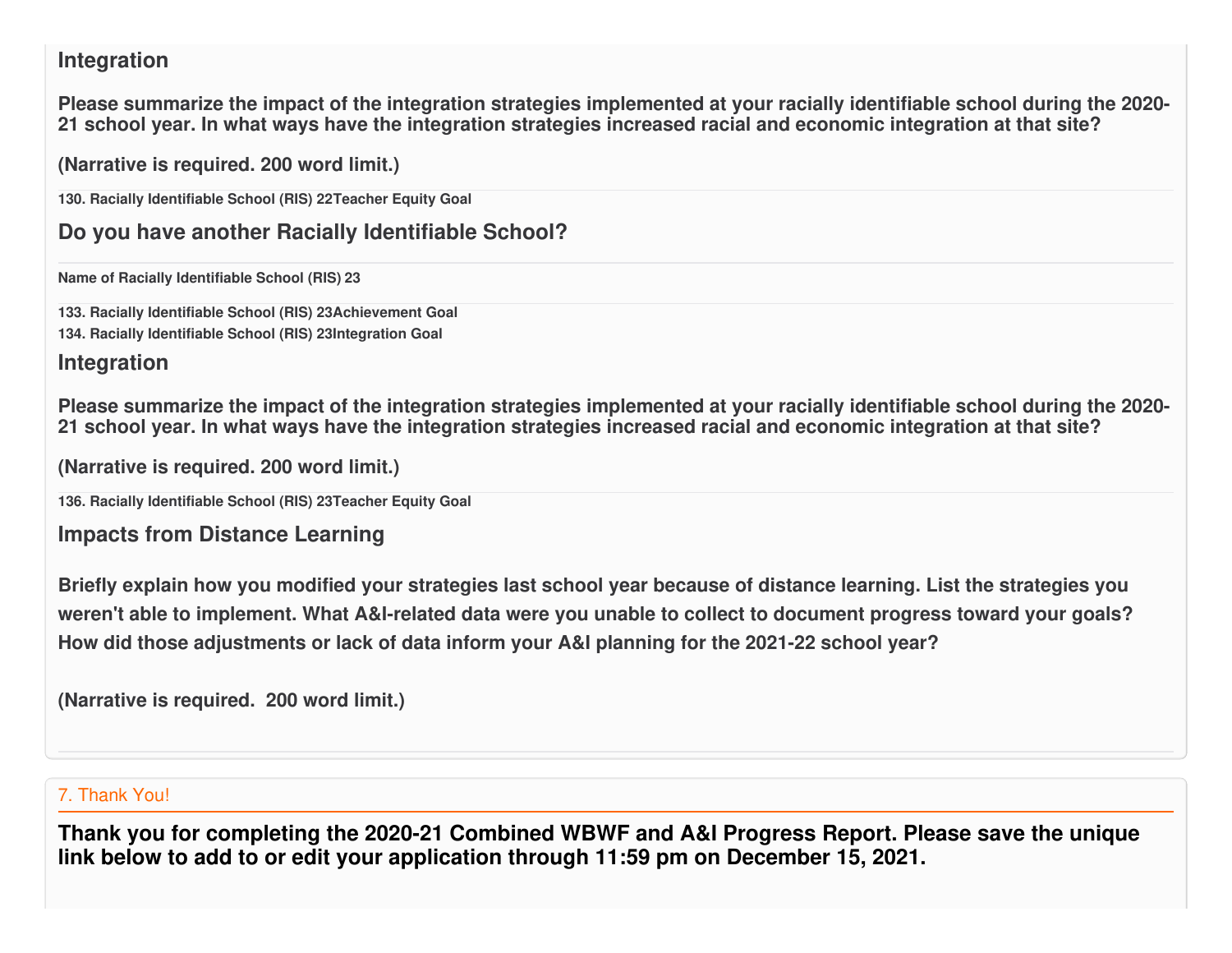### **Integration**

Please summarize the impact of the integration strategies implemented at your racially identifiable school during the 2020-21 school year. In what ways have the integration strategies increased racial and economic integration at that site?

**(Narrative is required. 200 word limit.)**

**130. Racially Identifiable School (RIS) 22Teacher Equity Goal**

**Do you have another Racially Identifiable School?**

**Name of Racially Identifiable School (RIS) 23**

**133. Racially Identifiable School (RIS) 23Achievement Goal 134. Racially Identifiable School (RIS) 23Integration Goal**

### **Integration**

Please summarize the impact of the integration strategies implemented at your racially identifiable school during the 2020-21 school year. In what ways have the integration strategies increased racial and economic integration at that site?

**(Narrative is required. 200 word limit.)**

**136. Racially Identifiable School (RIS) 23Teacher Equity Goal**

**Impacts from Distance Learning**

Briefly explain how you modified your strategies last school year because of distance learning. List the strategies you weren't able to implement. What A&I-related data were you unable to collect to document progress toward your goals? **How did those adjustments or lack of data inform your A&I planning for the 2021-22 school year?**

**(Narrative is required. 200 word limit.)**

#### 7. Thank You!

**Thank you for completing the 2020-21 Combined WBWF and A&I Progress Report. Please save the unique link below to add to or edit your application through 11:59 pm on December 15, 2021.**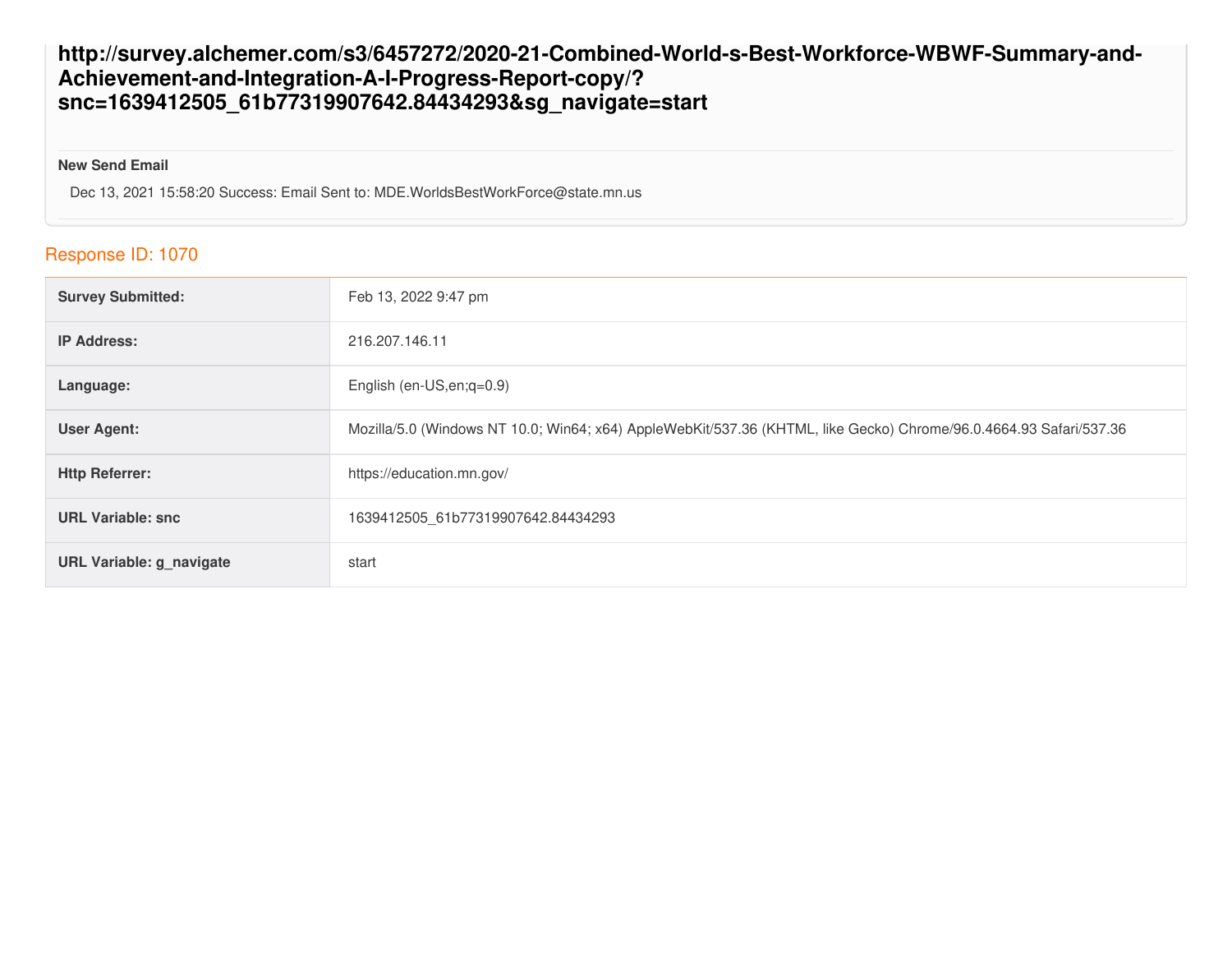#### **http://survey.alchemer.com/s3/6457272/2020-21-Combined-World-s-Best-Workforce-WBWF-Summary-and-Achievement-and-Integration-A-I-Progress-Report-copy/? snc=1639412505\_61b77319907642.84434293&sg\_navigate=start**

#### **New Send Email**

Dec 13, 2021 15:58:20 Success: Email Sent to: MDE.WorldsBestWorkForce@state.mn.us

#### Response ID: 1070

| <b>Survey Submitted:</b>        | Feb 13, 2022 9:47 pm                                                                                               |
|---------------------------------|--------------------------------------------------------------------------------------------------------------------|
| <b>IP Address:</b>              | 216.207.146.11                                                                                                     |
| Language:                       | English (en-US, en; q=0.9)                                                                                         |
| <b>User Agent:</b>              | Mozilla/5.0 (Windows NT 10.0; Win64; x64) AppleWebKit/537.36 (KHTML, like Gecko) Chrome/96.0.4664.93 Safari/537.36 |
| <b>Http Referrer:</b>           | https://education.mn.gov/                                                                                          |
| <b>URL Variable: snc</b>        | 1639412505 61b77319907642.84434293                                                                                 |
| <b>URL Variable: g_navigate</b> | start                                                                                                              |